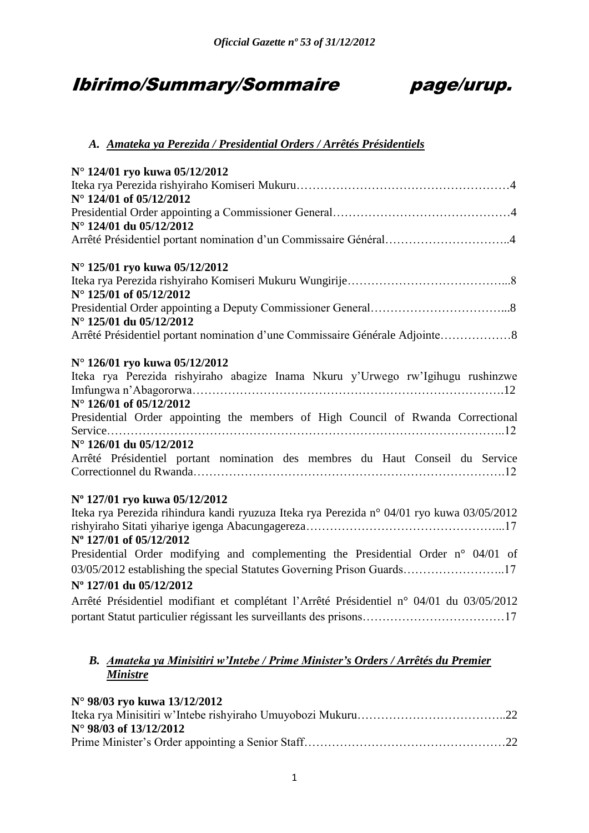# Ibirimo/Summary/Sommaire page/urup.



# *A. Amateka ya Perezida / Presidential Orders / Arrêtés Présidentiels*

| N° 124/01 ryo kuwa 05/12/2012                                                              |
|--------------------------------------------------------------------------------------------|
|                                                                                            |
| N° 124/01 of 05/12/2012                                                                    |
|                                                                                            |
| N° 124/01 du 05/12/2012                                                                    |
| Arrêté Présidentiel portant nomination d'un Commissaire Général4                           |
| N° 125/01 ryo kuwa 05/12/2012                                                              |
| N° 125/01 of 05/12/2012                                                                    |
|                                                                                            |
| N° 125/01 du 05/12/2012                                                                    |
| Arrêté Présidentiel portant nomination d'une Commissaire Générale Adjointe8                |
| N° 126/01 ryo kuwa 05/12/2012                                                              |
| Iteka rya Perezida rishyiraho abagize Inama Nkuru y'Urwego rw'Igihugu rushinzwe            |
|                                                                                            |
| $N^{\circ}$ 126/01 of 05/12/2012                                                           |
| Presidential Order appointing the members of High Council of Rwanda Correctional           |
| N° 126/01 du 05/12/2012                                                                    |
| Arrêté Présidentiel portant nomination des membres du Haut Conseil du Service              |
|                                                                                            |
| N° 127/01 ryo kuwa 05/12/2012                                                              |
| Iteka rya Perezida rihindura kandi ryuzuza Iteka rya Perezida n° 04/01 ryo kuwa 03/05/2012 |
|                                                                                            |
| N° 127/01 of 05/12/2012                                                                    |
| Presidential Order modifying and complementing the Presidential Order n° 04/01 of          |
| 03/05/2012 establishing the special Statutes Governing Prison Guards17                     |
| N° 127/01 du 05/12/2012                                                                    |
| Arrêté Présidentiel modifiant et complétant l'Arrêté Présidentiel n° 04/01 du 03/05/2012   |
|                                                                                            |
|                                                                                            |

# *B. Amateka ya Minisitiri w'Intebe / Prime Minister's Orders / Arrêtés du Premier Ministre*

# **N° 98/03 ryo kuwa 13/12/2012**

| $N^{\circ}$ 98/03 of 13/12/2012 |  |
|---------------------------------|--|
|                                 |  |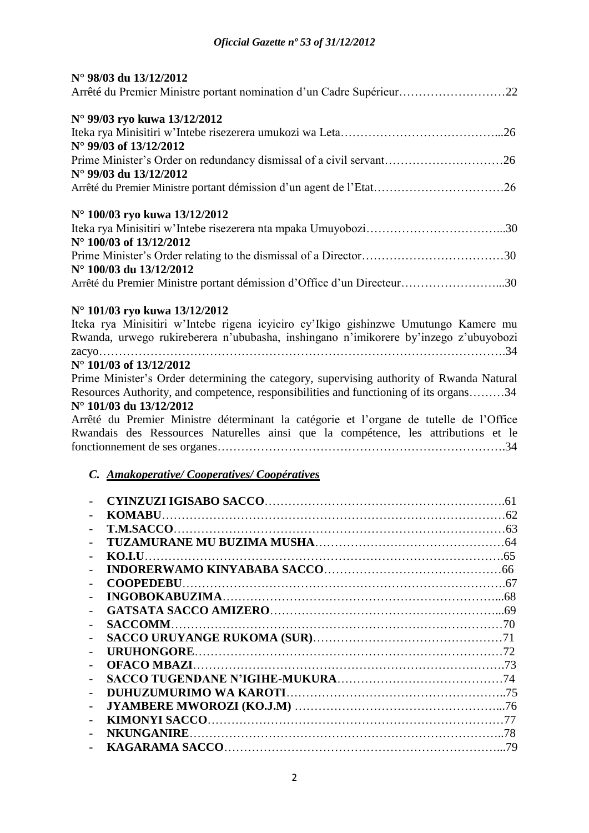| N° 98/03 du 13/12/2012                                                              |  |
|-------------------------------------------------------------------------------------|--|
| Arrêté du Premier Ministre portant nomination d'un Cadre Supérieur22                |  |
| N° 99/03 ryo kuwa 13/12/2012                                                        |  |
|                                                                                     |  |
| $N^{\circ}$ 99/03 of 13/12/2012                                                     |  |
|                                                                                     |  |
| $N^{\circ}$ 99/03 du 13/12/2012                                                     |  |
|                                                                                     |  |
| N° 100/03 ryo kuwa 13/12/2012                                                       |  |
|                                                                                     |  |
| $N^{\circ}$ 100/03 of 13/12/2012                                                    |  |
|                                                                                     |  |
| N° 100/03 du 13/12/2012                                                             |  |
| Arrêté du Premier Ministre portant démission d'Office d'un Directeur30              |  |
| N° 101/03 ryo kuwa 13/12/2012                                                       |  |
| Iteka rya Minisitiri w'Intebe rigena icyiciro cy'Ikigo gishinzwe Umutungo Kamere mu |  |

Rwanda, urwego rukireberera n'ububasha, inshingano n'imikorere by'inzego z'ubuyobozi zacyo………………………………………………………………………………………….34

# **N° 101/03 of 13/12/2012**

Prime Minister's Order determining the category, supervising authority of Rwanda Natural Resources Authority, and competence, responsibilities and functioning of its organs………34 **N° 101/03 du 13/12/2012**

Arrêté du Premier Ministre déterminant la catégorie et l'organe de tutelle de l'Office Rwandais des Ressources Naturelles ainsi que la compétence, les attributions et le fonctionnement de ses organes……………………………………………………………….34

# *C. Amakoperative/ Cooperatives/ Coopératives*

| <b>KOMABU.</b>    | 62  |
|-------------------|-----|
| <b>T.M.SACCO.</b> |     |
|                   |     |
| KO.I.U.           |     |
|                   |     |
|                   |     |
|                   |     |
|                   |     |
| <b>SACCOMM</b>    | -70 |
|                   |     |
| <b>URUHONGORE</b> |     |
|                   | .73 |
|                   | -74 |
|                   |     |
|                   |     |
|                   |     |
| <b>NKUNGANIRE</b> | 78  |
|                   | .79 |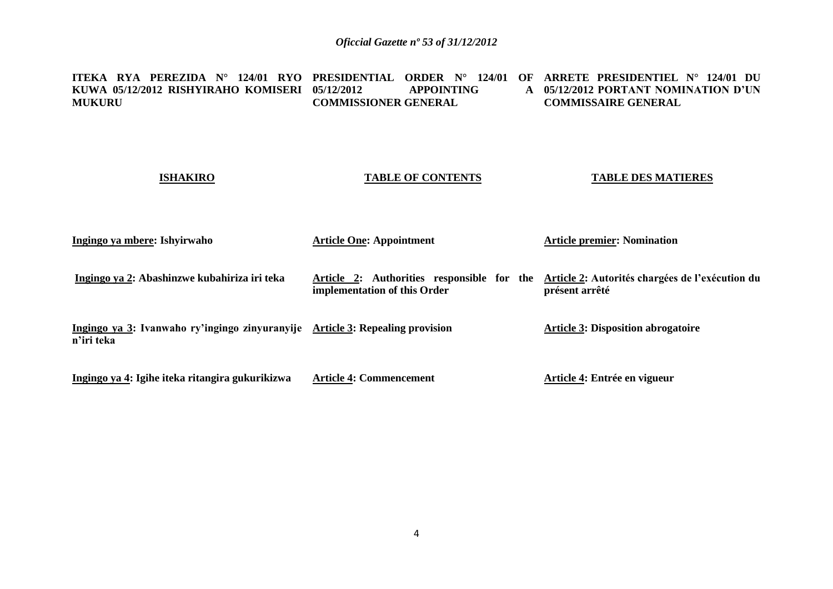| ITEKA RYA PEREZIDA N°<br>124/01 RYO<br>KUWA 05/12/2012 RISHYIRAHO KOMISERI<br><b>MUKURU</b> | <b>PRESIDENTIAL</b><br><b>ORDER</b> $N^{\circ}$<br>124/01<br>$\Omega$<br><b>APPOINTING</b><br>05/12/2012<br>$\mathbf{A}$<br><b>COMMISSIONER GENERAL</b> | ARRETE PRESIDENTIEL $N^{\circ}$ 124/01 DU<br>05/12/2012 PORTANT NOMINATION D'UN<br><b>COMMISSAIRE GENERAL</b> |
|---------------------------------------------------------------------------------------------|---------------------------------------------------------------------------------------------------------------------------------------------------------|---------------------------------------------------------------------------------------------------------------|
| <b>ISHAKIRO</b>                                                                             | <b>TABLE OF CONTENTS</b>                                                                                                                                | <b>TABLE DES MATIERES</b>                                                                                     |
| Ingingo ya mbere: Ishyirwaho                                                                | <b>Article One: Appointment</b>                                                                                                                         | <b>Article premier: Nomination</b>                                                                            |
| Ingingo ya 2: Abashinzwe kubahiriza iri teka                                                | Article 2: Authorities responsible for the<br>implementation of this Order                                                                              | Article 2: Autorités chargées de l'exécution du<br>présent arrêté                                             |
| Ingingo ya 3: Ivanwaho ry'ingingo zinyuranyije Article 3: Repealing provision<br>n'iri teka |                                                                                                                                                         | <b>Article 3: Disposition abrogatoire</b>                                                                     |
| Ingingo ya 4: Igihe iteka ritangira gukurikizwa                                             | <b>Article 4: Commencement</b>                                                                                                                          | Article 4: Entrée en vigueur                                                                                  |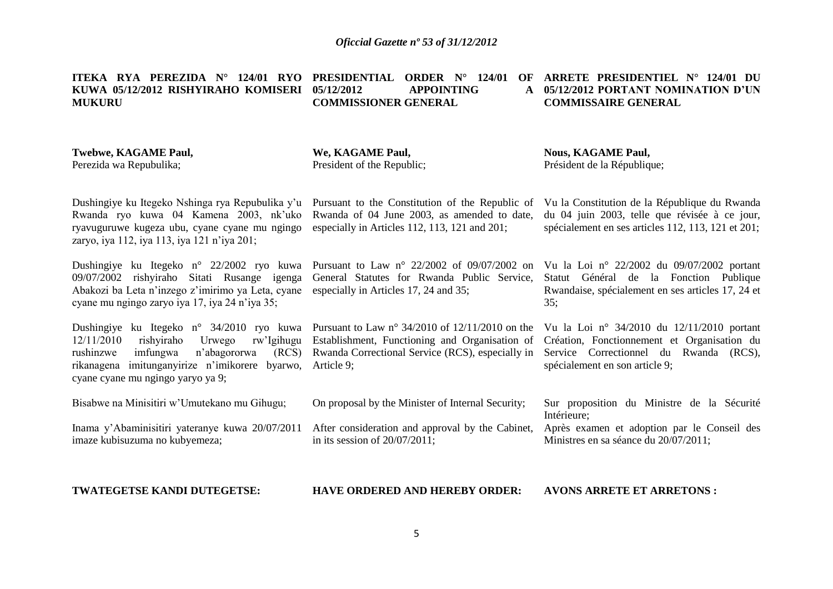#### **ITEKA RYA PEREZIDA N° 124/01 RYO PRESIDENTIAL ORDER N° 124/01 OF ARRETE PRESIDENTIEL N° 124/01 DU KUWA 05/12/2012 RISHYIRAHO KOMISERI MUKURU 05/12/2012 APPOINTING A COMMISSIONER GENERAL**

# **05/12/2012 PORTANT NOMINATION D'UN COMMISSAIRE GENERAL**

## **Twebwe, KAGAME Paul,** Perezida wa Repubulika;

**We, KAGAME Paul,** President of the Republic; **Nous, KAGAME Paul,** Président de la République;

Dushingiye ku Itegeko Nshinga rya Repubulika y'u Pursuant to the Constitution of the Republic of Rwanda ryo kuwa 04 Kamena 2003, nk'uko ryavuguruwe kugeza ubu, cyane cyane mu ngingo zaryo, iya 112, iya 113, iya 121 n'iya 201;

Dushingiye ku Itegeko n° 22/2002 ryo kuwa Pursuant to Law n° 22/2002 of 09/07/2002 on 09/07/2002 rishyiraho Sitati Rusange igenga Abakozi ba Leta n'inzego z'imirimo ya Leta, cyane especially in Articles 17, 24 and 35; cyane mu ngingo zaryo iya 17, iya 24 n'iya 35;

Dushingiye ku Itegeko n° 34/2010 ryo kuwa Pursuant to Law n° 34/2010 of 12/11/2010 on the 12/11/2010 rishyiraho Urwego rw'Igihugu rushinzwe imfungwa n'abagororwa rikanagena imitunganyirize n'imikorere byarwo, Article 9; cyane cyane mu ngingo yaryo ya 9; Establishment, Functioning and Organisation of Rwanda Correctional Service (RCS), especially in

Bisabwe na Minisitiri w'Umutekano mu Gihugu;

Inama y'Abaminisitiri yateranye kuwa 20/07/2011

On proposal by the Minister of Internal Security;

Rwanda of 04 June 2003, as amended to date, especially in Articles 112, 113, 121 and 201;

General Statutes for Rwanda Public Service,

After consideration and approval by the Cabinet, in its session of 20/07/2011;

Vu la Constitution de la République du Rwanda du 04 juin 2003, telle que révisée à ce jour, spécialement en ses articles 112, 113, 121 et 201;

Vu la Loi n° 22/2002 du 09/07/2002 portant Statut Général de la Fonction Publique Rwandaise, spécialement en ses articles 17, 24 et 35;

Vu la Loi n° 34/2010 du 12/11/2010 portant Création, Fonctionnement et Organisation du Service Correctionnel du Rwanda (RCS), spécialement en son article 9;

Sur proposition du Ministre de la Sécurité Intérieure; Après examen et adoption par le Conseil des

Ministres en sa séance du 20/07/2011;

**TWATEGETSE KANDI DUTEGETSE:**

imaze kubisuzuma no kubyemeza;

**HAVE ORDERED AND HEREBY ORDER:**

**AVONS ARRETE ET ARRETONS :**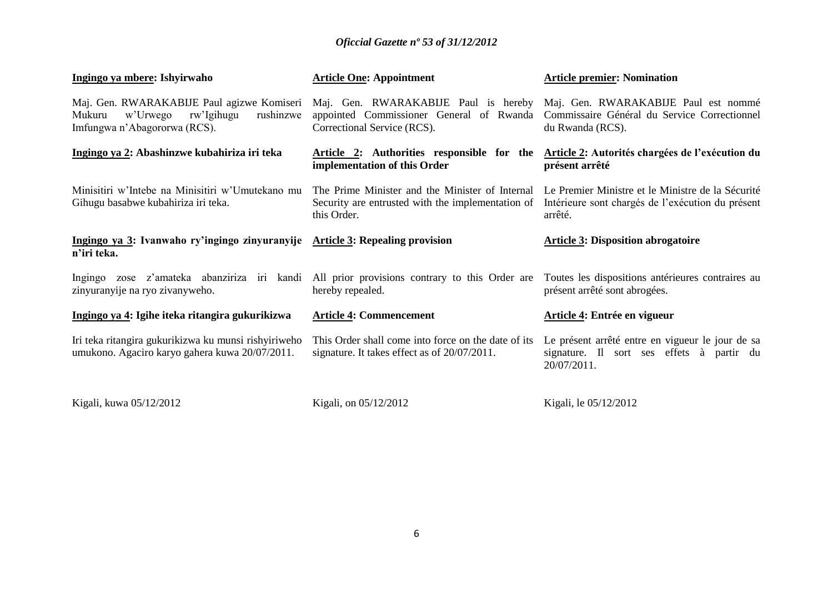| Ingingo ya mbere: Ishyirwaho                                                                                                | <b>Article One: Appointment</b>                                                                                                                      | <b>Article premier: Nomination</b>                                                                                |
|-----------------------------------------------------------------------------------------------------------------------------|------------------------------------------------------------------------------------------------------------------------------------------------------|-------------------------------------------------------------------------------------------------------------------|
| Maj. Gen. RWARAKABIJE Paul agizwe Komiseri<br>w'Urwego<br>rw'Igihugu<br>rushinzwe<br>Mukuru<br>Imfungwa n'Abagororwa (RCS). | Maj. Gen. RWARAKABIJE Paul is hereby Maj. Gen. RWARAKABIJE Paul est nommé<br>appointed Commissioner General of Rwanda<br>Correctional Service (RCS). | Commissaire Général du Service Correctionnel<br>du Rwanda (RCS).                                                  |
| Ingingo ya 2: Abashinzwe kubahiriza iri teka                                                                                | Article 2: Authorities responsible for the<br>implementation of this Order                                                                           | Article 2: Autorités chargées de l'exécution du<br>présent arrêté                                                 |
| Minisitiri w'Intebe na Minisitiri w'Umutekano mu<br>Gihugu basabwe kubahiriza iri teka.                                     | The Prime Minister and the Minister of Internal<br>Security are entrusted with the implementation of<br>this Order.                                  | Le Premier Ministre et le Ministre de la Sécurité<br>Intérieure sont chargés de l'exécution du présent<br>arrêté. |
| Ingingo ya 3: Ivanwaho ry'ingingo zinyuranyije Article 3: Repealing provision<br>n'iri teka.                                |                                                                                                                                                      | <b>Article 3: Disposition abrogatoire</b>                                                                         |
| Ingingo zose z'amateka abanziriza iri kandi<br>zinyuranyije na ryo zivanyweho.                                              | All prior provisions contrary to this Order are Toutes les dispositions antérieures contraires au<br>hereby repealed.                                | présent arrêté sont abrogées.                                                                                     |
| Ingingo ya 4: Igihe iteka ritangira gukurikizwa                                                                             | <b>Article 4: Commencement</b>                                                                                                                       | Article 4: Entrée en vigueur                                                                                      |
| Iri teka ritangira gukurikizwa ku munsi rishyiriweho<br>umukono. Agaciro karyo gahera kuwa 20/07/2011.                      | This Order shall come into force on the date of its<br>signature. It takes effect as of 20/07/2011.                                                  | Le présent arrêté entre en vigueur le jour de sa<br>signature. Il sort ses effets à partir du<br>20/07/2011.      |
| Kigali, kuwa 05/12/2012                                                                                                     | Kigali, on 05/12/2012                                                                                                                                | Kigali, le 05/12/2012                                                                                             |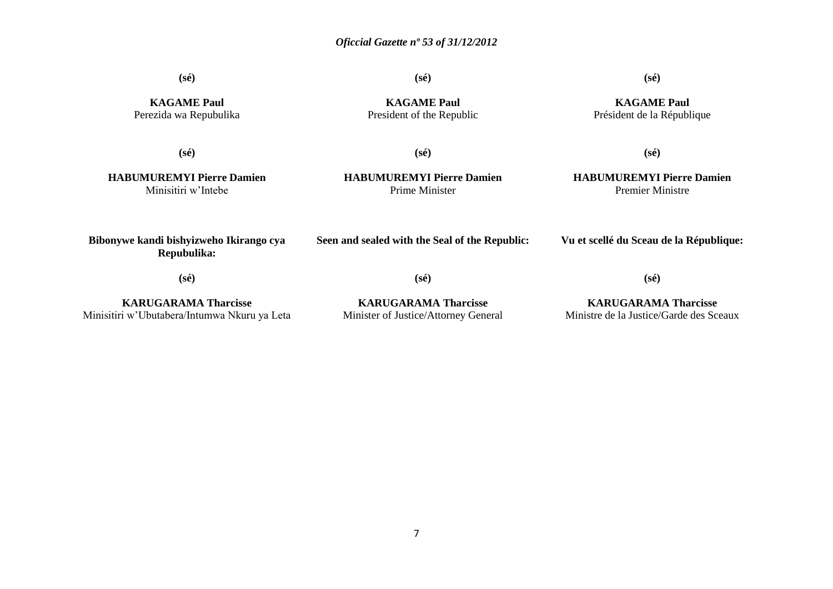**(sé)**

**(sé)**

# **(sé)**

**KAGAME Paul** Perezida wa Repubulika

**KAGAME Paul** President of the Republic

**KAGAME Paul** Président de la République

**(sé)**

**(sé)**

**HABUMUREMYI Pierre Damien** Minisitiri w'Intebe

**HABUMUREMYI Pierre Damien** Prime Minister

**Seen and sealed with the Seal of the Republic:**

**(sé)**

# **(sé)**

**HABUMUREMYI Pierre Damien** Premier Ministre

**Vu et scellé du Sceau de la République:**

**(sé)**

**Bibonywe kandi bishyizweho Ikirango cya Repubulika:**

**KARUGARAMA Tharcisse** Minisitiri w'Ubutabera/Intumwa Nkuru ya Leta

**(sé)**

**KARUGARAMA Tharcisse** Minister of Justice/Attorney General

**KARUGARAMA Tharcisse** Ministre de la Justice/Garde des Sceaux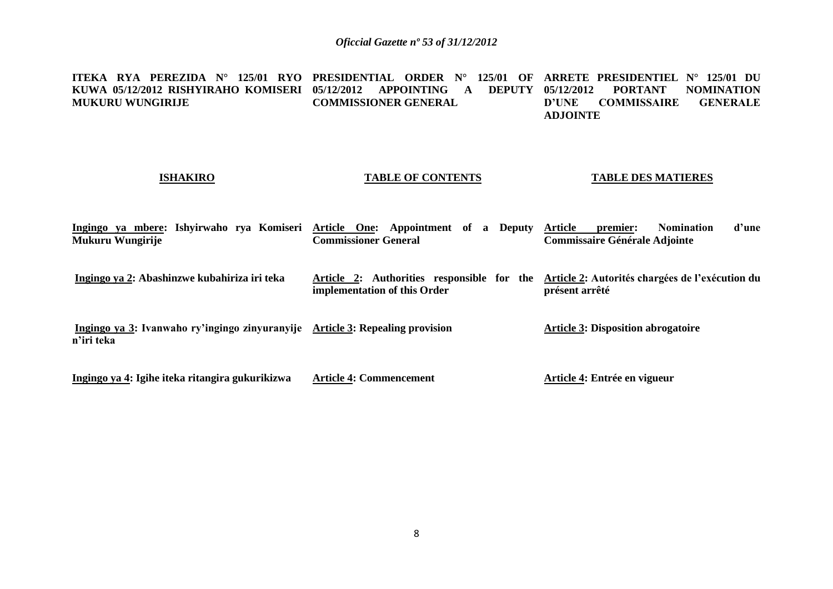**ITEKA RYA PEREZIDA N° 125/01 RYO PRESIDENTIAL ORDER N° 125/01 OF ARRETE PRESIDENTIEL N° 125/01 DU KUWA 05/12/2012 RISHYIRAHO KOMISERI 05/12/2012 APPOINTING A DEPUTY MUKURU WUNGIRIJE COMMISSIONER GENERAL 05/12/2012 PORTANT NOMINATION COMMISSAIRE ADJOINTE**

# **ISHAKIRO**

## **TABLE OF CONTENTS**

### **TABLE DES MATIERES**

|                  |  |  |                             |  |  |  |                                      | Ingingo ya mbere: Ishyirwaho rya Komiseri Article One: Appointment of a Deputy Article premier: Nomination d'une |  |
|------------------|--|--|-----------------------------|--|--|--|--------------------------------------|------------------------------------------------------------------------------------------------------------------|--|
| Mukuru Wungirije |  |  | <b>Commissioner General</b> |  |  |  | <b>Commissaire Générale Adjointe</b> |                                                                                                                  |  |

- **Ingingo ya 2: Abashinzwe kubahiriza iri teka Article 2: Authorities responsible for the Article 2: Autorités chargées de l'exécution du implementation of this Order présent arrêté**
- **Ingingo ya 3: Ivanwaho ry'ingingo zinyuranyije Article 3: Repealing provision n'iri teka Article 3: Disposition abrogatoire**

**Ingingo ya 4: Igihe iteka ritangira gukurikizwa Article 4: Commencement Article 4: Entrée en vigueur**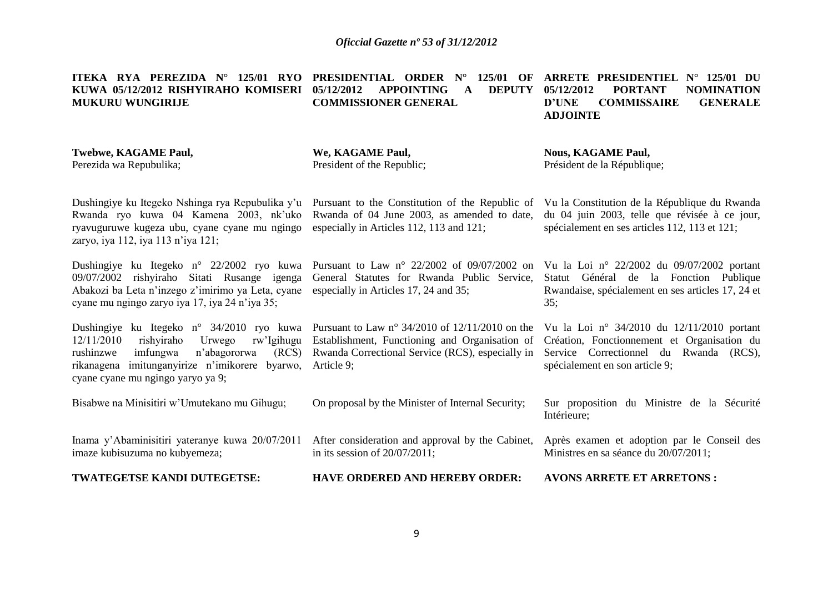| ITEKA RYA PEREZIDA $N^{\circ}$ 125/01 RYO<br>KUWA 05/12/2012 RISHYIRAHO KOMISERI<br><b>MUKURU WUNGIRIJE</b>                                                                                                                                  | <b>PRESIDENTIAL ORDER N°</b><br>125/01 OF<br>05/12/2012<br><b>APPOINTING</b><br><b>DEPUTY</b><br>A<br><b>COMMISSIONER GENERAL</b>                                     | <b>ARRETE PRESIDENTIEL</b><br>$N^{\circ}$ 125/01 DU<br>05/12/2012<br><b>PORTANT</b><br><b>NOMINATION</b><br><b>D'UNE</b><br><b>GENERALE</b><br><b>COMMISSAIRE</b><br><b>ADJOINTE</b> |
|----------------------------------------------------------------------------------------------------------------------------------------------------------------------------------------------------------------------------------------------|-----------------------------------------------------------------------------------------------------------------------------------------------------------------------|--------------------------------------------------------------------------------------------------------------------------------------------------------------------------------------|
| <b>Twebwe, KAGAME Paul,</b><br>Perezida wa Repubulika;                                                                                                                                                                                       | We, KAGAME Paul,<br>President of the Republic;                                                                                                                        | <b>Nous, KAGAME Paul,</b><br>Président de la République;                                                                                                                             |
| Dushingiye ku Itegeko Nshinga rya Repubulika y'u Pursuant to the Constitution of the Republic of<br>Rwanda ryo kuwa 04 Kamena 2003, nk'uko<br>ryavuguruwe kugeza ubu, cyane cyane mu ngingo<br>zaryo, iya 112, iya 113 n'iya 121;            | Rwanda of 04 June 2003, as amended to date,<br>especially in Articles 112, 113 and 121;                                                                               | Vu la Constitution de la République du Rwanda<br>du 04 juin 2003, telle que révisée à ce jour,<br>spécialement en ses articles 112, 113 et 121;                                      |
| Dushingiye ku Itegeko n° 22/2002 ryo kuwa<br>09/07/2002 rishyiraho Sitati Rusange igenga<br>Abakozi ba Leta n'inzego z'imirimo ya Leta, cyane<br>cyane mu ngingo zaryo iya 17, iya 24 n'iya 35;                                              | Pursuant to Law $n^{\circ}$ 22/2002 of 09/07/2002 on<br>General Statutes for Rwanda Public Service,<br>especially in Articles 17, 24 and 35;                          | Vu la Loi nº 22/2002 du 09/07/2002 portant<br>Statut Général de la Fonction Publique<br>Rwandaise, spécialement en ses articles 17, 24 et<br>35:                                     |
| Dushingiye ku Itegeko n° 34/2010 ryo kuwa<br>12/11/2010<br>rishyiraho<br>rw'Igihugu<br>Urwego<br>(RCS)<br>rushinzwe<br>imfungwa<br>n'abagororwa<br>imitunganyirize n'imikorere<br>rikanagena<br>byarwo,<br>cyane cyane mu ngingo yaryo ya 9; | Pursuant to Law n° 34/2010 of $12/11/2010$ on the<br>Establishment, Functioning and Organisation of<br>Rwanda Correctional Service (RCS), especially in<br>Article 9; | Vu la Loi nº 34/2010 du 12/11/2010 portant<br>Création, Fonctionnement et Organisation du<br>Service Correctionnel du Rwanda (RCS),<br>spécialement en son article 9;                |
| Bisabwe na Minisitiri w'Umutekano mu Gihugu;                                                                                                                                                                                                 | On proposal by the Minister of Internal Security;                                                                                                                     | Sur proposition du Ministre de la Sécurité<br>Intérieure;                                                                                                                            |
| Inama y'Abaminisitiri yateranye kuwa 20/07/2011<br>imaze kubisuzuma no kubyemeza;                                                                                                                                                            | After consideration and approval by the Cabinet,<br>in its session of $20/07/2011$ ;                                                                                  | Après examen et adoption par le Conseil des<br>Ministres en sa séance du 20/07/2011;                                                                                                 |
| TWATEGETSE KANDI DUTEGETSE:                                                                                                                                                                                                                  | <b>HAVE ORDERED AND HEREBY ORDER:</b>                                                                                                                                 | <b>AVONS ARRETE ET ARRETONS:</b>                                                                                                                                                     |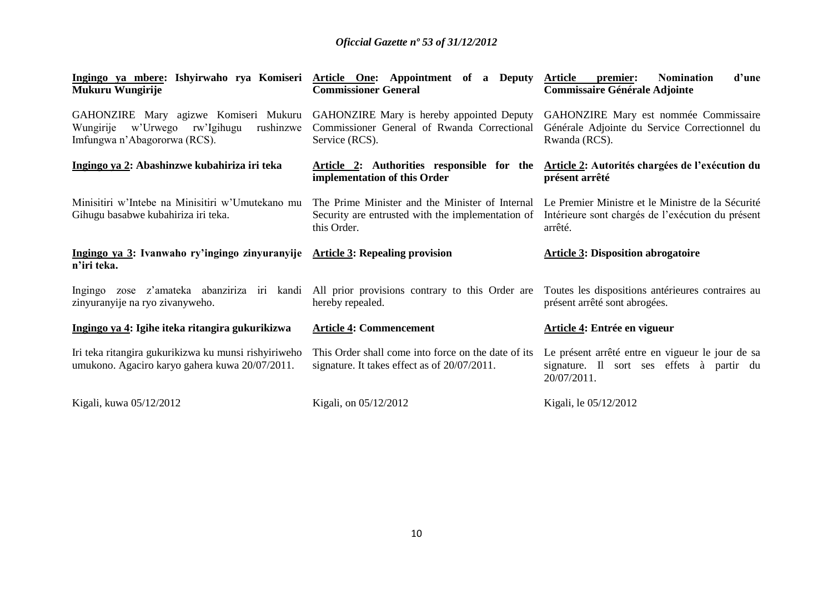| Ingingo ya mbere: Ishyirwaho rya Komiseri<br>Mukuru Wungirije                                                                                                       | <b>Article One:</b> Appointment of a Deputy<br><b>Commissioner General</b>                                          | <b>Article</b><br>d'une<br><b>Nomination</b><br>premier:<br><b>Commissaire Générale Adjointe</b>                  |  |  |
|---------------------------------------------------------------------------------------------------------------------------------------------------------------------|---------------------------------------------------------------------------------------------------------------------|-------------------------------------------------------------------------------------------------------------------|--|--|
| GAHONZIRE Mary agizwe Komiseri Mukuru GAHONZIRE Mary is hereby appointed Deputy<br>Wungirije<br>rushinzwe<br>w'Urwego<br>rw'Igihugu<br>Imfungwa n'Abagororwa (RCS). | Commissioner General of Rwanda Correctional<br>Service (RCS).                                                       | GAHONZIRE Mary est nommée Commissaire<br>Générale Adjointe du Service Correctionnel du<br>Rwanda (RCS).           |  |  |
| Ingingo ya 2: Abashinzwe kubahiriza iri teka                                                                                                                        | Article 2: Authorities responsible for the<br>implementation of this Order                                          | Article 2: Autorités chargées de l'exécution du<br>présent arrêté                                                 |  |  |
| Minisitiri w'Intebe na Minisitiri w'Umutekano mu<br>Gihugu basabwe kubahiriza iri teka.                                                                             | The Prime Minister and the Minister of Internal<br>Security are entrusted with the implementation of<br>this Order. | Le Premier Ministre et le Ministre de la Sécurité<br>Intérieure sont chargés de l'exécution du présent<br>arrêté. |  |  |
|                                                                                                                                                                     |                                                                                                                     |                                                                                                                   |  |  |
| Ingingo ya 3: Ivanwaho ry'ingingo zinyuranyije Article 3: Repealing provision<br>n'iri teka.                                                                        |                                                                                                                     | <b>Article 3: Disposition abrogatoire</b>                                                                         |  |  |
| Ingingo zose z'amateka abanziriza iri kandi<br>zinyuranyije na ryo zivanyweho.                                                                                      | All prior provisions contrary to this Order are<br>hereby repealed.                                                 | Toutes les dispositions antérieures contraires au<br>présent arrêté sont abrogées.                                |  |  |
| Ingingo ya 4: Igihe iteka ritangira gukurikizwa                                                                                                                     | <b>Article 4: Commencement</b>                                                                                      | Article 4: Entrée en vigueur                                                                                      |  |  |
| Iri teka ritangira gukurikizwa ku munsi rishyiriweho<br>umukono. Agaciro karyo gahera kuwa 20/07/2011.                                                              | This Order shall come into force on the date of its<br>signature. It takes effect as of 20/07/2011.                 | Le présent arrêté entre en vigueur le jour de sa<br>signature. Il sort ses effets à partir du<br>20/07/2011.      |  |  |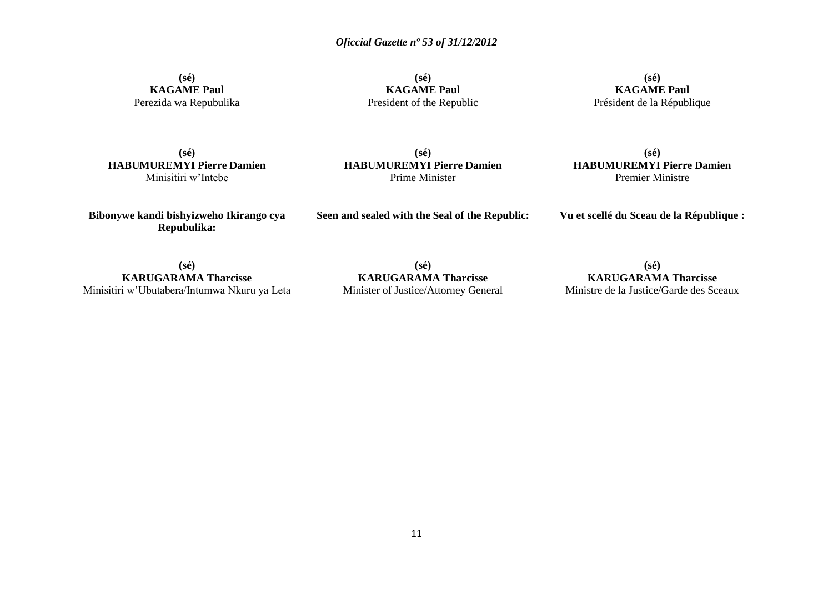**(sé) KAGAME Paul** Perezida wa Repubulika

**(sé) KAGAME Paul** President of the Republic

**(sé) KAGAME Paul** Président de la République

**(sé) HABUMUREMYI Pierre Damien** Minisitiri w'Intebe

**(sé) HABUMUREMYI Pierre Damien** Prime Minister

**(sé) HABUMUREMYI Pierre Damien** Premier Ministre

**Bibonywe kandi bishyizweho Ikirango cya Repubulika:**

**Seen and sealed with the Seal of the Republic:**

**Vu et scellé du Sceau de la République :**

**(sé) KARUGARAMA Tharcisse** Minisitiri w'Ubutabera/Intumwa Nkuru ya Leta

**(sé) KARUGARAMA Tharcisse** Minister of Justice/Attorney General

**(sé) KARUGARAMA Tharcisse** Ministre de la Justice/Garde des Sceaux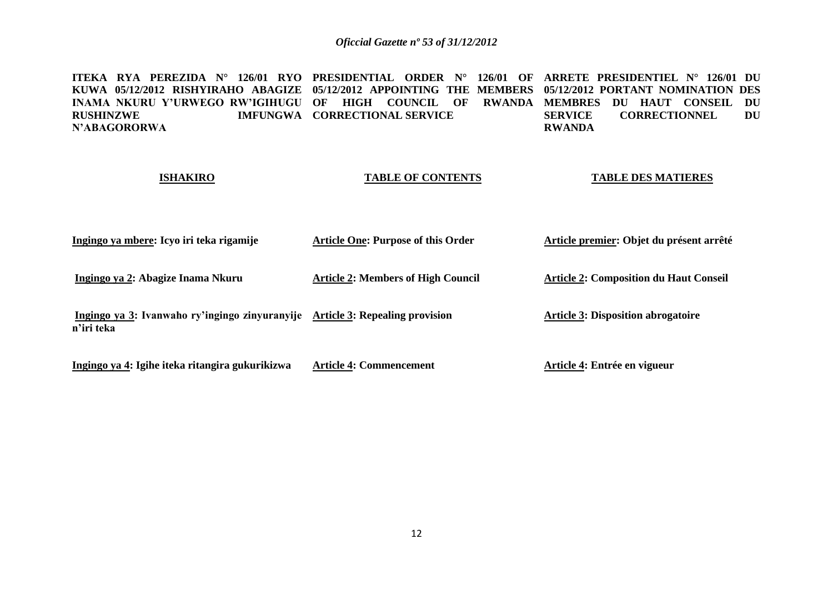**ITEKA RYA PEREZIDA N° 126/01 RYO PRESIDENTIAL ORDER N° 126/01 OF ARRETE PRESIDENTIEL N° 126/01 DU KUWA 05/12/2012 RISHYIRAHO ABAGIZE 05/12/2012 APPOINTING THE MEMBERS 05/12/2012 PORTANT NOMINATION DES INAMA NKURU Y'URWEGO RW'IGIHUGU OF HIGH COUNCIL OF RWANDA MEMBRES DU HAUT CONSEIL DU RUSHINZWE IMFUNGWA CORRECTIONAL SERVICE N'ABAGORORWA SERVICE CORRECTIONNEL DU RWANDA**

### **ISHAKIRO TABLE OF CONTENTS TABLE DES MATIERES**

| Ingingo ya mbere: Icyo iri teka rigamije                                                    | <b>Article One: Purpose of this Order</b> | Article premier: Objet du présent arrêté      |
|---------------------------------------------------------------------------------------------|-------------------------------------------|-----------------------------------------------|
| Ingingo ya 2: Abagize Inama Nkuru                                                           | <b>Article 2: Members of High Council</b> | <b>Article 2: Composition du Haut Conseil</b> |
| Ingingo ya 3: Ivanwaho ry'ingingo zinyuranyije Article 3: Repealing provision<br>n'iri teka |                                           | <b>Article 3: Disposition abrogatoire</b>     |
| Ingingo ya 4: Igihe iteka ritangira gukurikizwa                                             | <b>Article 4: Commencement</b>            | Article 4: Entrée en vigueur                  |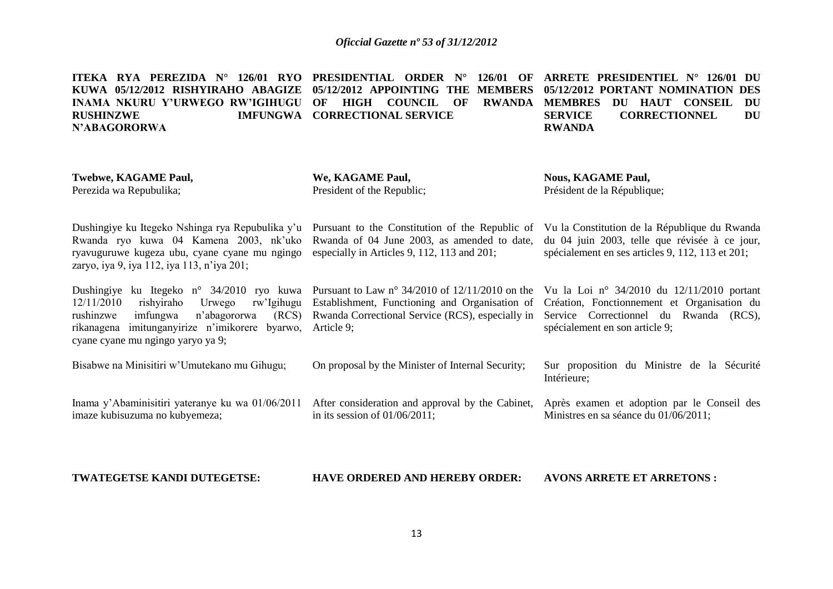| ITEKA RYA PEREZIDA N° 126/01 RYO PRESIDENTIAL ORDER N° 126/01 OF ARRETE PRESIDENTIEL N° 126/01 DU      |                               |                                         |
|--------------------------------------------------------------------------------------------------------|-------------------------------|-----------------------------------------|
| KUWA 05/12/2012 RISHYIRAHO ABAGIZE 05/12/2012 APPOINTING THE MEMBERS 05/12/2012 PORTANT NOMINATION DES |                               |                                         |
| INAMA NKURU Y'URWEGO RW'IGIHUGU OF HIGH COUNCIL OF RWANDA MEMBRES                                      |                               | DU HAUT CONSEIL DU                      |
| <b>RUSHINZWE</b>                                                                                       | IMFUNGWA CORRECTIONAL SERVICE | <b>CORRECTIONNEL</b><br>SERVICE<br>– DU |
| N'ABAGORORWA                                                                                           |                               | <b>RWANDA</b>                           |
|                                                                                                        |                               |                                         |
|                                                                                                        |                               |                                         |
| <b>Twebwe, KAGAME Paul,</b>                                                                            | We, KAGAME Paul,              | <b>Nous, KAGAME Paul,</b>               |
| Perezida wa Repubulika;                                                                                | President of the Republic;    | Président de la République;             |

| Dushingiye ku Itegeko Nshinga rya Repubulika y'u Pursuant to the Constitution of the Republic of<br>Rwanda ryo kuwa 04 Kamena 2003, nk'uko Rwanda of 04 June 2003, as amended to date,<br>ryavuguruwe kugeza ubu, cyane cyane mu ngingo especially in Articles 9, 112, 113 and 201;<br>zaryo, iya 9, iya 112, iya 113, n'iya 201; |                                                                                                                                                                                                               | Vu la Constitution de la République du Rwanda<br>du 04 juin 2003, telle que révisée à ce jour,<br>spécialement en ses articles 9, 112, 113 et 201; |
|-----------------------------------------------------------------------------------------------------------------------------------------------------------------------------------------------------------------------------------------------------------------------------------------------------------------------------------|---------------------------------------------------------------------------------------------------------------------------------------------------------------------------------------------------------------|----------------------------------------------------------------------------------------------------------------------------------------------------|
| Dushingiye ku Itegeko n° 34/2010 ryo kuwa Pursuant to Law n° 34/2010 of 12/11/2010 on the Vu la Loi n° 34/2010 du 12/11/2010 portant<br>12/11/2010<br>rishviraho<br>rushinzwe<br>imfungwa<br>n'abagororwa<br>rikanagena imitunganyirize n'imikorere byarwo, Article 9;<br>cyane cyane mu ngingo yaryo ya 9;                       | Urwego rw'Igihugu Establishment, Functioning and Organisation of Création, Fonctionnement et Organisation du<br>(RCS) Rwanda Correctional Service (RCS), especially in Service Correctionnel du Rwanda (RCS), | spécialement en son article 9;                                                                                                                     |
| Bisabwe na Minisitiri w'Umutekano mu Gihugu;                                                                                                                                                                                                                                                                                      | On proposal by the Minister of Internal Security;                                                                                                                                                             | Sur proposition du Ministre de la Sécurité                                                                                                         |

Inama y'Abaminisitiri yateranye ku wa 01/06/2011 After consideration and approval by the Cabinet, Après examen et adoption par le Conseil des imaze kubisuzuma no kubyemeza; in its session of 01/06/2011;

Intérieure;

Ministres en sa séance du 01/06/2011;

**TWATEGETSE KANDI DUTEGETSE:**

**HAVE ORDERED AND HEREBY ORDER: AVONS ARRETE ET ARRETONS :**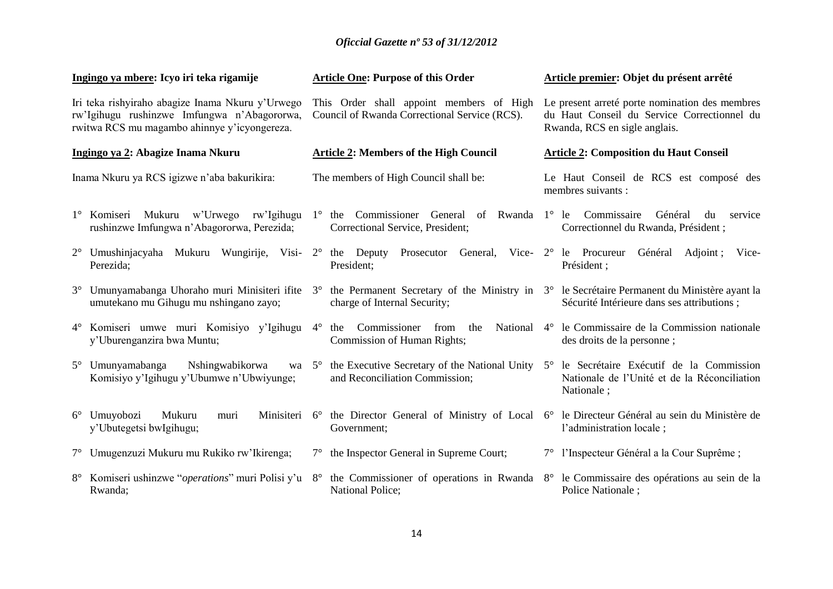|                                             | Ingingo ya mbere: Icyo iri teka rigamije                                                                                                        |             | <b>Article One: Purpose of this Order</b>                                                                                   | Article premier: Objet du présent arrêté                                                                                       |                                                                                                        |  |
|---------------------------------------------|-------------------------------------------------------------------------------------------------------------------------------------------------|-------------|-----------------------------------------------------------------------------------------------------------------------------|--------------------------------------------------------------------------------------------------------------------------------|--------------------------------------------------------------------------------------------------------|--|
|                                             | Iri teka rishyiraho abagize Inama Nkuru y'Urwego<br>rw'Igihugu rushinzwe Imfungwa n'Abagororwa,<br>rwitwa RCS mu magambo ahinnye y'icyongereza. |             | This Order shall appoint members of High<br>Council of Rwanda Correctional Service (RCS).                                   | Le present arreté porte nomination des membres<br>du Haut Conseil du Service Correctionnel du<br>Rwanda, RCS en sigle anglais. |                                                                                                        |  |
| Ingingo ya 2: Abagize Inama Nkuru           |                                                                                                                                                 |             | <b>Article 2: Members of the High Council</b>                                                                               | <b>Article 2: Composition du Haut Conseil</b>                                                                                  |                                                                                                        |  |
| Inama Nkuru ya RCS igizwe n'aba bakurikira: |                                                                                                                                                 |             | The members of High Council shall be:                                                                                       | Le Haut Conseil de RCS est composé des<br>membres suivants :                                                                   |                                                                                                        |  |
|                                             | 1° Komiseri Mukuru w'Urwego rw'Igihugu<br>rushinzwe Imfungwa n'Abagororwa, Perezida;                                                            |             | 1° the Commissioner General<br>of<br>Correctional Service, President;                                                       |                                                                                                                                | Rwanda 1° le Commissaire<br>Général<br>du<br>service<br>Correctionnel du Rwanda, Président ;           |  |
|                                             | 2° Umushinjacyaha Mukuru Wungirije, Visi-<br>Perezida;                                                                                          | $2^{\circ}$ | the Deputy<br>Prosecutor<br>General, Vice-<br>President;                                                                    |                                                                                                                                | $2^{\circ}$ le Procureur<br>Général<br>Adjoint;<br>Vice-<br>Président ;                                |  |
|                                             | 3° Umunyamabanga Uhoraho muri Minisiteri ifite<br>umutekano mu Gihugu mu nshingano zayo;                                                        | $3^\circ$   | the Permanent Secretary of the Ministry in 3° le Secretaire Permanent du Ministère ayant la<br>charge of Internal Security; |                                                                                                                                | Sécurité Intérieure dans ses attributions;                                                             |  |
|                                             | 4° Komiseri umwe muri Komisiyo y'Igihugu<br>y'Uburenganzira bwa Muntu;                                                                          | $4^{\circ}$ | the Commissioner<br>from<br>the<br>National<br>Commission of Human Rights;                                                  | $4^\circ$                                                                                                                      | le Commissaire de la Commission nationale<br>des droits de la personne;                                |  |
|                                             | 5° Umunyamabanga<br>Nshingwabikorwa<br>wa $5^\circ$<br>Komisiyo y'Igihugu y'Ubumwe n'Ubwiyunge;                                                 |             | the Executive Secretary of the National Unity 5°<br>and Reconciliation Commission;                                          |                                                                                                                                | le Secrétaire Exécutif de la Commission<br>Nationale de l'Unité et de la Réconciliation<br>Nationale ; |  |
|                                             | 6° Umuyobozi<br>Mukuru<br>Minisiteri 6°<br>muri<br>y'Ubutegetsi bwlgihugu;                                                                      |             | the Director General of Ministry of Local 6°<br>Government;                                                                 |                                                                                                                                | le Directeur Général au sein du Ministère de<br>l'administration locale;                               |  |
|                                             | 7° Umugenzuzi Mukuru mu Rukiko rw'Ikirenga;                                                                                                     | $7^{\circ}$ | the Inspector General in Supreme Court;                                                                                     |                                                                                                                                | 7° l'Inspecteur Général a la Cour Suprême;                                                             |  |
|                                             | 8° Komiseri ushinzwe " <i>operations</i> " muri Polisi y'u<br>Rwanda;                                                                           | $8^{\circ}$ | the Commissioner of operations in Rwanda<br><b>National Police;</b>                                                         | $8^{\circ}$                                                                                                                    | le Commissaire des opérations au sein de la<br>Police Nationale ;                                      |  |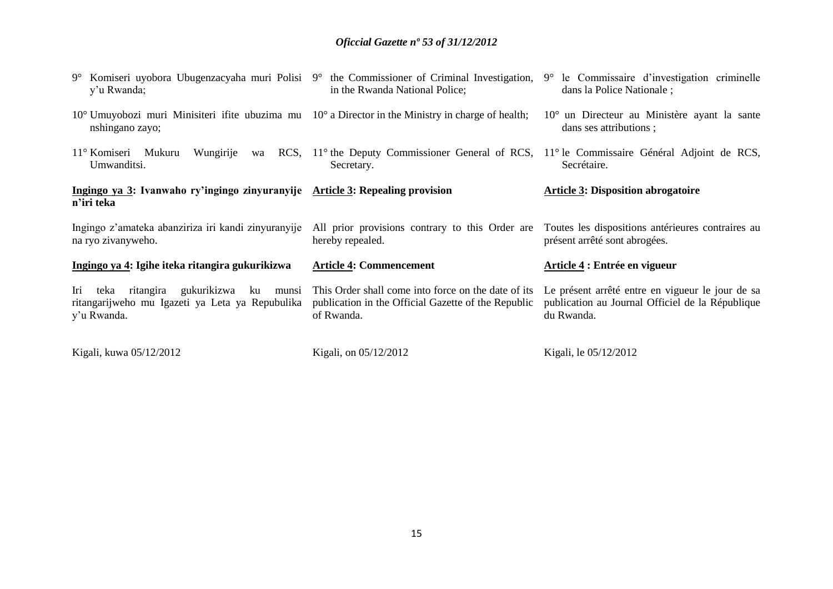| $9^{\circ}$ Komiseri uyobora Ubugenzacyaha muri Polisi $9^{\circ}$ the Commissioner of Criminal Investigation,<br>y'u Rwanda;            | in the Rwanda National Police;                                                                                                    | 9° le Commissaire d'investigation criminelle<br>dans la Police Nationale ;                                         |
|------------------------------------------------------------------------------------------------------------------------------------------|-----------------------------------------------------------------------------------------------------------------------------------|--------------------------------------------------------------------------------------------------------------------|
| $10^{\circ}$ Umuyobozi muri Minisiteri if the ubuzima mu $10^{\circ}$ a Director in the Ministry in charge of health;<br>nshingano zayo; |                                                                                                                                   | $10^{\circ}$ un Directeur au Ministère ayant la sante<br>dans ses attributions ;                                   |
| 11° Komiseri<br>Mukuru<br>Wungirije<br>wa<br>Umwanditsi.                                                                                 | RCS, 11 <sup>°</sup> the Deputy Commissioner General of RCS, 11 <sup>°</sup> le Commissaire Général Adjoint de RCS,<br>Secretary. | Secrétaire.                                                                                                        |
| Ingingo ya 3: Ivanwaho ry'ingingo zinyuranyije Article 3: Repealing provision<br>n'iri teka                                              |                                                                                                                                   | <b>Article 3: Disposition abrogatoire</b>                                                                          |
|                                                                                                                                          |                                                                                                                                   |                                                                                                                    |
| Ingingo z'amateka abanziriza iri kandi zinyuranyije<br>na ryo zivanyweho.                                                                | All prior provisions contrary to this Order are<br>hereby repealed.                                                               | Toutes les dispositions antérieures contraires au<br>présent arrêté sont abrogées.                                 |
| Ingingo ya 4: Igihe iteka ritangira gukurikizwa                                                                                          | <b>Article 4: Commencement</b>                                                                                                    | Article 4 : Entrée en vigueur                                                                                      |
| gukurikizwa<br>Iri<br>ritangira<br>teka<br>ku<br>munsi<br>ritangarijweho mu Igazeti ya Leta ya Repubulika<br>y'u Rwanda.                 | This Order shall come into force on the date of its<br>publication in the Official Gazette of the Republic<br>of Rwanda.          | Le présent arrêté entre en vigueur le jour de sa<br>publication au Journal Officiel de la République<br>du Rwanda. |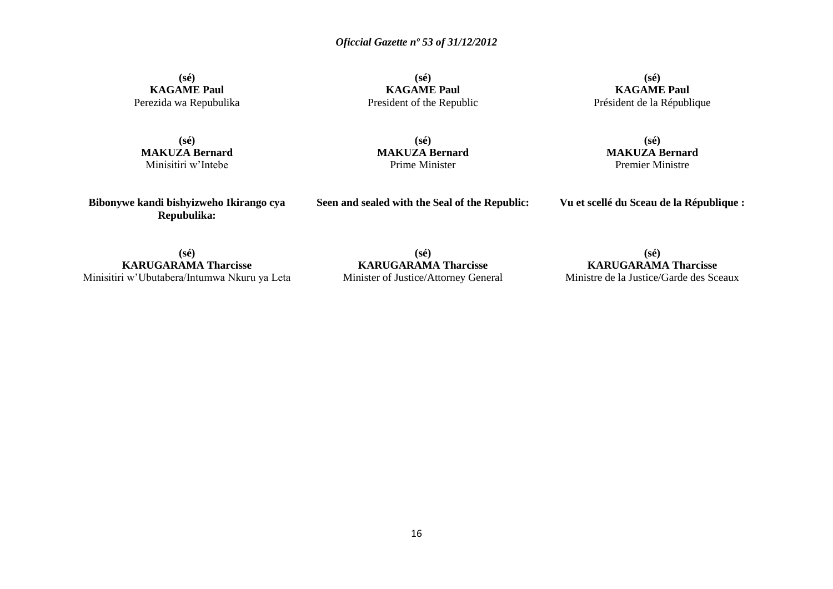**(sé) KAGAME Paul** Perezida wa Repubulika

**(sé) KAGAME Paul** President of the Republic

**(sé) KAGAME Paul** Président de la République

**(sé) MAKUZA Bernard** Minisitiri w'Intebe

**(sé) MAKUZA Bernard** Prime Minister

**(sé) MAKUZA Bernard** Premier Ministre

**Bibonywe kandi bishyizweho Ikirango cya Repubulika:**

**Seen and sealed with the Seal of the Republic:**

**Vu et scellé du Sceau de la République :**

**(sé) KARUGARAMA Tharcisse** Minisitiri w'Ubutabera/Intumwa Nkuru ya Leta

**(sé) KARUGARAMA Tharcisse** Minister of Justice/Attorney General

**(sé) KARUGARAMA Tharcisse** Ministre de la Justice/Garde des Sceaux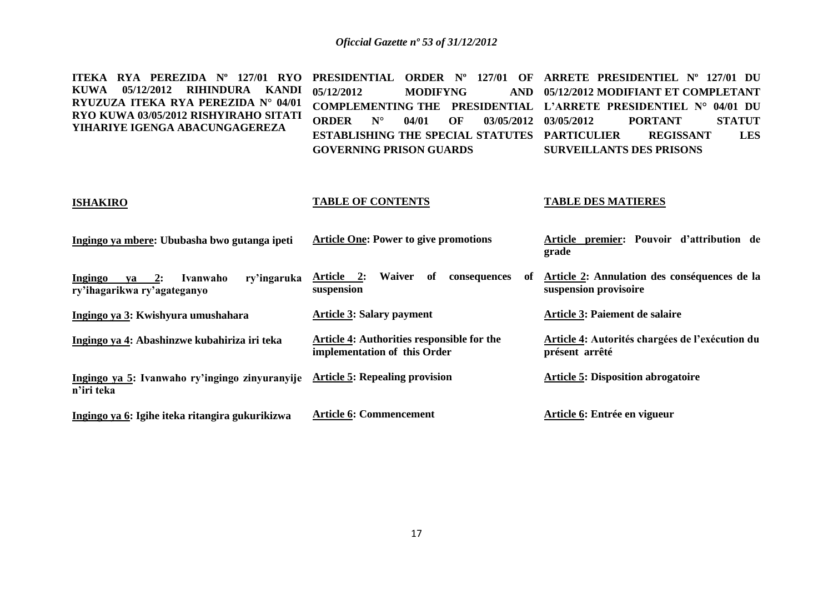| $RYA$ PEREZIDA $N^{\circ}$ 127/01<br><b>RYO</b><br><b>ITEKA</b><br><b>RIHINDURA</b><br><b>KUWA</b><br>05/12/2012<br><b>KANDI</b><br>RYUZUZA ITEKA RYA PEREZIDA N° 04/01<br>RYO KUWA 03/05/2012 RISHYIRAHO SITATI<br>YIHARIYE IGENGA ABACUNGAGEREZA | <b>PRESIDENTIAL</b><br><b>ORDER</b> N°<br>127/01<br>OF<br>05/12/2012<br><b>MODIFYNG</b><br><b>AND</b><br><b>COMPLEMENTING THE</b><br><b>PRESIDENTIAL</b><br><b>ORDER</b><br>$N^{\circ}$<br>04/01<br>OF<br>03/05/2012<br><b>ESTABLISHING THE SPECIAL STATUTES</b><br><b>GOVERNING PRISON GUARDS</b> | ARRETE PRESIDENTIEL Nº<br>127/01 DU<br>05/12/2012 MODIFIANT ET COMPLETANT<br>L'ARRETE PRESIDENTIEL N° 04/01 DU<br><b>STATUT</b><br>03/05/2012<br><b>PORTANT</b><br><b>PARTICULIER</b><br><b>REGISSANT</b><br><b>LES</b><br><b>SURVEILLANTS DES PRISONS</b> |
|----------------------------------------------------------------------------------------------------------------------------------------------------------------------------------------------------------------------------------------------------|----------------------------------------------------------------------------------------------------------------------------------------------------------------------------------------------------------------------------------------------------------------------------------------------------|------------------------------------------------------------------------------------------------------------------------------------------------------------------------------------------------------------------------------------------------------------|
| <b>ISHAKIRO</b>                                                                                                                                                                                                                                    | <b>TABLE OF CONTENTS</b>                                                                                                                                                                                                                                                                           | <b>TABLE DES MATIERES</b>                                                                                                                                                                                                                                  |
| Ingingo ya mbere: Ububasha bwo gutanga ipeti                                                                                                                                                                                                       | <b>Article One: Power to give promotions</b>                                                                                                                                                                                                                                                       | Article premier: Pouvoir d'attribution de<br>grade                                                                                                                                                                                                         |
| ry'ingaruka<br>Ingingo<br>2:<br>Ivanwaho<br>va<br>ry'ihagarikwa ry'agateganyo                                                                                                                                                                      | Waiver<br>Article 2:<br>of<br>consequences<br>of<br>suspension                                                                                                                                                                                                                                     | Article 2: Annulation des conséquences de la<br>suspension provisoire                                                                                                                                                                                      |
| Ingingo ya 3: Kwishyura umushahara                                                                                                                                                                                                                 | <b>Article 3: Salary payment</b>                                                                                                                                                                                                                                                                   | Article 3: Paiement de salaire                                                                                                                                                                                                                             |
| Ingingo ya 4: Abashinzwe kubahiriza iri teka                                                                                                                                                                                                       | <b>Article 4: Authorities responsible for the</b><br>implementation of this Order                                                                                                                                                                                                                  | Article 4: Autorités chargées de l'exécution du<br>présent arrêté                                                                                                                                                                                          |
| Ingingo ya 5: Ivanwaho ry'ingingo zinyuranyije<br>n'iri teka                                                                                                                                                                                       | <b>Article 5: Repealing provision</b>                                                                                                                                                                                                                                                              | <b>Article 5: Disposition abrogatoire</b>                                                                                                                                                                                                                  |
| Ingingo ya 6: Igihe iteka ritangira gukurikizwa                                                                                                                                                                                                    | <b>Article 6: Commencement</b>                                                                                                                                                                                                                                                                     | Article 6: Entrée en vigueur                                                                                                                                                                                                                               |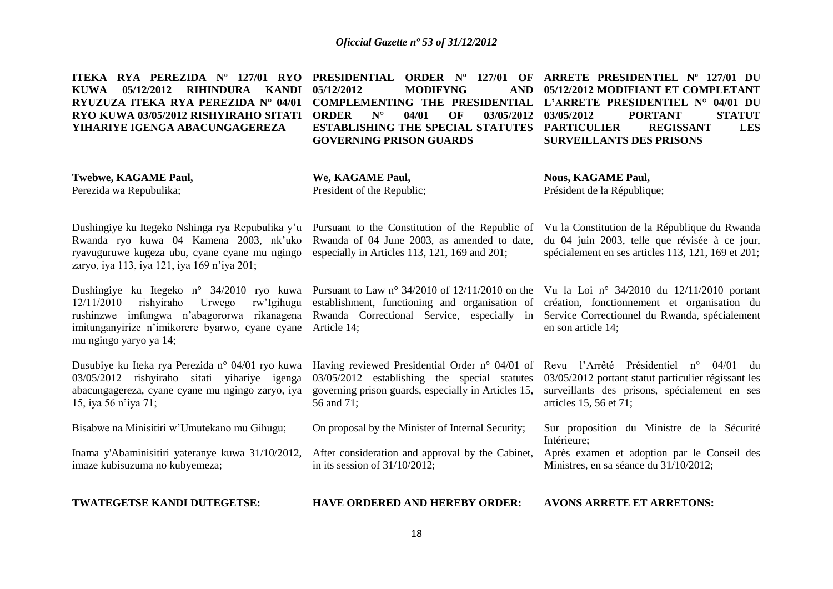|  |                                |  |                                                                |          |  |                                                      | ITEKA RYA PEREZIDA N° 127/01 RYO PRESIDENTIAL ORDER N° 127/01 OF ARRETE PRESIDENTIEL N° 127/01 DU    |               |
|--|--------------------------------|--|----------------------------------------------------------------|----------|--|------------------------------------------------------|------------------------------------------------------------------------------------------------------|---------------|
|  |                                |  | KUWA 05/12/2012 RIHINDURA KANDI 05/12/2012                     |          |  |                                                      | MODIFYNG AND 05/12/2012 MODIFIANT ET COMPLETANT                                                      |               |
|  |                                |  |                                                                |          |  |                                                      | RYUZUZA ITEKA RYA PEREZIDA N° 04/01 COMPLEMENTING THE PRESIDENTIAL L'ARRETE PRESIDENTIEL N° 04/01 DU |               |
|  |                                |  | <b>RYO KUWA 03/05/2012 RISHYIRAHO SITATI ORDER</b> $N^{\circ}$ | 04/01 OF |  | 03/05/2012 03/05/2012                                | <b>PORTANT</b>                                                                                       | <b>STATUT</b> |
|  | YIHARIYE IGENGA ABACUNGAGEREZA |  |                                                                |          |  | <b>ESTABLISHING THE SPECIAL STATUTES PARTICULIER</b> | <b>REGISSANT</b>                                                                                     | <b>LES</b>    |
|  |                                |  | <b>GOVERNING PRISON GUARDS</b>                                 |          |  |                                                      | <b>SURVEILLANTS DES PRISONS</b>                                                                      |               |
|  |                                |  |                                                                |          |  |                                                      |                                                                                                      |               |

**Twebwe, KAGAME Paul,** Perezida wa Repubulika;

**We, KAGAME Paul,** President of the Republic;

**Nous, KAGAME Paul,** Président de la République;

Dushingiye ku Itegeko Nshinga rya Repubulika y'u Pursuant to the Constitution of the Republic of Rwanda ryo kuwa 04 Kamena 2003, nk'uko Rwanda of 04 June 2003, as amended to date, ryavuguruwe kugeza ubu, cyane cyane mu ngingo especially in Articles 113, 121, 169 and 201; zaryo, iya 113, iya 121, iya 169 n'iya 201;

Dushingiye ku Itegeko n° 34/2010 ryo kuwa Pursuant to Law n° 34/2010 of 12/11/2010 on the Vu la Loi n° 34/2010 du 12/11/2010 portant  $12/11/2010$  rishyiraho Urwego rushinzwe imfungwa n'abagororwa rikanagena Rwanda Correctional Service, especially in Service Correctionnel du Rwanda, spécialement imitunganyirize n'imikorere byarwo, cyane cyane Article 14; mu ngingo yaryo ya 14;

Dusubiye ku Iteka rya Perezida n° 04/01 ryo kuwa 03/05/2012 rishyiraho sitati yihariye igenga abacungagereza, cyane cyane mu ngingo zaryo, iya governing prison guards, especially in Articles 15, 15, iya 56 n'iya 71;

Bisabwe na Minisitiri w'Umutekano mu Gihugu;

Inama y'Abaminisitiri yateranye kuwa 31/10/2012, imaze kubisuzuma no kubyemeza;

**TWATEGETSE KANDI DUTEGETSE:**

rw'lgihugu establishment, functioning and organisation of

Having reviewed Presidential Order n° 04/01 of Revu l'Arrêté Présidentiel n° 04/01 du 03/05/2012 establishing the special statutes 56 and 71;

On proposal by the Minister of Internal Security;

After consideration and approval by the Cabinet, in its session of 31/10/2012;

création, fonctionnement et organisation du en son article 14;

Vu la Constitution de la République du Rwanda du 04 juin 2003, telle que révisée à ce jour, spécialement en ses articles 113, 121, 169 et 201;

03/05/2012 portant statut particulier régissant les surveillants des prisons, spécialement en ses articles 15, 56 et 71;

Sur proposition du Ministre de la Sécurité Intérieure;

Après examen et adoption par le Conseil des Ministres, en sa séance du 31/10/2012;

**HAVE ORDERED AND HEREBY ORDER:**

**AVONS ARRETE ET ARRETONS:**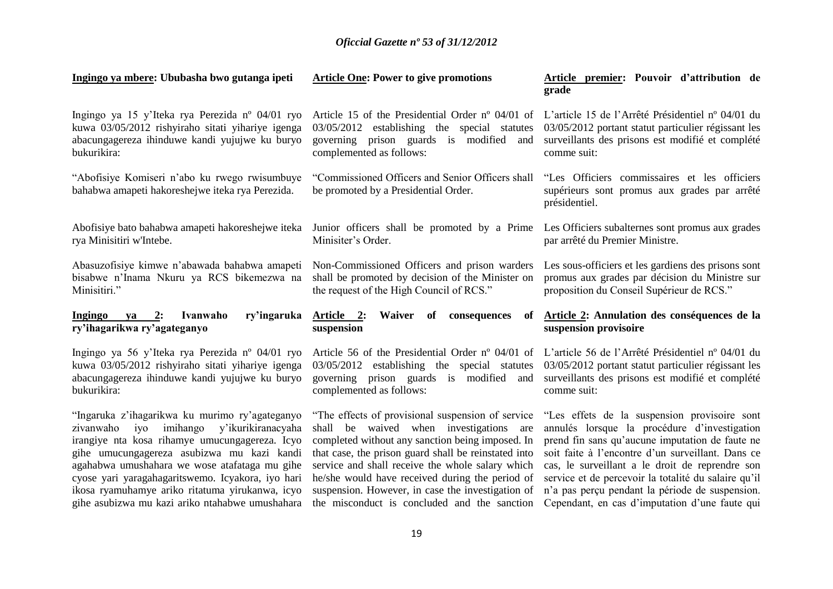| Ingingo ya mbere: Ububasha bwo gutanga ipeti                                                                                                                                                                                                                                                                                                                                                                     | <b>Article One: Power to give promotions</b>                                                                                                                                                                                                                                                                                                                                                                          | Article premier: Pouvoir d'attribution de<br>grade                                                                                                                                                                                                                                                                                                                                                                   |
|------------------------------------------------------------------------------------------------------------------------------------------------------------------------------------------------------------------------------------------------------------------------------------------------------------------------------------------------------------------------------------------------------------------|-----------------------------------------------------------------------------------------------------------------------------------------------------------------------------------------------------------------------------------------------------------------------------------------------------------------------------------------------------------------------------------------------------------------------|----------------------------------------------------------------------------------------------------------------------------------------------------------------------------------------------------------------------------------------------------------------------------------------------------------------------------------------------------------------------------------------------------------------------|
| Ingingo ya 15 y'Iteka rya Perezida nº 04/01 ryo<br>kuwa 03/05/2012 rishyiraho sitati yihariye igenga<br>abacungagereza ihinduwe kandi yujujwe ku buryo<br>bukurikira:                                                                                                                                                                                                                                            | Article 15 of the Presidential Order n° 04/01 of<br>03/05/2012<br>establishing the special statutes<br>governing prison guards is modified<br>and<br>complemented as follows:                                                                                                                                                                                                                                         | L'article 15 de l'Arrêté Présidentiel n° 04/01 du<br>03/05/2012 portant statut particulier régissant les<br>surveillants des prisons est modifié et complété<br>comme suit:                                                                                                                                                                                                                                          |
| "Abofisiye Komiseri n'abo ku rwego rwisumbuye<br>bahabwa amapeti hakoreshejwe iteka rya Perezida.                                                                                                                                                                                                                                                                                                                | "Commissioned Officers and Senior Officers shall<br>be promoted by a Presidential Order.                                                                                                                                                                                                                                                                                                                              | "Les Officiers commissaires et les officiers"<br>supérieurs sont promus aux grades par arrêté<br>présidentiel.                                                                                                                                                                                                                                                                                                       |
| Abofisiye bato bahabwa amapeti hakoreshejwe iteka<br>rya Minisitiri w'Intebe.                                                                                                                                                                                                                                                                                                                                    | Junior officers shall be promoted by a Prime<br>Minisiter's Order.                                                                                                                                                                                                                                                                                                                                                    | Les Officiers subalternes sont promus aux grades<br>par arrêté du Premier Ministre.                                                                                                                                                                                                                                                                                                                                  |
| Abasuzofisiye kimwe n'abawada bahabwa amapeti<br>bisabwe n'Inama Nkuru ya RCS bikemezwa na<br>Minisitiri."                                                                                                                                                                                                                                                                                                       | Non-Commissioned Officers and prison warders<br>shall be promoted by decision of the Minister on<br>the request of the High Council of RCS."                                                                                                                                                                                                                                                                          | Les sous-officiers et les gardiens des prisons sont<br>promus aux grades par décision du Ministre sur<br>proposition du Conseil Supérieur de RCS."                                                                                                                                                                                                                                                                   |
| ry'ingaruka<br>Ingingo<br>2:<br>Ivanwaho<br>va<br>ry'ihagarikwa ry'agateganyo                                                                                                                                                                                                                                                                                                                                    | Article 2:<br>Waiver of<br>consequences<br>of<br>suspension                                                                                                                                                                                                                                                                                                                                                           | Article 2: Annulation des conséquences de la<br>suspension provisoire                                                                                                                                                                                                                                                                                                                                                |
| Ingingo ya 56 y'Iteka rya Perezida nº 04/01 ryo<br>kuwa 03/05/2012 rishyiraho sitati yihariye igenga<br>abacungagereza ihinduwe kandi yujujwe ku buryo<br>bukurikira:                                                                                                                                                                                                                                            | Article 56 of the Presidential Order nº 04/01 of<br>03/05/2012 establishing the special statutes<br>governing prison guards is modified and<br>complemented as follows:                                                                                                                                                                                                                                               | L'article 56 de l'Arrêté Présidentiel nº 04/01 du<br>03/05/2012 portant statut particulier régissant les<br>surveillants des prisons est modifié et complété<br>comme suit:                                                                                                                                                                                                                                          |
| "Ingaruka z'ihagarikwa ku murimo ry'agateganyo<br>zivanwaho<br>iyo<br>imihango<br>y'ikurikiranacyaha<br>irangiye nta kosa rihamye umucungagereza. Icyo<br>gihe umucungagereza asubizwa mu kazi kandi<br>agahabwa umushahara we wose atafataga mu gihe<br>cyose yari yaragahagaritswemo. Icyakora, iyo hari<br>ikosa ryamuhamye ariko ritatuma yirukanwa, icyo<br>gihe asubizwa mu kazi ariko ntahabwe umushahara | "The effects of provisional suspension of service"<br>shall be waived when investigations are<br>completed without any sanction being imposed. In<br>that case, the prison guard shall be reinstated into<br>service and shall receive the whole salary which<br>he/she would have received during the period of<br>suspension. However, in case the investigation of<br>the misconduct is concluded and the sanction | "Les effets de la suspension provisoire sont<br>annulés lorsque la procédure d'investigation<br>prend fin sans qu'aucune imputation de faute ne<br>soit faite à l'encontre d'un surveillant. Dans ce<br>cas, le surveillant a le droit de reprendre son<br>service et de percevoir la totalité du salaire qu'il<br>n'a pas perçu pendant la période de suspension.<br>Cependant, en cas d'imputation d'une faute qui |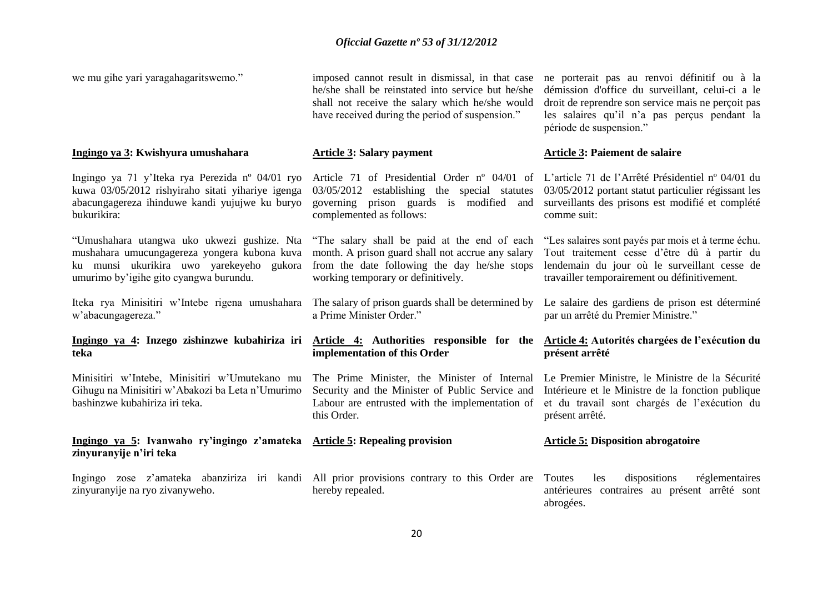we mu gihe yari yaragahagaritswemo."

### **Ingingo ya 3: Kwishyura umushahara**

Ingingo ya 71 y'Iteka rya Perezida nº 04/01 ryo kuwa 03/05/2012 rishyiraho sitati yihariye igenga abacungagereza ihinduwe kandi yujujwe ku buryo bukurikira:

"Umushahara utangwa uko ukwezi gushize. Nta mushahara umucungagereza yongera kubona kuva ku munsi ukurikira uwo yarekeyeho gukora umurimo by'igihe gito cyangwa burundu.

w'abacungagereza."

# **Ingingo ya 4: Inzego zishinzwe kubahiriza iri Article 4: Authorities responsible for the Article 4: Autorités chargées de l'exécution du teka**

Minisitiri w'Intebe, Minisitiri w'Umutekano mu Gihugu na Minisitiri w'Abakozi ba Leta n'Umurimo bashinzwe kubahiriza iri teka.

# **Ingingo ya 5: Ivanwaho ry'ingingo z'amateka Article 5: Repealing provision zinyuranyije n'iri teka**

zinyuranyije na ryo zivanyweho.

imposed cannot result in dismissal, in that case he/she shall be reinstated into service but he/she shall not receive the salary which he/she would have received during the period of suspension."

## **Article 3: Salary payment**

03/05/2012 establishing the special statutes 03/05/2012 portant statut particulier régissant les governing prison guards is modified and surveillants des prisons est modifié et complété complemented as follows:

"The salary shall be paid at the end of each month. A prison guard shall not accrue any salary from the date following the day he/she stops working temporary or definitively.

a Prime Minister Order."

# **implementation of this Order**

Security and the Minister of Public Service and Labour are entrusted with the implementation of this Order.

Ingingo zose z'amateka abanziriza iri kandi All prior provisions contrary to this Order are hereby repealed.

ne porterait pas au renvoi définitif ou à la démission d'office du surveillant, celui-ci a le droit de reprendre son service mais ne perçoit pas les salaires qu'il n'a pas perçus pendant la période de suspension."

### **Article 3: Paiement de salaire**

Article 71 of Presidential Order nº 04/01 of L'article 71 de l'Arrêté Présidentiel nº 04/01 du comme suit:

> "Les salaires sont payés par mois et à terme échu. Tout traitement cesse d'être dû à partir du lendemain du jour où le surveillant cesse de travailler temporairement ou définitivement.

Iteka rya Minisitiri w'Intebe rigena umushahara The salary of prison guards shall be determined by Le salaire des gardiens de prison est déterminé par un arrêté du Premier Ministre."

# **présent arrêté**

The Prime Minister, the Minister of Internal Le Premier Ministre, le Ministre de la Sécurité Intérieure et le Ministre de la fonction publique et du travail sont chargés de l'exécution du présent arrêté.

## **Article 5: Disposition abrogatoire**

Toutes les dispositions réglementaires antérieures contraires au présent arrêté sont abrogées.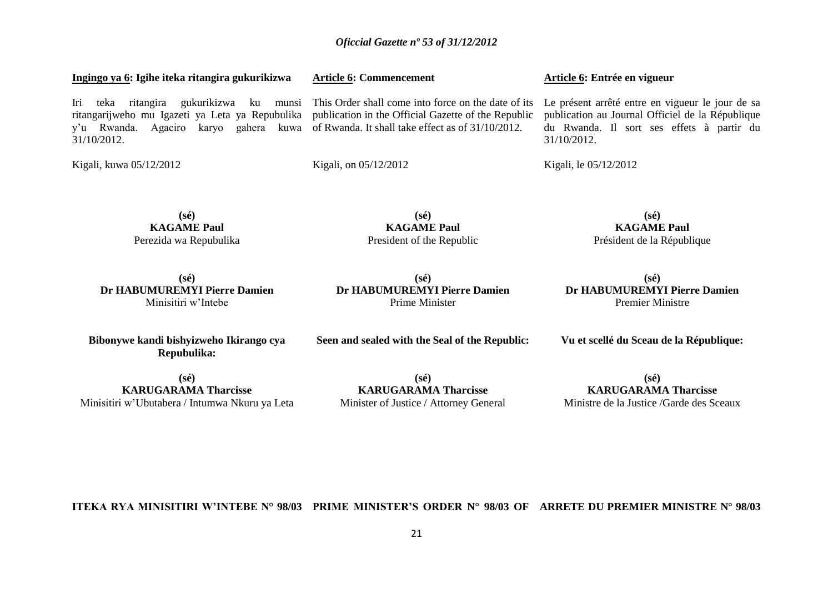| Ingingo ya 6: Igihe iteka ritangira gukurikizwa                                                                                                                                                                                                                                         | <b>Article 6: Commencement</b>                                                                                            | Article 6: Entrée en vigueur                             |
|-----------------------------------------------------------------------------------------------------------------------------------------------------------------------------------------------------------------------------------------------------------------------------------------|---------------------------------------------------------------------------------------------------------------------------|----------------------------------------------------------|
| Iri teka<br>ritangira<br>ritangarijweho mu Igazeti ya Leta ya Repubulika publication in the Official Gazette of the Republic publication au Journal Officiel de la République<br>y'u Rwanda. Agaciro karyo gahera kuwa of Rwanda. It shall take effect as of 31/10/2012.<br>31/10/2012. | gukurikizwa ku munsi This Order shall come into force on the date of its Le présent arrêté entre en vigueur le jour de sa | du Rwanda. Il sort ses effets à partir du<br>31/10/2012. |
| Kigali, kuwa 05/12/2012                                                                                                                                                                                                                                                                 | Kigali, on 05/12/2012                                                                                                     | Kigali, le 05/12/2012                                    |

**(sé) KAGAME Paul** Perezida wa Repubulika

**(sé) Dr HABUMUREMYI Pierre Damien** Minisitiri w'Intebe

**Dr HABUMUREMYI Pierre Damien** Prime Minister

**(sé)**

**(sé) KAGAME Paul** President of the Republic

# **Dr HABUMUREMYI Pierre Damien** Premier Ministre

**Vu et scellé du Sceau de la République:**

**Bibonywe kandi bishyizweho Ikirango cya Repubulika:**

**(sé) KARUGARAMA Tharcisse** Minister of Justice / Attorney General

**(sé) KARUGARAMA Tharcisse**

Ministre de la Justice /Garde des Sceaux

**ITEKA RYA MINISITIRI W'INTEBE N° 98/03 PRIME MINISTER'S ORDER N° 98/03 OF ARRETE DU PREMIER MINISTRE N° 98/03**

**(sé) KAGAME Paul**

Président de la République

**(sé)**

# **Seen and sealed with the Seal of the Republic:**

**(sé)**

**KARUGARAMA Tharcisse** Minisitiri w'Ubutabera / Intumwa Nkuru ya Leta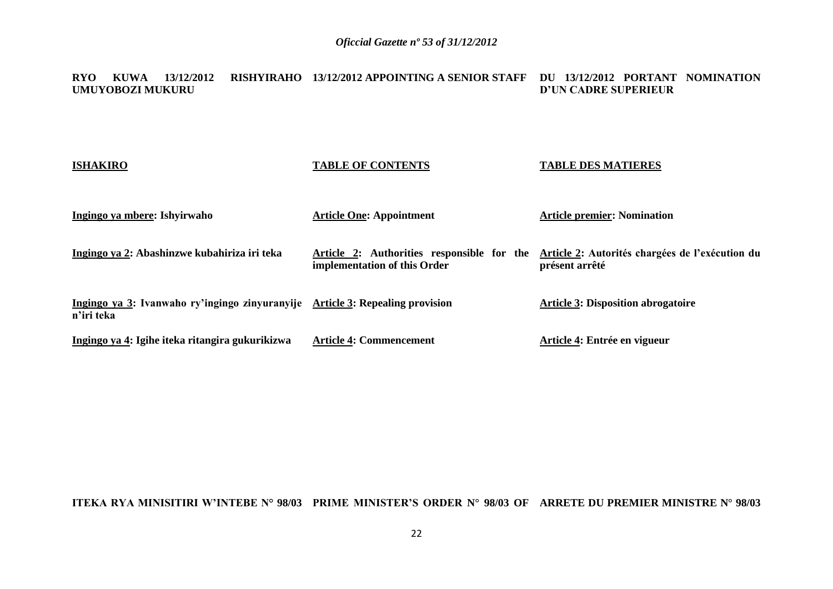#### **RYO KUWA 13/12/2012 RISHYIRAHO 13/12/2012 APPOINTING A SENIOR STAFF DU 13/12/2012 PORTANT NOMINATION UMUYOBOZI MUKURU D'UN CADRE SUPERIEUR**

| <b>ISHAKIRO</b>                                                                             | <b>TABLE OF CONTENTS</b>                                                   | <b>TABLE DES MATIERES</b>                                         |
|---------------------------------------------------------------------------------------------|----------------------------------------------------------------------------|-------------------------------------------------------------------|
| Ingingo ya mbere: Ishyirwaho                                                                | <b>Article One: Appointment</b>                                            | <b>Article premier: Nomination</b>                                |
| Ingingo ya 2: Abashinzwe kubahiriza iri teka                                                | Article 2: Authorities responsible for the<br>implementation of this Order | Article 2: Autorités chargées de l'exécution du<br>présent arrêté |
| Ingingo ya 3: Ivanwaho ry'ingingo zinyuranyije Article 3: Repealing provision<br>n'iri teka |                                                                            | <b>Article 3: Disposition abrogatoire</b>                         |
| Ingingo ya 4: Igihe iteka ritangira gukurikizwa                                             | <b>Article 4: Commencement</b>                                             | Article 4: Entrée en vigueur                                      |

# **ITEKA RYA MINISITIRI W'INTEBE N° 98/03 PRIME MINISTER'S ORDER N° 98/03 OF ARRETE DU PREMIER MINISTRE N° 98/03**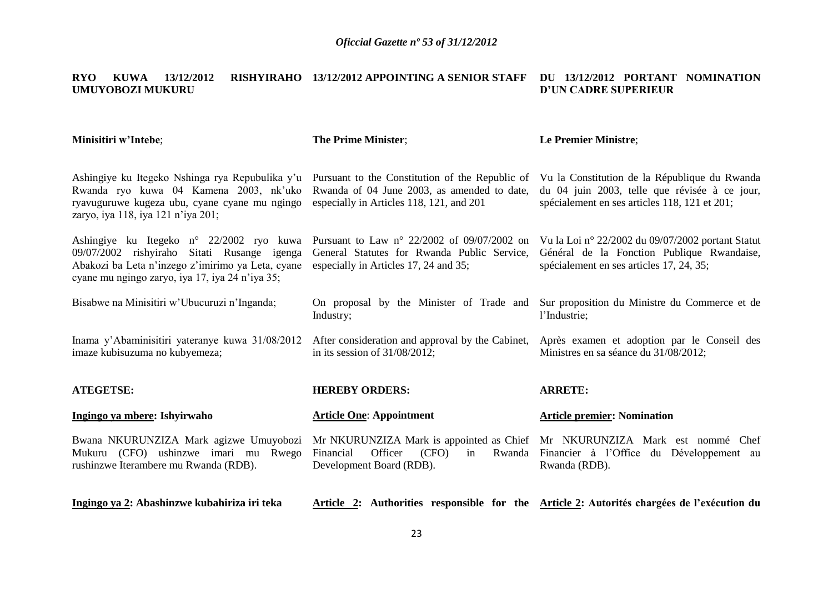#### **RYO KUWA 13/12/2012 RISHYIRAHO 13/12/2012 APPOINTING A SENIOR STAFF DU 13/12/2012 PORTANT NOMINATION UMUYOBOZI MUKURU D'UN CADRE SUPERIEUR**

| <b>Minisitiri w'Intebe;</b>                                                                                                                                                                     | <b>The Prime Minister;</b>                                                                                                                   | <b>Le Premier Ministre;</b>                                                                                                                     |
|-------------------------------------------------------------------------------------------------------------------------------------------------------------------------------------------------|----------------------------------------------------------------------------------------------------------------------------------------------|-------------------------------------------------------------------------------------------------------------------------------------------------|
| Ashingiye ku Itegeko Nshinga rya Repubulika y'u<br>Rwanda ryo kuwa 04 Kamena 2003, nk'uko<br>ryavuguruwe kugeza ubu, cyane cyane mu ngingo<br>zaryo, iya 118, iya 121 n'iya 201;                | Pursuant to the Constitution of the Republic of<br>Rwanda of 04 June 2003, as amended to date,<br>especially in Articles 118, 121, and 201   | Vu la Constitution de la République du Rwanda<br>du 04 juin 2003, telle que révisée à ce jour,<br>spécialement en ses articles 118, 121 et 201; |
| Ashingiye ku Itegeko n° 22/2002 ryo kuwa<br>09/07/2002 rishyiraho Sitati Rusange igenga<br>Abakozi ba Leta n'inzego z'imirimo ya Leta, cyane<br>cyane mu ngingo zaryo, iya 17, iya 24 n'iya 35; | Pursuant to Law $n^{\circ}$ 22/2002 of 09/07/2002 on<br>General Statutes for Rwanda Public Service,<br>especially in Articles 17, 24 and 35; | Vu la Loi nº 22/2002 du 09/07/2002 portant Statut<br>Général de la Fonction Publique Rwandaise,<br>spécialement en ses articles 17, 24, 35;     |
| Bisabwe na Minisitiri w'Ubucuruzi n'Inganda;                                                                                                                                                    | On proposal by the Minister of Trade and<br>Industry;                                                                                        | Sur proposition du Ministre du Commerce et de<br>l'Industrie;                                                                                   |
| Inama y'Abaminisitiri yateranye kuwa 31/08/2012<br>imaze kubisuzuma no kubyemeza;                                                                                                               | After consideration and approval by the Cabinet,<br>in its session of $31/08/2012$ ;                                                         | Après examen et adoption par le Conseil des<br>Ministres en sa séance du 31/08/2012;                                                            |
| <b>ATEGETSE:</b>                                                                                                                                                                                | <b>HEREBY ORDERS:</b>                                                                                                                        | <b>ARRETE:</b>                                                                                                                                  |
| Ingingo ya mbere: Ishyirwaho                                                                                                                                                                    | <b>Article One: Appointment</b>                                                                                                              | <b>Article premier: Nomination</b>                                                                                                              |
| Bwana NKURUNZIZA Mark agizwe Umuyobozi<br>Mukuru (CFO) ushinzwe imari mu Rwego<br>rushinzwe Iterambere mu Rwanda (RDB).                                                                         | Financial<br>Officer<br>(CFO)<br>in<br>Development Board (RDB).                                                                              | Mr NKURUNZIZA Mark is appointed as Chief Mr NKURUNZIZA Mark est nommé Chef<br>Rwanda Financier à l'Office du Développement au<br>Rwanda (RDB).  |
| Ingingo ya 2: Abashinzwe kubahiriza iri teka                                                                                                                                                    |                                                                                                                                              | Article 2: Authorities responsible for the Article 2: Autorités chargées de l'exécution du                                                      |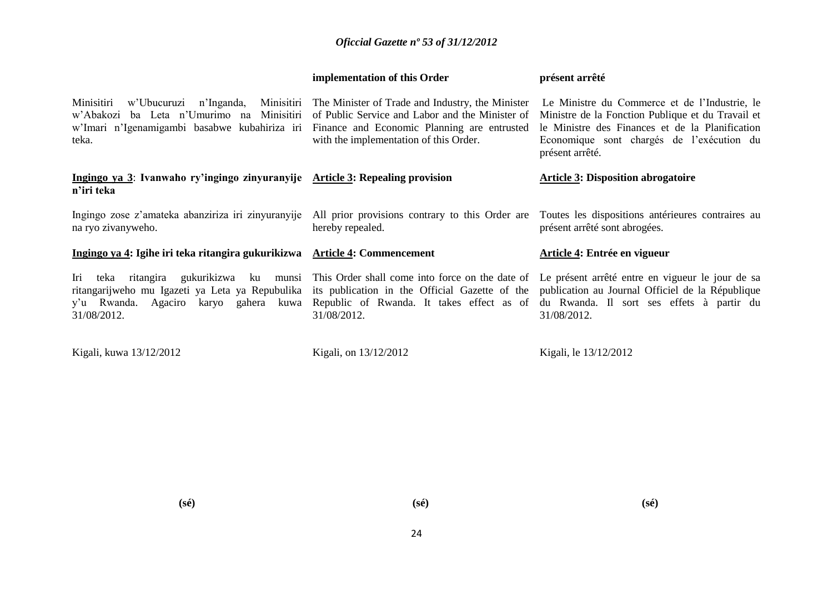|                                                                                                                                                                                                                                                                                                            | implementation of this Order                                                              | présent arrêté                                                                                                                                                                                                                                                                                           |
|------------------------------------------------------------------------------------------------------------------------------------------------------------------------------------------------------------------------------------------------------------------------------------------------------------|-------------------------------------------------------------------------------------------|----------------------------------------------------------------------------------------------------------------------------------------------------------------------------------------------------------------------------------------------------------------------------------------------------------|
| Minisitiri<br>w'Abakozi ba Leta n'Umurimo na Minisitiri<br>w'Imari n'Igenamigambi basabwe kubahiriza iri Finance and Economic Planning are entrusted<br>teka.                                                                                                                                              | of Public Service and Labor and the Minister of<br>with the implementation of this Order. | w'Ubucuruzi n'Inganda, Minisitiri The Minister of Trade and Industry, the Minister Le Ministre du Commerce et de l'Industrie, le<br>Ministre de la Fonction Publique et du Travail et<br>le Ministre des Finances et de la Planification<br>Economique sont chargés de l'exécution du<br>présent arrêté. |
| Ingingo ya 3: Ivanwaho ry'ingingo zinyuranyije Article 3: Repealing provision<br>n'iri teka                                                                                                                                                                                                                |                                                                                           | <b>Article 3: Disposition abrogatoire</b>                                                                                                                                                                                                                                                                |
| Ingingo zose z'amateka abanziriza iri zinyuranyije All prior provisions contrary to this Order are<br>na ryo zivanyweho.                                                                                                                                                                                   | hereby repealed.                                                                          | Toutes les dispositions antérieures contraires au<br>présent arrêté sont abrogées.                                                                                                                                                                                                                       |
| Ingingo ya 4: Igihe iri teka ritangira gukurikizwa Article 4: Commencement                                                                                                                                                                                                                                 |                                                                                           | Article 4: Entrée en vigueur                                                                                                                                                                                                                                                                             |
| Iri<br>teka<br>ritangarijweho mu Igazeti ya Leta ya Repubulika its publication in the Official Gazette of the publication au Journal Officiel de la République<br>y'u Rwanda. Agaciro karyo gahera kuwa Republic of Rwanda. It takes effect as of du Rwanda. Il sort ses effets à partir du<br>31/08/2012. | 31/08/2012.                                                                               | ritangira gukurikizwa ku munsi This Order shall come into force on the date of Le présent arrêté entre en vigueur le jour de sa<br>31/08/2012.                                                                                                                                                           |
| Kigali, kuwa 13/12/2012                                                                                                                                                                                                                                                                                    | Kigali, on 13/12/2012                                                                     | Kigali, le 13/12/2012                                                                                                                                                                                                                                                                                    |

**(sé)**

**(sé)**

**(sé)**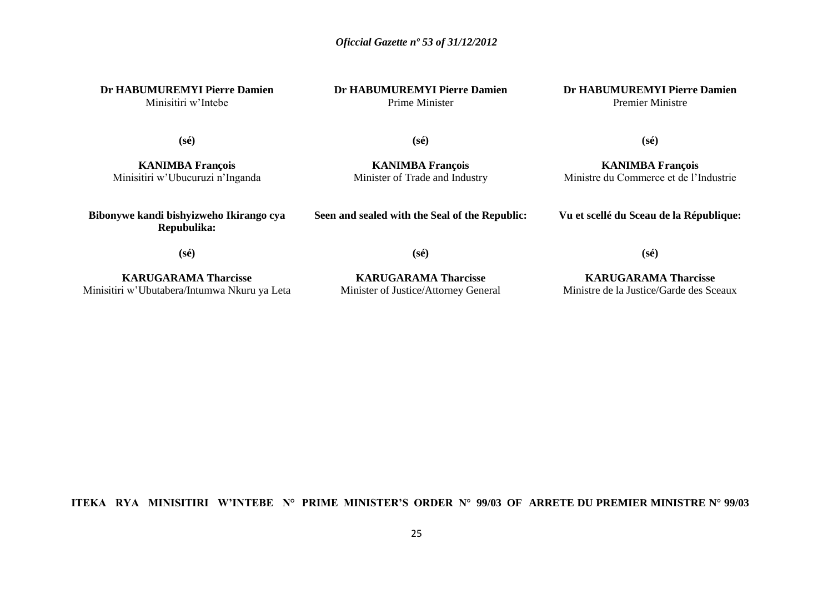**Dr HABUMUREMYI Pierre Damien**

Minisitiri w'Intebe

**Dr HABUMUREMYI Pierre Damien** Prime Minister

**Dr HABUMUREMYI Pierre Damien** Premier Ministre

**(sé)**

**KANIMBA François** Minisitiri w'Ubucuruzi n'Inganda **(sé)**

**KANIMBA François** Minister of Trade and Industry

**KANIMBA François** Ministre du Commerce et de l'Industrie

**Vu et scellé du Sceau de la République:**

**(sé)**

**Bibonywe kandi bishyizweho Ikirango cya Repubulika:**

**Seen and sealed with the Seal of the Republic:**

**(sé)**

**(sé)**

**KARUGARAMA Tharcisse** Minisitiri w'Ubutabera/Intumwa Nkuru ya Leta

**KARUGARAMA Tharcisse** Minister of Justice/Attorney General

**(sé)**

**KARUGARAMA Tharcisse** Ministre de la Justice/Garde des Sceaux

**ITEKA RYA MINISITIRI W'INTEBE N° PRIME MINISTER'S ORDER N° 99/03 OF ARRETE DU PREMIER MINISTRE N° 99/03**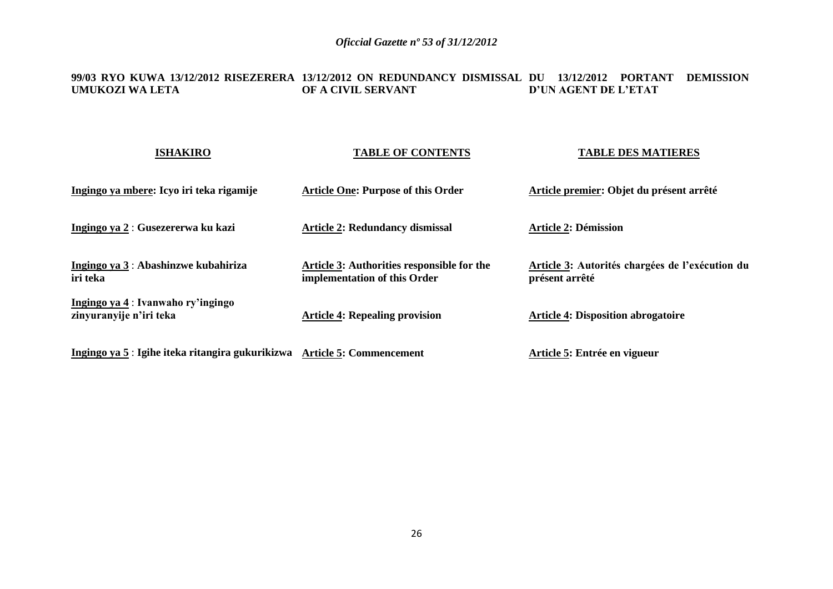#### **99/03 RYO KUWA 13/12/2012 RISEZERERA 13/12/2012 ON REDUNDANCY DISMISSAL DU 13/12/2012 PORTANT DEMISSION UMUKOZI WA LETA OF A CIVIL SERVANT D'UN AGENT DE L'ETAT**

| <b>ISHAKIRO</b>                                                          | <b>TABLE OF CONTENTS</b>                                                   | <b>TABLE DES MATIERES</b>                                         |
|--------------------------------------------------------------------------|----------------------------------------------------------------------------|-------------------------------------------------------------------|
| Ingingo ya mbere: Icyo iri teka rigamije                                 | <b>Article One: Purpose of this Order</b>                                  | Article premier: Objet du présent arrêté                          |
| Ingingo ya 2 : Gusezererwa ku kazi                                       | <b>Article 2: Redundancy dismissal</b>                                     | <b>Article 2: Démission</b>                                       |
| <u> Ingingo ya 3</u> : Abashinzwe kubahiriza<br>iri teka                 | Article 3: Authorities responsible for the<br>implementation of this Order | Article 3: Autorités chargées de l'exécution du<br>présent arrêté |
| Ingingo ya 4 : Ivanwaho ry'ingingo<br>zinyuranyije n'iri teka            | <b>Article 4: Repealing provision</b>                                      | <b>Article 4: Disposition abrogatoire</b>                         |
| Ingingo ya 5 : Igihe iteka ritangira gukurikizwa Article 5: Commencement |                                                                            | Article 5: Entrée en vigueur                                      |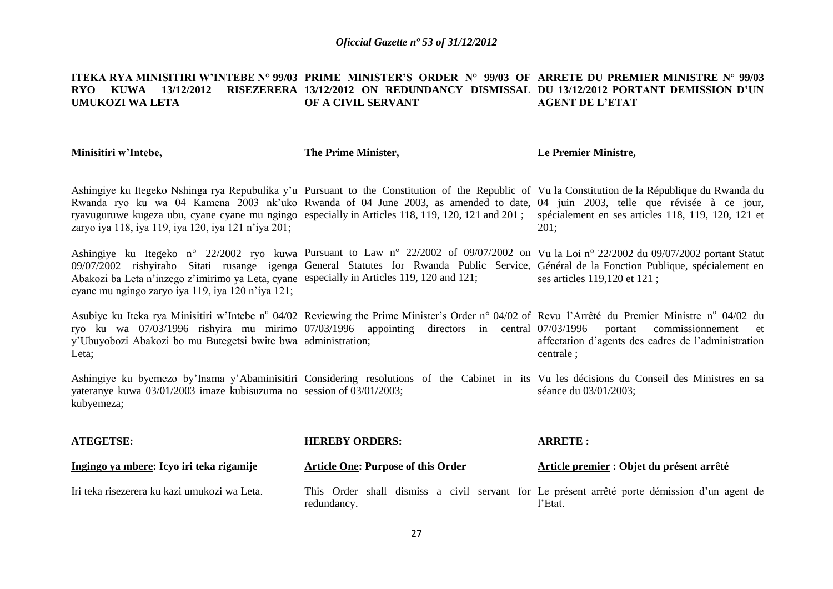#### **ITEKA RYA MINISITIRI W'INTEBE N° 99/03 PRIME MINISTER'S ORDER N° 99/03 OF ARRETE DU PREMIER MINISTRE N° 99/03 RYO KUWA 13/12/2012 RISEZERERA 13/12/2012 ON REDUNDANCY DISMISSAL DU 13/12/2012 PORTANT DEMISSION D'UN UMUKOZI WA LETA OF A CIVIL SERVANT AGENT DE L'ETAT**

| Minisitiri w'Intebe,                                                                                                                            | The Prime Minister,                                                                                                                                                                                                                               | Le Premier Ministre,                                                                                                                                                                                                                                                                                                                                                                                                                             |
|-------------------------------------------------------------------------------------------------------------------------------------------------|---------------------------------------------------------------------------------------------------------------------------------------------------------------------------------------------------------------------------------------------------|--------------------------------------------------------------------------------------------------------------------------------------------------------------------------------------------------------------------------------------------------------------------------------------------------------------------------------------------------------------------------------------------------------------------------------------------------|
| zaryo iya 118, iya 119, iya 120, iya 121 n'iya 201;                                                                                             |                                                                                                                                                                                                                                                   | Ashingiye ku Itegeko Nshinga rya Repubulika y'u Pursuant to the Constitution of the Republic of Vu la Constitution de la République du Rwanda du<br>Rwanda ryo ku wa 04 Kamena 2003 nk'uko Rwanda of 04 June 2003, as amended to date, 04 juin 2003, telle que révisée à ce jour,<br>ryavuguruwe kugeza ubu, cyane cyane mu ngingo especially in Articles 118, 119, 120, 121 and 201; spécialement en ses articles 118, 119, 120, 121 et<br>201; |
| Abakozi ba Leta n'inzego z'imirimo ya Leta, cyane especially in Articles 119, 120 and 121;<br>cyane mu ngingo zaryo iya 119, iya 120 n'iya 121; | 09/07/2002 rishyiraho Sitati rusange igenga General Statutes for Rwanda Public Service, Général de la Fonction Publique, spécialement en                                                                                                          | Ashingiye ku Itegeko n° 22/2002 ryo kuwa Pursuant to Law n° 22/2002 of 09/07/2002 on Vu la Loi n° 22/2002 du 09/07/2002 portant Statut<br>ses articles 119,120 et 121;                                                                                                                                                                                                                                                                           |
| y'Ubuyobozi Abakozi bo mu Butegetsi bwite bwa administration;<br>Leta;                                                                          | Asubiye ku Iteka rya Minisitiri w'Intebe nº 04/02 Reviewing the Prime Minister's Order nº 04/02 of Revu l'Arrêté du Premier Ministre nº 04/02 du<br>ryo ku wa 07/03/1996 rishyira mu mirimo 07/03/1996 appointing directors in central 07/03/1996 | portant<br>commissionnement<br>et<br>affectation d'agents des cadres de l'administration<br>centrale;                                                                                                                                                                                                                                                                                                                                            |
| yateranye kuwa 03/01/2003 imaze kubisuzuma no session of 03/01/2003;<br>kubyemeza;                                                              | Ashingiye ku byemezo by'Inama y'Abaminisitiri Considering resolutions of the Cabinet in its Vu les décisions du Conseil des Ministres en sa                                                                                                       | séance du 03/01/2003;                                                                                                                                                                                                                                                                                                                                                                                                                            |
| <b>ATEGETSE:</b>                                                                                                                                | <b>HEREBY ORDERS:</b>                                                                                                                                                                                                                             | <b>ARRETE:</b>                                                                                                                                                                                                                                                                                                                                                                                                                                   |
| Ingingo ya mbere: Icyo iri teka rigamije                                                                                                        | <b>Article One: Purpose of this Order</b>                                                                                                                                                                                                         | Article premier : Objet du présent arrêté                                                                                                                                                                                                                                                                                                                                                                                                        |
| Iri teka risezerera ku kazi umukozi wa Leta.                                                                                                    | redundancy.                                                                                                                                                                                                                                       | This Order shall dismiss a civil servant for Le présent arrêté porte démission d'un agent de<br>l'Etat.                                                                                                                                                                                                                                                                                                                                          |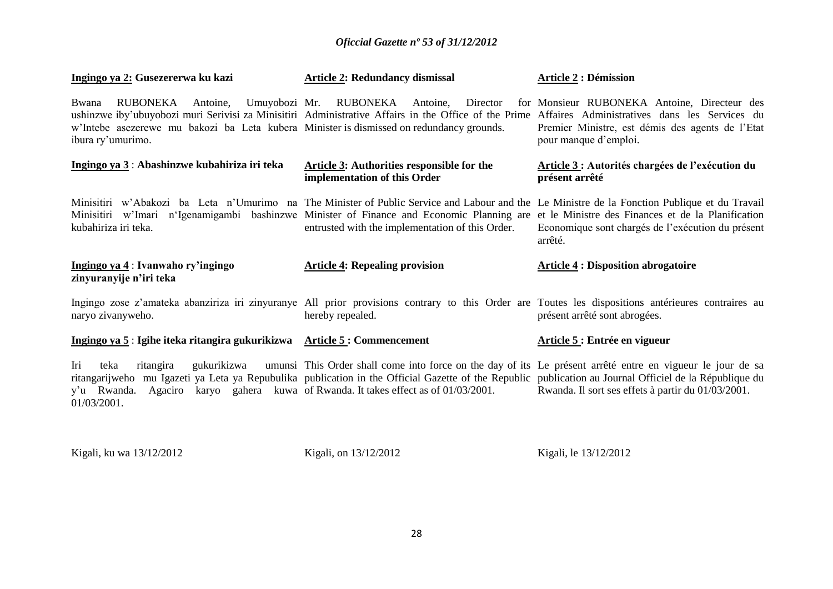| Ingingo ya 2: Gusezererwa ku kazi                                                                                                           | <b>Article 2: Redundancy dismissal</b>                                                                                                                                                                                                                                                                                                     | <b>Article 2 : Démission</b>                                                                                              |
|---------------------------------------------------------------------------------------------------------------------------------------------|--------------------------------------------------------------------------------------------------------------------------------------------------------------------------------------------------------------------------------------------------------------------------------------------------------------------------------------------|---------------------------------------------------------------------------------------------------------------------------|
| Bwana<br>RUBONEKA Antoine,<br>w'Intebe asezerewe mu bakozi ba Leta kubera Minister is dismissed on redundancy grounds.<br>ibura ry'umurimo. | Umuyobozi Mr. RUBONEKA Antoine,<br>Director<br>ushinzwe iby'ubuyobozi muri Serivisi za Minisitiri Administrative Affairs in the Office of the Prime Affaires Administratives dans les Services du                                                                                                                                          | for Monsieur RUBONEKA Antoine, Directeur des<br>Premier Ministre, est démis des agents de l'Etat<br>pour manque d'emploi. |
| Ingingo ya 3: Abashinzwe kubahiriza iri teka                                                                                                | <b>Article 3: Authorities responsible for the</b><br>implementation of this Order                                                                                                                                                                                                                                                          | Article 3 : Autorités chargées de l'exécution du<br>présent arrêté                                                        |
| kubahiriza iri teka.                                                                                                                        | Minisitiri w'Abakozi ba Leta n'Umurimo na The Minister of Public Service and Labour and the Le Ministre de la Fonction Publique et du Travail<br>Minisitiri w'Imari n'Igenamigambi bashinzwe Minister of Finance and Economic Planning are<br>entrusted with the implementation of this Order.                                             | et le Ministre des Finances et de la Planification<br>Economique sont chargés de l'exécution du présent<br>arrêté.        |
| Ingingo ya 4 : Ivanwaho ry'ingingo<br>zinyuranyije n'iri teka                                                                               | <b>Article 4: Repealing provision</b>                                                                                                                                                                                                                                                                                                      | <b>Article 4 : Disposition abrogatoire</b>                                                                                |
| naryo zivanyweho.                                                                                                                           | Ingingo zose z'amateka abanziriza iri zinyuranye All prior provisions contrary to this Order are Toutes les dispositions antérieures contraires au<br>hereby repealed.                                                                                                                                                                     | présent arrêté sont abrogées.                                                                                             |
| Ingingo ya 5 : Igihe iteka ritangira gukurikizwa Article 5 : Commencement                                                                   |                                                                                                                                                                                                                                                                                                                                            | Article 5 : Entrée en vigueur                                                                                             |
| Iri<br>ritangira<br>gukurikizwa<br>teka<br>y'u Rwanda.<br>Agaciro<br>01/03/2001.                                                            | umunsi This Order shall come into force on the day of its Le présent arrêté entre en vigueur le jour de sa<br>ritangarijweho mu Igazeti ya Leta ya Repubulika publication in the Official Gazette of the Republic publication au Journal Officiel de la République du<br>karyo gahera kuwa of Rwanda. It takes effect as of $01/03/2001$ . | Rwanda. Il sort ses effets à partir du 01/03/2001.                                                                        |

Kigali, ku wa 13/12/2012 Kigali, on 13/12/2012 Kigali, le 13/12/2012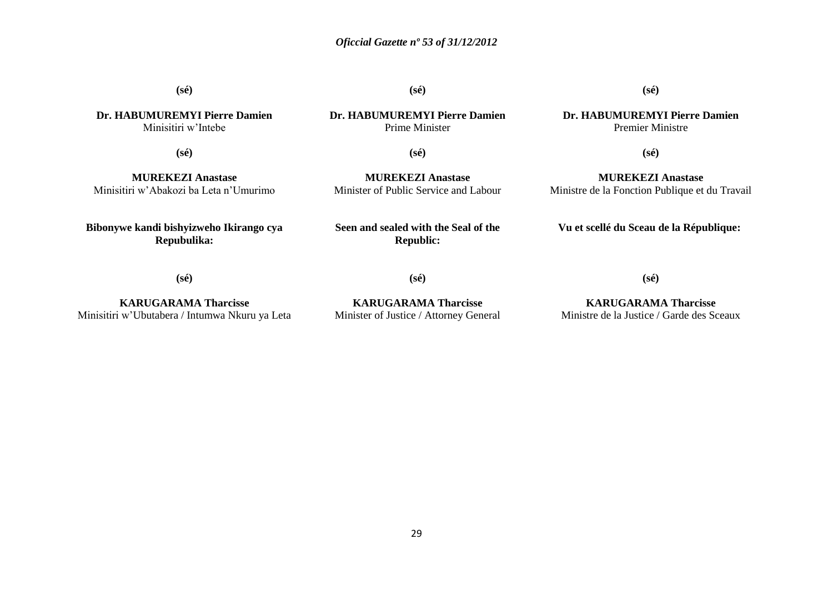**(sé)**

**(sé)**

**Dr. HABUMUREMYI Pierre Damien** Minisitiri w'Intebe

**(sé)**

**MUREKEZI Anastase** Minisitiri w'Abakozi ba Leta n'Umurimo

**Bibonywe kandi bishyizweho Ikirango cya Repubulika:**

**Dr. HABUMUREMYI Pierre Damien** Prime Minister

**Dr. HABUMUREMYI Pierre Damien** Premier Ministre

**(sé)**

**(sé)**

**MUREKEZI Anastase** Minister of Public Service and Labour

**MUREKEZI Anastase** Ministre de la Fonction Publique et du Travail

**(sé)**

**Seen and sealed with the Seal of the Republic:**

**Vu et scellé du Sceau de la République:**

**(sé)**

**KARUGARAMA Tharcisse** Minisitiri w'Ubutabera / Intumwa Nkuru ya Leta **KARUGARAMA Tharcisse**

Minister of Justice / Attorney General

**KARUGARAMA Tharcisse** Ministre de la Justice / Garde des Sceaux

**(sé)**

**(sé)**

29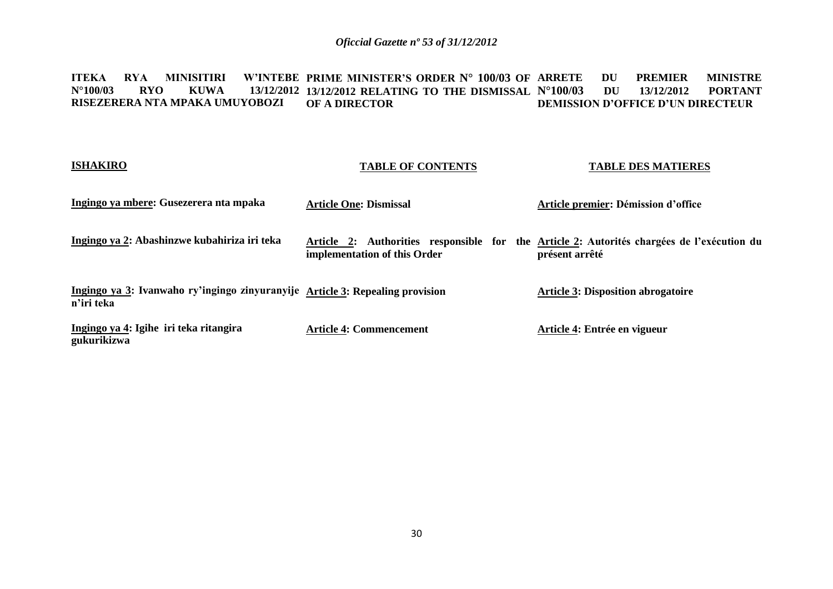#### **ITEKA RYA MINISITIRI W'INTEBE PRIME MINISTER'S ORDER N° 100/03 OF N°100/03 RYO KUWA 13/12/2012 13/12/2012 RELATING TO THE DISMISSAL RISEZERERA NTA MPAKA UMUYOBOZI OF A DIRECTOR DU PREMIER MINISTRE N°100/03 DU 13/12/2012 PORTANT DEMISSION D'OFFICE D'UN DIRECTEUR**

# **ISHAKIRO**

# **TABLE OF CONTENTS**

## **TABLE DES MATIERES**

| Ingingo ya mbere: Gusezerera nta mpaka                                                      | <b>Article One: Dismissal</b>              | Article premier: Démission d'office                                                               |
|---------------------------------------------------------------------------------------------|--------------------------------------------|---------------------------------------------------------------------------------------------------|
| Ingingo ya 2: Abashinzwe kubahiriza iri teka                                                | Article 2:<br>implementation of this Order | Authorities responsible for the Article 2: Autorités chargées de l'exécution du<br>présent arrêté |
| Ingingo ya 3: Ivanwaho ry'ingingo zinyuranyije Article 3: Repealing provision<br>n'iri teka |                                            | <b>Article 3: Disposition abrogatoire</b>                                                         |
| Ingingo ya 4: Igihe iri teka ritangira<br>gukurikizwa                                       | <b>Article 4: Commencement</b>             | Article 4: Entrée en vigueur                                                                      |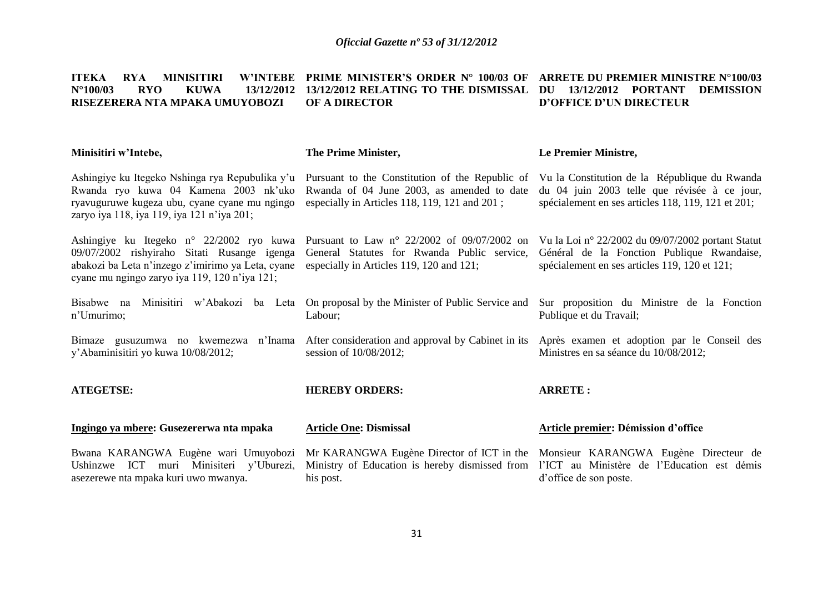### **ITEKA RYA MINISITIRI W'INTEBE PRIME MINISTER'S ORDER N° 100/03 OF ARRETE DU PREMIER MINISTRE N°100/03 N°100/03 RYO KUWA 13/12/2012 13/12/2012 RELATING TO THE DISMISSAL DU 13/12/2012 PORTANT DEMISSION RISEZERERA NTA MPAKA UMUYOBOZI OF A DIRECTOR D'OFFICE D'UN DIRECTEUR**

| Minisitiri w'Intebe,                                                                                                                                                                                                                    | The Prime Minister,                                                                                                                                                                                                               | Le Premier Ministre,                                                                                                                                |
|-----------------------------------------------------------------------------------------------------------------------------------------------------------------------------------------------------------------------------------------|-----------------------------------------------------------------------------------------------------------------------------------------------------------------------------------------------------------------------------------|-----------------------------------------------------------------------------------------------------------------------------------------------------|
| Ashingiye ku Itegeko Nshinga rya Repubulika y'u Pursuant to the Constitution of the Republic of<br>Rwanda ryo kuwa 04 Kamena 2003 nk'uko<br>ryavuguruwe kugeza ubu, cyane cyane mu ngingo<br>zaryo iya 118, iya 119, iya 121 n'iya 201; | Rwanda of 04 June 2003, as amended to date<br>especially in Articles 118, 119, 121 and 201;                                                                                                                                       | Vu la Constitution de la République du Rwanda<br>du 04 juin 2003 telle que révisée à ce jour,<br>spécialement en ses articles 118, 119, 121 et 201; |
| 09/07/2002 rishyiraho Sitati Rusange igenga<br>abakozi ba Leta n'inzego z'imirimo ya Leta, cyane<br>cyane mu ngingo zaryo iya 119, 120 n'iya 121;                                                                                       | Ashingiye ku Itegeko n° 22/2002 ryo kuwa Pursuant to Law n° 22/2002 of 09/07/2002 on Vu la Loi n° 22/2002 du 09/07/2002 portant Statut<br>General Statutes for Rwanda Public service,<br>especially in Articles 119, 120 and 121; | Général de la Fonction Publique Rwandaise,<br>spécialement en ses articles 119, 120 et 121;                                                         |
| Bisabwe na Minisitiri w'Abakozi ba Leta<br>n'Umurimo;                                                                                                                                                                                   | On proposal by the Minister of Public Service and<br>Labour;                                                                                                                                                                      | Sur proposition du Ministre de la Fonction<br>Publique et du Travail;                                                                               |
| y'Abaminisitiri yo kuwa 10/08/2012;                                                                                                                                                                                                     | Bimaze gusuzumwa no kwemezwa n'Inama After consideration and approval by Cabinet in its Après examen et adoption par le Conseil des<br>session of 10/08/2012;                                                                     | Ministres en sa séance du 10/08/2012;                                                                                                               |
| <b>ATEGETSE:</b>                                                                                                                                                                                                                        | <b>HEREBY ORDERS:</b>                                                                                                                                                                                                             | <b>ARRETE:</b>                                                                                                                                      |
| Ingingo ya mbere: Gusezererwa nta mpaka                                                                                                                                                                                                 | <b>Article One: Dismissal</b>                                                                                                                                                                                                     | <b>Article premier: Démission d'office</b>                                                                                                          |
| Bwana KARANGWA Eugène wari Umuyobozi<br>Ushinzwe ICT muri Minisiteri y'Uburezi,<br>asezerewe nta mpaka kuri uwo mwanya.                                                                                                                 | Mr KARANGWA Eugène Director of ICT in the Monsieur KARANGWA Eugène Directeur de<br>Ministry of Education is hereby dismissed from l'ICT au Ministère de l'Education est démis<br>his post.                                        | d'office de son poste.                                                                                                                              |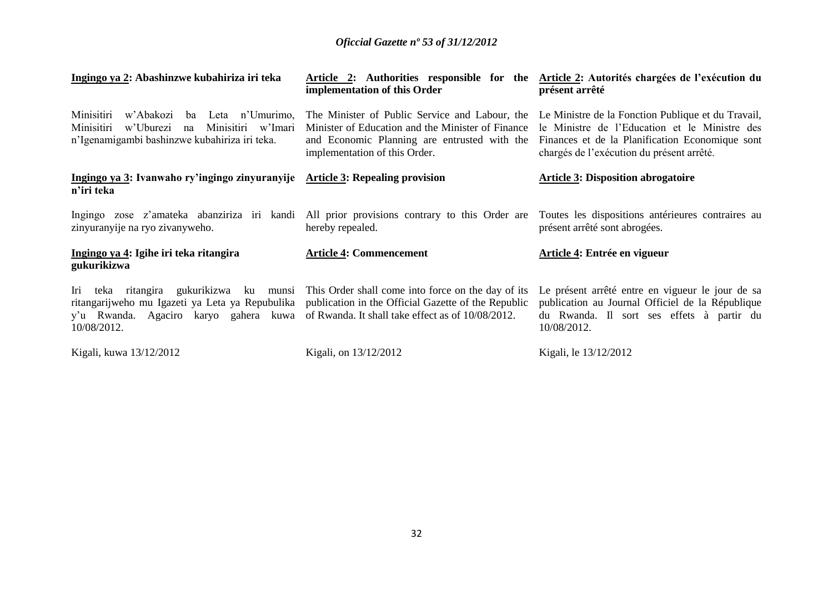| Ingingo ya 2: Abashinzwe kubahiriza iri teka                                                                                                                                                                         | Article 2: Authorities responsible for the Article 2: Autorités chargées de l'exécution du<br>implementation of this Order                                                           | présent arrêté                                                                                                                                                                                      |
|----------------------------------------------------------------------------------------------------------------------------------------------------------------------------------------------------------------------|--------------------------------------------------------------------------------------------------------------------------------------------------------------------------------------|-----------------------------------------------------------------------------------------------------------------------------------------------------------------------------------------------------|
| Minisitiri<br>w'Abakozi<br>Leta n'Umurimo,<br>ba<br>Minisitiri<br>w'Uburezi<br>Minisitiri w'Imari<br>na<br>n'Igenamigambi bashinzwe kubahiriza iri teka.                                                             | The Minister of Public Service and Labour, the<br>Minister of Education and the Minister of Finance<br>and Economic Planning are entrusted with the<br>implementation of this Order. | Le Ministre de la Fonction Publique et du Travail,<br>le Ministre de l'Education et le Ministre des<br>Finances et de la Planification Economique sont<br>chargés de l'exécution du présent arrêté. |
| Ingingo ya 3: Ivanwaho ry'ingingo zinyuranyije Article 3: Repealing provision<br>n'iri teka                                                                                                                          |                                                                                                                                                                                      | <b>Article 3: Disposition abrogatoire</b>                                                                                                                                                           |
| Ingingo zose z'amateka abanziriza iri kandi All prior provisions contrary to this Order are<br>zinyuranyije na ryo zivanyweho.                                                                                       | hereby repealed.                                                                                                                                                                     | Toutes les dispositions antérieures contraires au<br>présent arrêté sont abrogées.                                                                                                                  |
| Ingingo ya 4: Igihe iri teka ritangira<br>gukurikizwa                                                                                                                                                                | <b>Article 4: Commencement</b>                                                                                                                                                       | Article 4: Entrée en vigueur                                                                                                                                                                        |
| Iri<br>ritangarijweho mu Igazeti ya Leta ya Repubulika publication in the Official Gazette of the Republic<br>y'u Rwanda. Agaciro karyo gahera kuwa of Rwanda. It shall take effect as of 10/08/2012.<br>10/08/2012. | teka ritangira gukurikizwa ku munsi This Order shall come into force on the day of its                                                                                               | Le présent arrêté entre en vigueur le jour de sa<br>publication au Journal Officiel de la République<br>du Rwanda. Il sort ses effets à partir du<br>10/08/2012.                                    |
| Kigali, kuwa 13/12/2012                                                                                                                                                                                              | Kigali, on 13/12/2012                                                                                                                                                                | Kigali, le 13/12/2012                                                                                                                                                                               |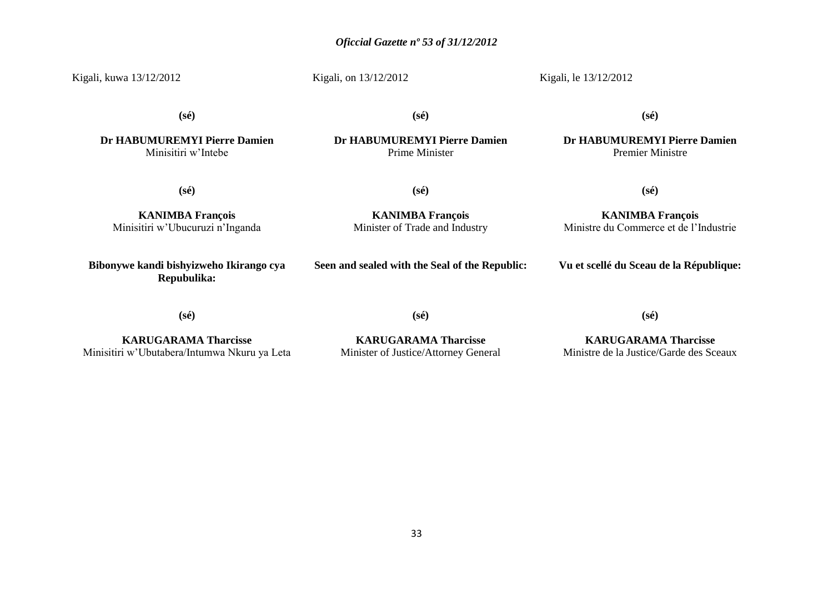33

# *Oficcial Gazette nº 53 of 31/12/2012*

Kigali, kuwa 13/12/2012

Kigali, on 13/12/2012

Kigali, le 13/12/2012

**(sé)**

**(sé)**

**(sé)**

**Dr HABUMUREMYI Pierre Damien** Minisitiri w'Intebe

**Dr HABUMUREMYI Pierre Damien** Prime Minister

**Dr HABUMUREMYI Pierre Damien** Premier Ministre

**(sé)**

**(sé)**

**KANIMBA François**

**KANIMBA François** Minisitiri w'Ubucuruzi n'Inganda

**Bibonywe kandi bishyizweho Ikirango cya Repubulika:**

Minister of Trade and Industry **Seen and sealed with the Seal of the Republic:**

**Vu et scellé du Sceau de la République:**

**(sé)**

**KARUGARAMA Tharcisse** Minisitiri w'Ubutabera/Intumwa Nkuru ya Leta

**KARUGARAMA Tharcisse** Minister of Justice/Attorney General

**(sé)**

**KARUGARAMA Tharcisse** Ministre de la Justice/Garde des Sceaux

**(sé)**

**KANIMBA François** Ministre du Commerce et de l'Industrie

**(sé)**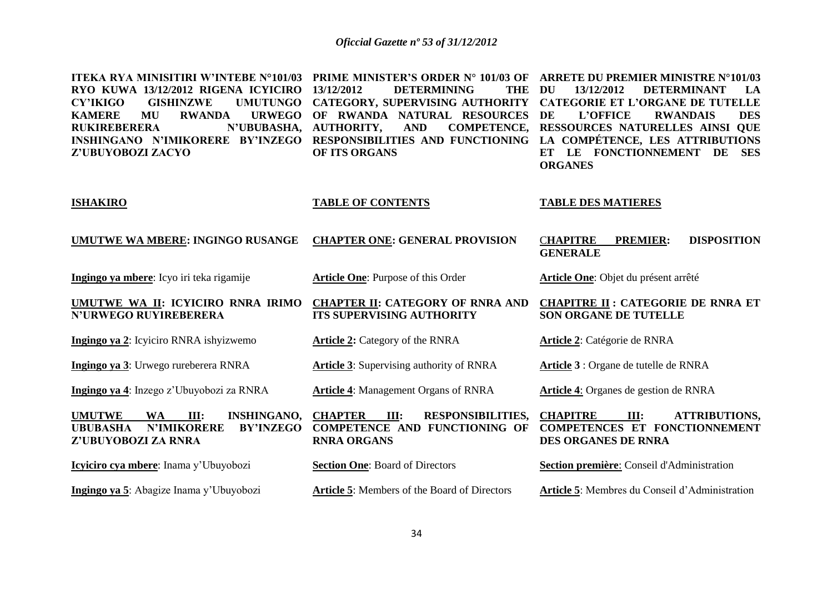| <b>ITEKA RYA MINISITIRI W'INTEBE N°101/03</b><br>RYO KUWA 13/12/2012 RIGENA ICYICIRO<br><b>GISHINZWE</b><br><b>UMUTUNGO</b><br><b>CY'IKIGO</b><br><b>KAMERE</b><br><b>MU</b><br><b>RWANDA</b><br><b>URWEGO</b><br><b>RUKIREBERERA</b><br>N'UBUBASHA,<br>INSHINGANO N'IMIKORERE BY'INZEGO<br>Z'UBUYOBOZI ZACYO | PRIME MINISTER'S ORDER N° 101/03 OF<br>13/12/2012<br><b>DETERMINING</b><br><b>THE</b><br>CATEGORY, SUPERVISING AUTHORITY<br>OF RWANDA NATURAL RESOURCES<br><b>AUTHORITY,</b><br><b>AND</b><br><b>COMPETENCE,</b><br>RESPONSIBILITIES AND FUNCTIONING<br>OF ITS ORGANS | ARRETE DU PREMIER MINISTRE N°101/03<br><b>DU</b><br>13/12/2012<br><b>DETERMINANT</b><br>LA<br><b>CATEGORIE ET L'ORGANE DE TUTELLE</b><br>DE<br>L'OFFICE<br><b>DES</b><br><b>RWANDAIS</b><br>RESSOURCES NATURELLES AINSI QUE<br>LA COMPÉTENCE, LES ATTRIBUTIONS<br>ET LE FONCTIONNEMENT DE<br><b>SES</b><br><b>ORGANES</b> |
|---------------------------------------------------------------------------------------------------------------------------------------------------------------------------------------------------------------------------------------------------------------------------------------------------------------|-----------------------------------------------------------------------------------------------------------------------------------------------------------------------------------------------------------------------------------------------------------------------|---------------------------------------------------------------------------------------------------------------------------------------------------------------------------------------------------------------------------------------------------------------------------------------------------------------------------|
| <b>ISHAKIRO</b>                                                                                                                                                                                                                                                                                               | <b>TABLE OF CONTENTS</b>                                                                                                                                                                                                                                              | <b>TABLE DES MATIERES</b>                                                                                                                                                                                                                                                                                                 |
| UMUTWE WA MBERE: INGINGO RUSANGE                                                                                                                                                                                                                                                                              | <b>CHAPTER ONE: GENERAL PROVISION</b>                                                                                                                                                                                                                                 | <b>CHAPITRE</b><br><b>PREMIER:</b><br><b>DISPOSITION</b><br><b>GENERALE</b>                                                                                                                                                                                                                                               |
| Ingingo ya mbere: Icyo iri teka rigamije                                                                                                                                                                                                                                                                      | Article One: Purpose of this Order                                                                                                                                                                                                                                    | Article One: Objet du présent arrêté                                                                                                                                                                                                                                                                                      |
| UMUTWE WA II: ICYICIRO RNRA IRIMO<br><b>N'URWEGO RUYIREBERERA</b>                                                                                                                                                                                                                                             | <b>CHAPTER II: CATEGORY OF RNRA AND</b><br><b>ITS SUPERVISING AUTHORITY</b>                                                                                                                                                                                           | <b>CHAPITRE II : CATEGORIE DE RNRA ET</b><br><b>SON ORGANE DE TUTELLE</b>                                                                                                                                                                                                                                                 |
| Ingingo ya 2: Icyiciro RNRA ishyizwemo                                                                                                                                                                                                                                                                        | <b>Article 2: Category of the RNRA</b>                                                                                                                                                                                                                                | Article 2: Catégorie de RNRA                                                                                                                                                                                                                                                                                              |
| Ingingo ya 3: Urwego rureberera RNRA                                                                                                                                                                                                                                                                          | <b>Article 3:</b> Supervising authority of RNRA                                                                                                                                                                                                                       | Article 3 : Organe de tutelle de RNRA                                                                                                                                                                                                                                                                                     |
| Ingingo ya 4: Inzego z'Ubuyobozi za RNRA                                                                                                                                                                                                                                                                      | <b>Article 4: Management Organs of RNRA</b>                                                                                                                                                                                                                           | Article 4: Organes de gestion de RNRA                                                                                                                                                                                                                                                                                     |
| Ш:<br><b>INSHINGANO,</b><br><b>UMUTWE</b><br><b>WA</b><br><b>N'IMIKORERE</b><br><b>UBUBASHA</b><br><b>BY'INZEGO</b><br>Z'UBUYOBOZI ZA RNRA                                                                                                                                                                    | <b>CHAPTER</b><br><b>RESPONSIBILITIES,</b><br>III:<br><b>COMPETENCE AND FUNCTIONING OF</b><br><b>RNRA ORGANS</b>                                                                                                                                                      | <b>CHAPITRE</b><br>III:<br><b>ATTRIBUTIONS,</b><br><b>COMPETENCES ET FONCTIONNEMENT</b><br><b>DES ORGANES DE RNRA</b>                                                                                                                                                                                                     |
| Icyiciro cya mbere: Inama y'Ubuyobozi                                                                                                                                                                                                                                                                         | <b>Section One: Board of Directors</b>                                                                                                                                                                                                                                | Section première: Conseil d'Administration                                                                                                                                                                                                                                                                                |
| Ingingo ya 5: Abagize Inama y'Ubuyobozi                                                                                                                                                                                                                                                                       | <b>Article 5:</b> Members of the Board of Directors                                                                                                                                                                                                                   | Article 5: Membres du Conseil d'Administration                                                                                                                                                                                                                                                                            |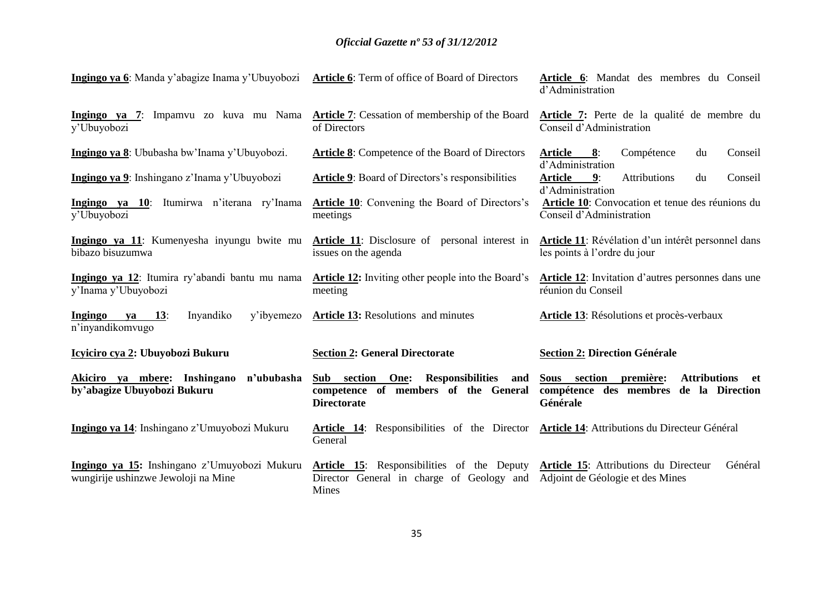| Ingingo ya 6: Manda y'abagize Inama y'Ubuyobozi                                     | <b>Article 6:</b> Term of office of Board of Directors                                                  | Article 6: Mandat des membres du Conseil<br>d'Administration                                              |
|-------------------------------------------------------------------------------------|---------------------------------------------------------------------------------------------------------|-----------------------------------------------------------------------------------------------------------|
| Ingingo ya 7: Impamvu zo kuva mu Nama<br>y'Ubuyobozi                                | <b>Article 7:</b> Cessation of membership of the Board<br>of Directors                                  | Article 7: Perte de la qualité de membre du<br>Conseil d'Administration                                   |
| Ingingo ya 8: Ububasha bw'Inama y'Ubuyobozi.                                        | <b>Article 8:</b> Competence of the Board of Directors                                                  | Compétence<br><u>Article 8:</u><br>du<br>Conseil<br>d'Administration                                      |
| Ingingo ya 9: Inshingano z'Inama y'Ubuyobozi                                        | <b>Article 9:</b> Board of Directors's responsibilities                                                 | Attributions<br><b>Article</b><br>9:<br>du<br>Conseil                                                     |
| Ingingo ya 10: Itumirwa n'iterana ry'Inama<br>y'Ubuyobozi                           | <b>Article 10</b> : Convening the Board of Directors's<br>meetings                                      | d'Administration<br>Article 10: Convocation et tenue des réunions du<br>Conseil d'Administration          |
| Ingingo ya 11: Kumenyesha inyungu bwite mu<br>bibazo bisuzumwa                      | <b>Article 11:</b> Disclosure of personal interest in<br>issues on the agenda                           | <b>Article 11</b> : Révélation d'un intérêt personnel dans<br>les points à l'ordre du jour                |
| Ingingo ya 12: Itumira ry'abandi bantu mu nama<br>y'Inama y'Ubuyobozi               | <b>Article 12:</b> Inviting other people into the Board's<br>meeting                                    | <b>Article 12:</b> Invitation d'autres personnes dans une<br>réunion du Conseil                           |
| <b>ya</b> 13:<br>Inyandiko<br>Ingingo<br>y'ibyemezo<br>n'inyandikomvugo             | <b>Article 13: Resolutions and minutes</b>                                                              | Article 13: Résolutions et procès-verbaux                                                                 |
| Icyiciro cya 2: Ubuyobozi Bukuru                                                    | <b>Section 2: General Directorate</b>                                                                   | <b>Section 2: Direction Générale</b>                                                                      |
| Akiciro ya mbere: Inshingano<br>n'ububasha<br>by'abagize Ubuyobozi Bukuru           | Sub section One: Responsibilities<br>and<br>competence of members of the General<br><b>Directorate</b>  | Sous section première:<br><b>Attributions</b><br>et<br>compétence des membres de la Direction<br>Générale |
| Ingingo ya 14: Inshingano z'Umuyobozi Mukuru                                        | Article 14: Responsibilities of the Director<br>General                                                 | Article 14: Attributions du Directeur Général                                                             |
| Ingingo ya 15: Inshingano z'Umuyobozi Mukuru<br>wungirije ushinzwe Jewoloji na Mine | <b>Article 15:</b> Responsibilities of the Deputy<br>Director General in charge of Geology and<br>Mines | Général<br>Article 15: Attributions du Directeur<br>Adjoint de Géologie et des Mines                      |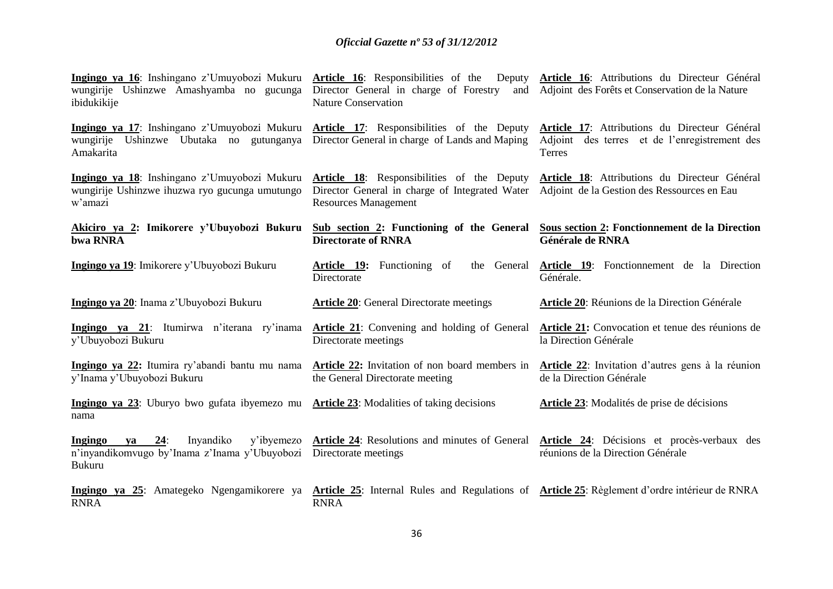| Ingingo ya 16: Inshingano z'Umuyobozi Mukuru Article 16: Responsibilities of the Deputy<br>wungirije Ushinzwe Amashyamba no gucunga<br>ibidukikije | Director General in charge of Forestry<br><b>Nature Conservation</b>                                                               | Article 16: Attributions du Directeur Général<br>and Adjoint des Forêts et Conservation de la Nature     |
|----------------------------------------------------------------------------------------------------------------------------------------------------|------------------------------------------------------------------------------------------------------------------------------------|----------------------------------------------------------------------------------------------------------|
| Ingingo ya 17: Inshingano z'Umuyobozi Mukuru<br>wungirije Ushinzwe Ubutaka no gutunganya<br>Amakarita                                              | Article 17: Responsibilities of the Deputy<br>Director General in charge of Lands and Maping                                       | Article 17: Attributions du Directeur Général<br>Adjoint des terres et de l'enregistrement des<br>Terres |
| Ingingo ya 18: Inshingano z'Umuyobozi Mukuru<br>wungirije Ushinzwe ihuzwa ryo gucunga umutungo<br>w'amazi                                          | <b>Article 18:</b> Responsibilities of the Deputy<br>Director General in charge of Integrated Water<br><b>Resources Management</b> | Article 18: Attributions du Directeur Général<br>Adjoint de la Gestion des Ressources en Eau             |
| Akiciro ya 2: Imikorere y'Ubuyobozi Bukuru<br>bwa RNRA                                                                                             | Sub section 2: Functioning of the General<br><b>Directorate of RNRA</b>                                                            | Sous section 2: Fonctionnement de la Direction<br>Générale de RNRA                                       |
| Ingingo ya 19: Imikorere y'Ubuyobozi Bukuru                                                                                                        | <b>Article 19:</b> Functioning of<br>the General<br>Directorate                                                                    | <b>Article 19:</b> Fonctionnement de la Direction<br>Générale.                                           |
| Ingingo ya 20: Inama z'Ubuyobozi Bukuru                                                                                                            | <b>Article 20:</b> General Directorate meetings                                                                                    | Article 20: Réunions de la Direction Générale                                                            |
|                                                                                                                                                    |                                                                                                                                    |                                                                                                          |
| Ingingo ya 21: Itumirwa n'iterana ry'inama<br>y'Ubuyobozi Bukuru                                                                                   | <b>Article 21:</b> Convening and holding of General<br>Directorate meetings                                                        | Article 21: Convocation et tenue des réunions de<br>la Direction Générale                                |
| Ingingo ya 22: Itumira ry'abandi bantu mu nama<br>y'Inama y'Ubuyobozi Bukuru                                                                       | <b>Article 22:</b> Invitation of non board members in<br>the General Directorate meeting                                           | Article 22: Invitation d'autres gens à la réunion<br>de la Direction Générale                            |
| Ingingo ya 23: Uburyo bwo gufata ibyemezo mu<br>nama                                                                                               | <b>Article 23:</b> Modalities of taking decisions                                                                                  | Article 23: Modalités de prise de décisions                                                              |
| Ingingo<br>Inyandiko<br>y'ibyemezo<br>ya $24$ :<br>n'inyandikomvugo by'Inama z'Inama y'Ubuyobozi<br><b>Bukuru</b>                                  | Article 24: Resolutions and minutes of General<br>Directorate meetings                                                             | Article 24: Décisions et procès-verbaux des<br>réunions de la Direction Générale                         |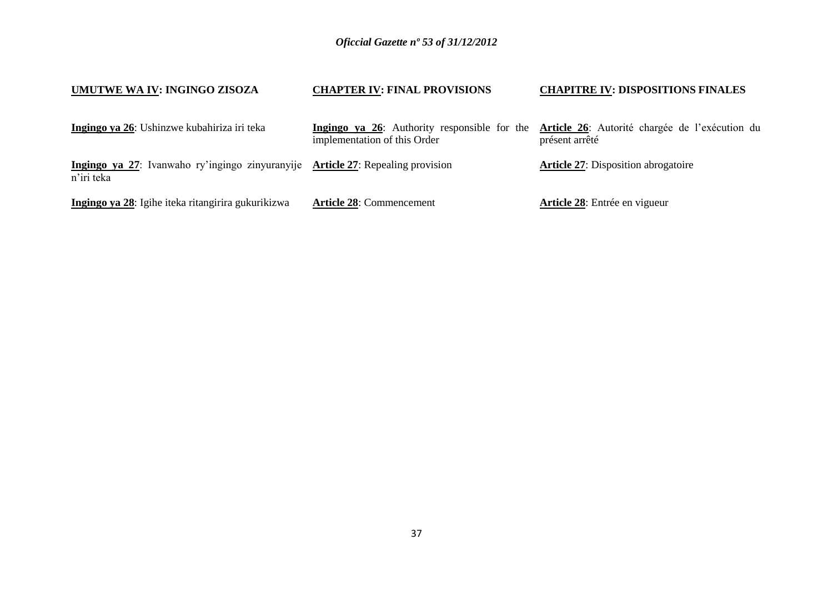| UMUTWE WA IV: INGINGO ZISOZA                                                                  | <b>CHAPTER IV: FINAL PROVISIONS</b>                                          | <b>CHAPITRE IV: DISPOSITIONS FINALES</b>                         |
|-----------------------------------------------------------------------------------------------|------------------------------------------------------------------------------|------------------------------------------------------------------|
| Ingingo ya 26: Ushinzwe kubahiriza iri teka                                                   | Ingingo ya 26: Authority responsible for the<br>implementation of this Order | Article 26: Autorité chargée de l'exécution du<br>présent arrêté |
| Ingingo ya 27: Ivanwaho ry'ingingo zinyuranyije Article 27: Repealing provision<br>n'iri teka |                                                                              | <b>Article 27:</b> Disposition abrogatoire                       |
| Ingingo ya 28: Igihe iteka ritangirira gukurikizwa                                            | <b>Article 28: Commencement</b>                                              | Article 28: Entrée en vigueur                                    |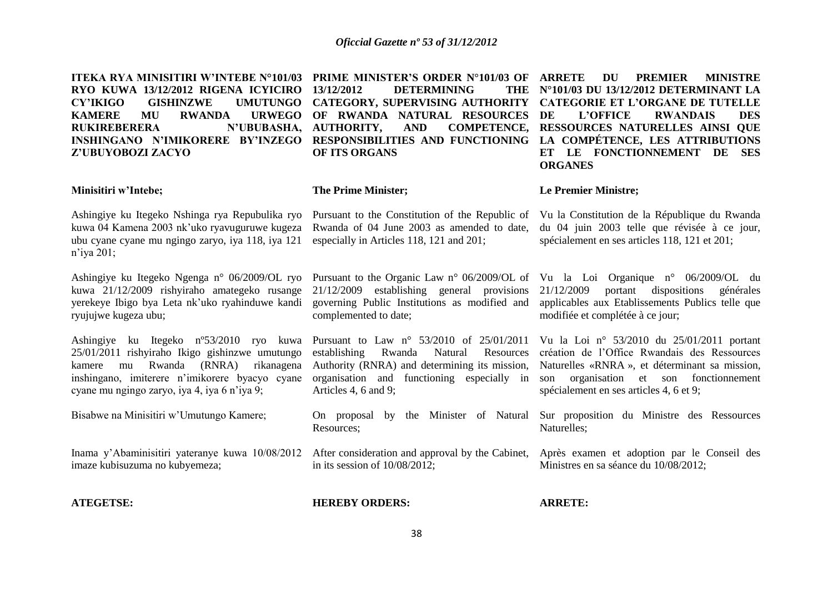**ITEKA RYA MINISITIRI W'INTEBE N°101/03 PRIME MINISTER'S ORDER N°101/03 OF RYO KUWA 13/12/2012 RIGENA ICYICIRO CY'IKIGO GISHINZWE UMUTUNGO CATEGORY, SUPERVISING AUTHORITY CATEGORIE ET L'ORGANE DE TUTELLE KAMERE MU RWANDA URWEGO OF RWANDA NATURAL RESOURCES**  RUKIREBERERA N'UBUBASHA, AUTHORITY, **INSHINGANO N'IMIKORERE BY'INZEGO RESPONSIBILITIES AND FUNCTIONING LA COMPÉTENCE, LES ATTRIBUTIONS Z'UBUYOBOZI ZACYO**

**13/12/2012 DETERMINING** AND COMPETENCE, **OF ITS ORGANS**

**DU PREMIER MINISTRE N°101/03 DU 13/12/2012 DETERMINANT LA L'OFFICE RWANDAIS DES RESSOURCES NATURELLES AINSI QUE ET LE FONCTIONNEMENT DE SES ORGANES**

#### **Minisitiri w'Intebe;**

Ashingiye ku Itegeko Nshinga rya Repubulika ryo kuwa 04 Kamena 2003 nk'uko ryavuguruwe kugeza ubu cyane cyane mu ngingo zaryo, iya 118, iya 121 n'iya 201;

Ashingiye ku Itegeko Ngenga n° 06/2009/OL ryo kuwa 21/12/2009 rishyiraho amategeko rusange yerekeye Ibigo bya Leta nk'uko ryahinduwe kandi ryujujwe kugeza ubu;

Ashingiye ku Itegeko nº53/2010 ryo kuwa 25/01/2011 rishyiraho Ikigo gishinzwe umutungo kamere mu Rwanda (RNRA) rikanagena inshingano, imiterere n'imikorere byacyo cyane cyane mu ngingo zaryo, iya 4, iya 6 n'iya 9;

Bisabwe na Minisitiri w'Umutungo Kamere;

Inama y'Abaminisitiri yateranye kuwa 10/08/2012 imaze kubisuzuma no kubyemeza;

**ATEGETSE:**

#### **The Prime Minister;**

Pursuant to the Constitution of the Republic of Vu la Constitution de la République du Rwanda Rwanda of 04 June 2003 as amended to date, especially in Articles 118, 121 and 201;

**Le Premier Ministre;**

du 04 juin 2003 telle que révisée à ce jour, spécialement en ses articles 118, 121 et 201;

Pursuant to the Organic Law n° 06/2009/OL of Vu la Loi Organique n° 06/2009/OL du governing Public Institutions as modified and complemented to date;

Pursuant to Law n° 53/2010 of 25/01/2011 Authority (RNRA) and determining its mission, Articles 4, 6 and 9;

On proposal by the Minister of Natural Sur proposition du Ministre des Ressources Resources;

After consideration and approval by the Cabinet, in its session of 10/08/2012;

21/12/2009 establishing general provisions 21/12/2009 portant dispositions générales applicables aux Etablissements Publics telle que modifiée et complétée à ce jour;

establishing Rwanda Natural Resources création de l'Office Rwandais des Ressources organisation and functioning especially in son organisation et son fonctionnement Vu la Loi n° 53/2010 du 25/01/2011 portant Naturelles «RNRA », et déterminant sa mission, spécialement en ses articles 4, 6 et 9;

Naturelles;

Après examen et adoption par le Conseil des Ministres en sa séance du 10/08/2012;

#### **HEREBY ORDERS:**

**ARRETE:**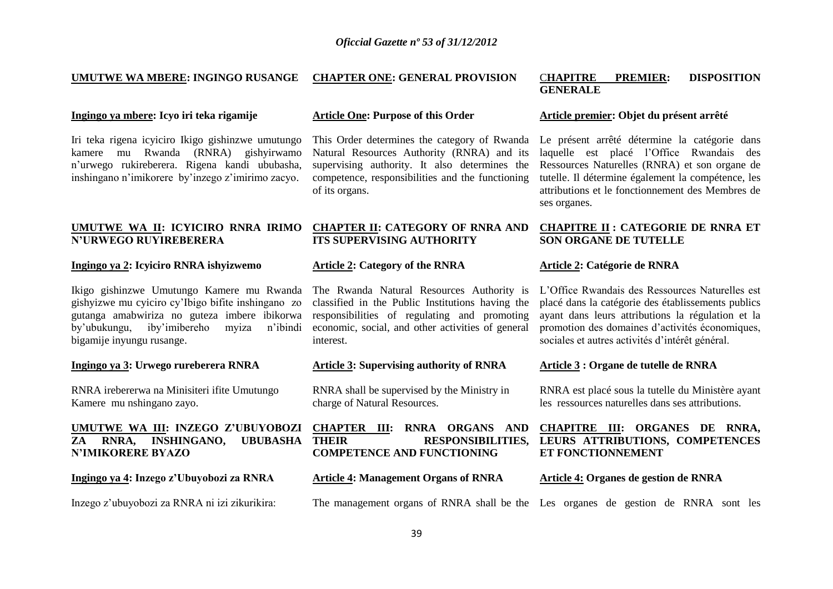**CHAPTER ONE: GENERAL PROVISION**

#### **UMUTWE WA MBERE: INGINGO RUSANGE**

#### **Ingingo ya mbere: Icyo iri teka rigamije**

Iri teka rigena icyiciro Ikigo gishinzwe umutungo kamere mu Rwanda (RNRA) gishyirwamo n'urwego rukireberera. Rigena kandi ububasha, inshingano n'imikorere by'inzego z'imirimo zacyo.

#### **UMUTWE WA II: ICYICIRO RNRA IRIMO CHAPTER II: CATEGORY OF RNRA AND N'URWEGO RUYIREBERERA**

#### **Ingingo ya 2: Icyiciro RNRA ishyizwemo**

Ikigo gishinzwe Umutungo Kamere mu Rwanda gishyizwe mu cyiciro cy'Ibigo bifite inshingano zo gutanga amabwiriza no guteza imbere ibikorwa by'ubukungu, iby'imibereho myiza n'ibindi bigamije inyungu rusange.

#### **Ingingo ya 3: Urwego rureberera RNRA**

RNRA irebererwa na Minisiteri ifite Umutungo Kamere mu nshingano zayo.

#### **UMUTWE WA III: INZEGO Z'UBUYOBOZI ZA RNRA, INSHINGANO, UBUBASHA N'IMIKORERE BYAZO**

**Ingingo ya 4: Inzego z'Ubuyobozi za RNRA**

Inzego z'ubuyobozi za RNRA ni izi zikurikira:

#### **Article One: Purpose of this Order**

This Order determines the category of Rwanda Natural Resources Authority (RNRA) and its supervising authority. It also determines the competence, responsibilities and the functioning of its organs.

# **ITS SUPERVISING AUTHORITY**

#### **Article 2: Category of the RNRA**

The Rwanda Natural Resources Authority is classified in the Public Institutions having the responsibilities of regulating and promoting economic, social, and other activities of general interest.

#### **Article 3: Supervising authority of RNRA**

RNRA shall be supervised by the Ministry in charge of Natural Resources.

**CHAPTER III: RNRA ORGANS AND COMPETENCE AND FUNCTIONING** 

#### **Article 4: Management Organs of RNRA**

The management organs of RNRA shall be the Les organes de gestion de RNRA sont les

#### C**HAPITRE PREMIER: DISPOSITION GENERALE**

#### **Article premier: Objet du présent arrêté**

Le présent arrêté détermine la catégorie dans laquelle est placé l'Office Rwandais des Ressources Naturelles (RNRA) et son organe de tutelle. Il détermine également la compétence, les attributions et le fonctionnement des Membres de ses organes.

#### **CHAPITRE II : CATEGORIE DE RNRA ET SON ORGANE DE TUTELLE**

#### **Article 2: Catégorie de RNRA**

L'Office Rwandais des Ressources Naturelles est placé dans la catégorie des établissements publics ayant dans leurs attributions la régulation et la promotion des domaines d'activités économiques, sociales et autres activités d'intérêt général.

#### **Article 3 : Organe de tutelle de RNRA**

RNRA est placé sous la tutelle du Ministère ayant les ressources naturelles dans ses attributions.

#### **THEIR RESPONSIBILITIES, LEURS ATTRIBUTIONS, COMPETENCES CHAPITRE III: ORGANES DE RNRA, ET FONCTIONNEMENT**

#### **Article 4: Organes de gestion de RNRA**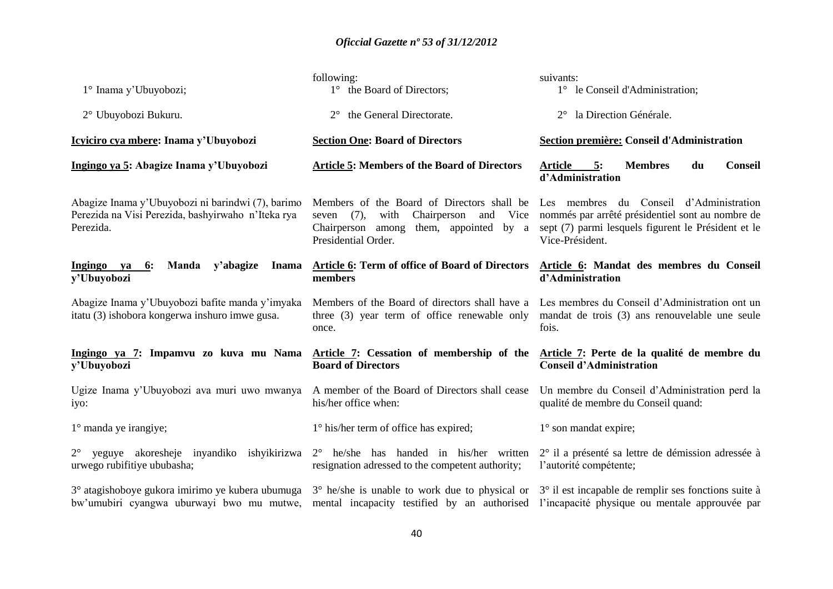| 1° Inama y'Ubuyobozi;                                                                                                                                                                                                                          | following:<br>1° the Board of Directors;                                                                                                                              | suivants:<br>1° le Conseil d'Administration;                                                                                                                          |
|------------------------------------------------------------------------------------------------------------------------------------------------------------------------------------------------------------------------------------------------|-----------------------------------------------------------------------------------------------------------------------------------------------------------------------|-----------------------------------------------------------------------------------------------------------------------------------------------------------------------|
| 2° Ubuyobozi Bukuru.                                                                                                                                                                                                                           | the General Directorate.<br>$2^{\circ}$                                                                                                                               | la Direction Générale.<br>$2^{\circ}$                                                                                                                                 |
| Icyiciro cya mbere: Inama y'Ubuyobozi                                                                                                                                                                                                          | <b>Section One: Board of Directors</b>                                                                                                                                | Section première: Conseil d'Administration                                                                                                                            |
| Ingingo ya 5: Abagize Inama y'Ubuyobozi                                                                                                                                                                                                        | <b>Article 5: Members of the Board of Directors</b>                                                                                                                   | <b>Article</b><br><b>Membres</b><br>du<br><b>Conseil</b><br>5:<br>d'Administration                                                                                    |
| Abagize Inama y'Ubuyobozi ni barindwi (7), barimo<br>Perezida na Visi Perezida, bashyirwaho n'Iteka rya<br>Perezida.                                                                                                                           | Members of the Board of Directors shall be<br>(7),<br>Chairperson<br>and<br>Vice<br>with<br>seven<br>them, appointed by a<br>Chairperson among<br>Presidential Order. | Les membres du Conseil d'Administration<br>nommés par arrêté présidentiel sont au nombre de<br>sept (7) parmi lesquels figurent le Président et le<br>Vice-Président. |
| Ingingo ya<br>Manda<br>y'abagize<br>6:<br><b>Inama</b><br>y'Ubuyobozi                                                                                                                                                                          | Article 6: Term of office of Board of Directors<br>members                                                                                                            | Article 6: Mandat des membres du Conseil<br>d'Administration                                                                                                          |
| Abagize Inama y'Ubuyobozi bafite manda y'imyaka<br>itatu (3) ishobora kongerwa inshuro imwe gusa.                                                                                                                                              | Members of the Board of directors shall have a<br>three (3) year term of office renewable only<br>once.                                                               | Les membres du Conseil d'Administration ont un<br>mandat de trois (3) ans renouvelable une seule<br>fois.                                                             |
| Ingingo ya 7: Impamvu zo kuva mu Nama Article 7: Cessation of membership of the<br>y'Ubuyobozi                                                                                                                                                 | <b>Board of Directors</b>                                                                                                                                             | Article 7: Perte de la qualité de membre du<br><b>Conseil d'Administration</b>                                                                                        |
| Ugize Inama y'Ubuyobozi ava muri uwo mwanya<br>iyo:                                                                                                                                                                                            | A member of the Board of Directors shall cease<br>his/her office when:                                                                                                | Un membre du Conseil d'Administration perd la<br>qualité de membre du Conseil quand:                                                                                  |
| $1^\circ$ manda ye irangiye;                                                                                                                                                                                                                   | 1° his/her term of office has expired;                                                                                                                                | $1^\circ$ son mandat expire;                                                                                                                                          |
| yeguye akoresheje inyandiko ishyikirizwa<br>$2^{\circ}$<br>urwego rubifitiye ububasha;                                                                                                                                                         | $2^{\circ}$ he/she has handed in his/her written<br>resignation adressed to the competent authority;                                                                  | 2° il a présenté sa lettre de démission adressée à<br>l'autorité compétente;                                                                                          |
| 3° atagishoboye gukora imirimo ye kubera ubumuga 3° he/she is unable to work due to physical or 3° il est incapable de remplir ses fonctions suite à<br>bw'umubiri cyangwa uburwayi bwo mu mutwe, mental incapacity testified by an authorised |                                                                                                                                                                       | l'incapacité physique ou mentale approuvée par                                                                                                                        |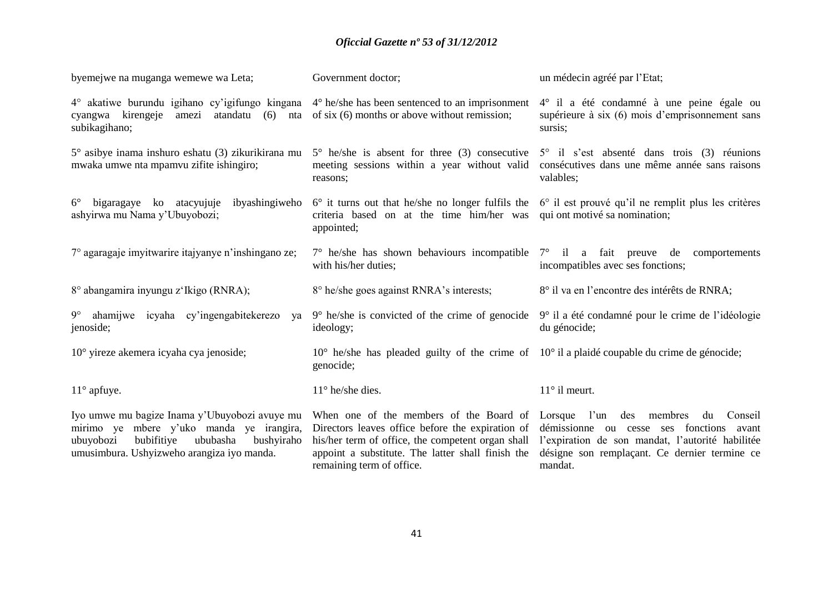| byemejwe na muganga wemewe wa Leta;                                                                                                                                                          | Government doctor;                                                                                                                                                                                                                                  | un médecin agréé par l'Etat;                                                                                                                                                         |
|----------------------------------------------------------------------------------------------------------------------------------------------------------------------------------------------|-----------------------------------------------------------------------------------------------------------------------------------------------------------------------------------------------------------------------------------------------------|--------------------------------------------------------------------------------------------------------------------------------------------------------------------------------------|
| 4° akatiwe burundu igihano cy'igifungo kingana<br>cyangwa kirengeje<br>atandatu<br>amezi<br>(6)<br>nta<br>subikagihano;                                                                      | $4^{\circ}$ he/she has been sentenced to an imprisonment<br>of six $(6)$ months or above without remission;                                                                                                                                         | 4° il a été condamné à une peine égale ou<br>supérieure à six (6) mois d'emprisonnement sans<br>sursis;                                                                              |
| $5^\circ$ asibye inama inshuro eshatu (3) zikurikirana mu<br>mwaka umwe nta mpamvu zifite ishingiro;                                                                                         | $5^{\circ}$ he/she is absent for three (3) consecutive<br>meeting sessions within a year without valid<br>reasons;                                                                                                                                  | 5° il s'est absenté dans trois (3) réunions<br>consécutives dans une même année sans raisons<br>valables;                                                                            |
| bigaragaye ko atacyujuje<br>ibyashingiweho<br>$6^{\circ}$<br>ashyirwa mu Nama y'Ubuyobozi;                                                                                                   | criteria based on at the time him/her was<br>appointed;                                                                                                                                                                                             | $6^{\circ}$ it turns out that he/she no longer fulfils the $6^{\circ}$ il est prouvé qu'il ne remplit plus les critères<br>qui ont motivé sa nomination;                             |
| 7° agaragaje imyitwarire itajyanye n'inshingano ze;                                                                                                                                          | with his/her duties;                                                                                                                                                                                                                                | $7^{\circ}$ he/she has shown behaviours incompatible $7^{\circ}$ il a fait preuve de comportements<br>incompatibles avec ses fonctions;                                              |
| 8° abangamira inyungu z'Ikigo (RNRA);                                                                                                                                                        | 8° he/she goes against RNRA's interests;                                                                                                                                                                                                            | 8° il va en l'encontre des intérêts de RNRA;                                                                                                                                         |
| 9° ahamijwe icyaha cy'ingengabitekerezo<br>va<br>jenoside;                                                                                                                                   | $9^{\circ}$ he/she is convicted of the crime of genocide<br>ideology;                                                                                                                                                                               | 9° il a été condamné pour le crime de l'idéologie<br>du génocide;                                                                                                                    |
| 10° yireze akemera icyaha cya jenoside;                                                                                                                                                      | $10^{\circ}$ he/she has pleaded guilty of the crime of $10^{\circ}$ il a plaidé coupable du crime de génocide;<br>genocide;                                                                                                                         |                                                                                                                                                                                      |
| $11^{\circ}$ apfuye.                                                                                                                                                                         | $11^{\circ}$ he/she dies.                                                                                                                                                                                                                           | $11^\circ$ il meurt.                                                                                                                                                                 |
| Iyo umwe mu bagize Inama y'Ubuyobozi avuye mu<br>mirimo ye mbere y'uko manda ye irangira,<br>bubifitiye<br>ubuyobozi<br>ububasha<br>bushyiraho<br>umusimbura. Ushyizweho arangiza iyo manda. | When one of the members of the Board of Lorsque l'un des<br>Directors leaves office before the expiration of<br>his/her term of office, the competent organ shall<br>appoint a substitute. The latter shall finish the<br>remaining term of office. | membres<br>Conseil<br>du<br>démissionne ou cesse ses fonctions avant<br>l'expiration de son mandat, l'autorité habilitée<br>désigne son remplaçant. Ce dernier termine ce<br>mandat. |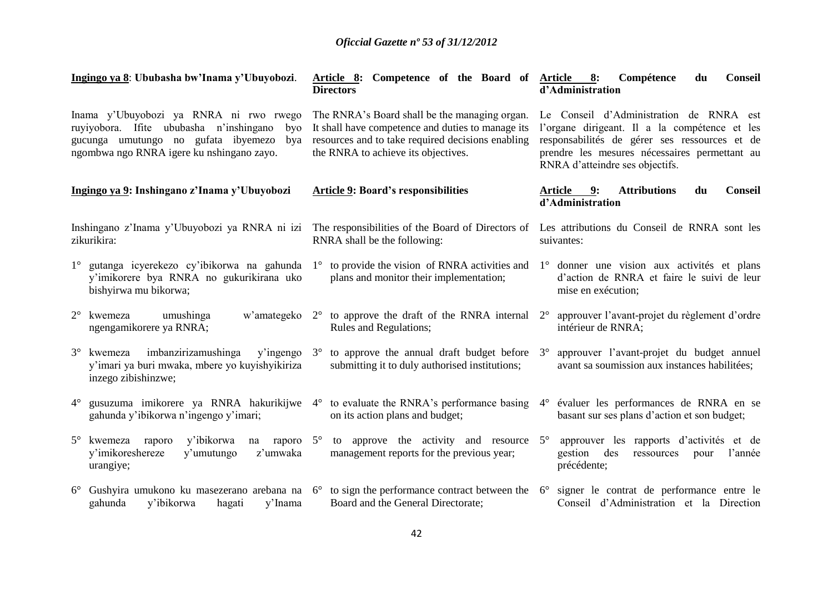|             | Ingingo ya 8: Ububasha bw'Inama y'Ubuyobozi.                                                                                                                                        |             | Article 8: Competence of the Board of<br><b>Directors</b>                                                                                                                                      |             | Article 8:<br>Conseil<br>Compétence<br>du<br>d'Administration                                                                                                                                                                 |
|-------------|-------------------------------------------------------------------------------------------------------------------------------------------------------------------------------------|-------------|------------------------------------------------------------------------------------------------------------------------------------------------------------------------------------------------|-------------|-------------------------------------------------------------------------------------------------------------------------------------------------------------------------------------------------------------------------------|
|             | Inama y'Ubuyobozi ya RNRA ni rwo rwego<br>ruyiyobora. Ifite ububasha n'inshingano<br>byo<br>gucunga umutungo no gufata ibyemezo<br>bya<br>ngombwa ngo RNRA igere ku nshingano zayo. |             | The RNRA's Board shall be the managing organ.<br>It shall have competence and duties to manage its<br>resources and to take required decisions enabling<br>the RNRA to achieve its objectives. |             | Le Conseil d'Administration de RNRA est<br>l'organe dirigeant. Il a la compétence et les<br>responsabilités de gérer ses ressources et de<br>prendre les mesures nécessaires permettant au<br>RNRA d'atteindre ses objectifs. |
|             | Ingingo ya 9: Inshingano z'Inama y'Ubuyobozi                                                                                                                                        |             | <b>Article 9: Board's responsibilities</b>                                                                                                                                                     |             | <b>Attributions</b><br><b>Conseil</b><br>Article<br>9:<br>du<br>d'Administration                                                                                                                                              |
|             | Inshingano z'Inama y'Ubuyobozi ya RNRA ni izi<br>zikurikira:                                                                                                                        |             | The responsibilities of the Board of Directors of Les attributions du Conseil de RNRA sont les<br>RNRA shall be the following:                                                                 |             | suivantes:                                                                                                                                                                                                                    |
| $1^{\circ}$ | gutanga icyerekezo cy'ibikorwa na gahunda<br>y'imikorere bya RNRA no gukurikirana uko<br>bishyirwa mu bikorwa;                                                                      | $1^{\circ}$ | to provide the vision of RNRA activities and<br>plans and monitor their implementation;                                                                                                        |             | 1° donner une vision aux activités et plans<br>d'action de RNRA et faire le suivi de leur<br>mise en exécution;                                                                                                               |
|             | $2^{\circ}$ kwemeza<br>umushinga<br>ngengamikorere ya RNRA;                                                                                                                         |             | w'amategeko $2^{\circ}$ to approve the draft of the RNRA internal<br>Rules and Regulations;                                                                                                    | $2^{\circ}$ | approuver l'avant-projet du règlement d'ordre<br>intérieur de RNRA;                                                                                                                                                           |
| $3^\circ$   | imbanzirizamushinga<br>$y'$ ingengo $3^\circ$<br>kwemeza<br>y'imari ya buri mwaka, mbere yo kuyishyikiriza<br>inzego zibishinzwe;                                                   |             | to approve the annual draft budget before $3^\circ$<br>submitting it to duly authorised institutions;                                                                                          |             | approuver l'avant-projet du budget annuel<br>avant sa soumission aux instances habilitées;                                                                                                                                    |
| $4^\circ$   | gusuzuma imikorere ya RNRA hakurikijwe $4^{\circ}$ to evaluate the RNRA's performance basing<br>gahunda y'ibikorwa n'ingengo y'imari;                                               |             | on its action plans and budget;                                                                                                                                                                | $4^\circ$   | évaluer les performances de RNRA en se<br>basant sur ses plans d'action et son budget;                                                                                                                                        |
| $5^\circ$   | y'ibikorwa<br>raporo $5^\circ$<br>kwemeza<br>raporo<br>na<br>y'imikoreshereze<br>y'umutungo<br>z'umwaka<br>urangiye;                                                                |             | to approve the activity and resource<br>management reports for the previous year;                                                                                                              | $5^{\circ}$ | approuver les rapports d'activités et de<br>gestion<br>des<br>ressources<br>l'année<br>pour<br>précédente;                                                                                                                    |
|             | 6° Gushyira umukono ku masezerano arebana na 6°<br>gahunda<br>y'ibikorwa<br>y'Inama<br>hagati                                                                                       |             | to sign the performance contract between the $6^{\circ}$<br>Board and the General Directorate;                                                                                                 |             | signer le contrat de performance entre le<br>Conseil d'Administration et la Direction                                                                                                                                         |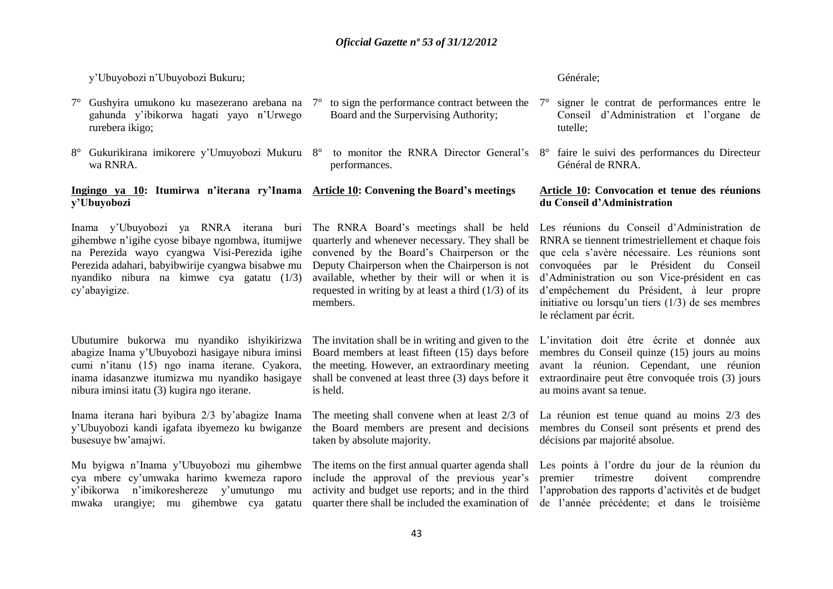#### y'Ubuyobozi n'Ubuyobozi Bukuru;

**y'Ubuyobozi**

- $7^{\circ}$  Gushyira umukono ku masezerano arebana na  $7^{\circ}$  to sign the performance contract between the  $7^{\circ}$  signer le contrat de performances entre le gahunda y'ibikorwa hagati yayo n'Urwego rurebera ikigo;
- 8° Gukurikirana imikorere y'Umuyobozi Mukuru 8° to monitor the RNRA Director General's 8° faire le suivi des performances du Directeur wa RNRA.

**Ingingo ya 10: Itumirwa n'iterana ry'Inama Article 10: Convening the Board's meetings** 

- Board and the Surpervising Authority;
- performances.

#### Générale;

- Conseil d'Administration et l'organe de tutelle;
- Général de RNRA.

#### **Article 10: Convocation et tenue des réunions du Conseil d'Administration**

Inama y'Ubuyobozi ya RNRA iterana buri The RNRA Board's meetings shall be held gihembwe n'igihe cyose bibaye ngombwa, itumijwe na Perezida wayo cyangwa Visi-Perezida igihe Perezida adahari, babyibwirije cyangwa bisabwe mu nyandiko nibura na kimwe cya gatatu (1/3) cy'abayigize.

quarterly and whenever necessary. They shall be convened by the Board's Chairperson or the Deputy Chairperson when the Chairperson is not available, whether by their will or when it is requested in writing by at least a third (1/3) of its members.

# Ubutumire bukorwa mu nyandiko ishyikirizwa abagize Inama y'Ubuyobozi hasigaye nibura iminsi cumi n'itanu (15) ngo inama iterane. Cyakora, inama idasanzwe itumizwa mu nyandiko hasigaye nibura iminsi itatu (3) kugira ngo iterane.

Inama iterana hari byibura 2/3 by'abagize Inama y'Ubuyobozi kandi igafata ibyemezo ku bwiganze busesuye bw'amajwi.

Mu byigwa n'Inama y'Ubuyobozi mu gihembwe cya mbere cy'umwaka harimo kwemeza raporo y'ibikorwa n'imikoreshereze y'umutungo mu mwaka urangiye; mu gihembwe cya gatatu

The invitation shall be in writing and given to the Board members at least fifteen (15) days before the meeting. However, an extraordinary meeting is held.

The meeting shall convene when at least 2/3 of La réunion est tenue quand au moins 2/3 des taken by absolute majority.

include the approval of the previous year's

Les réunions du Conseil d'Administration de RNRA se tiennent trimestriellement et chaque fois que cela s'avère nécessaire. Les réunions sont convoquées par le Président du Conseil d'Administration ou son Vice-président en cas d'empêchement du Président, à leur propre initiative ou lorsqu'un tiers (1/3) de ses membres le réclament par écrit.

shall be convened at least three (3) days before it extraordinaire peut être convoquée trois (3) jours L'invitation doit être écrite et donnée aux membres du Conseil quinze (15) jours au moins avant la réunion. Cependant, une réunion au moins avant sa tenue.

the Board members are present and decisions membres du Conseil sont présents et prend des décisions par majorité absolue.

The items on the first annual quarter agenda shall Les points à l'ordre du jour de la réunion du activity and budget use reports; and in the third l'approbation des rapports d'activités et de budget quarter there shall be included the examination of de l'année précédente; et dans le troisième premier trimestre doivent comprendre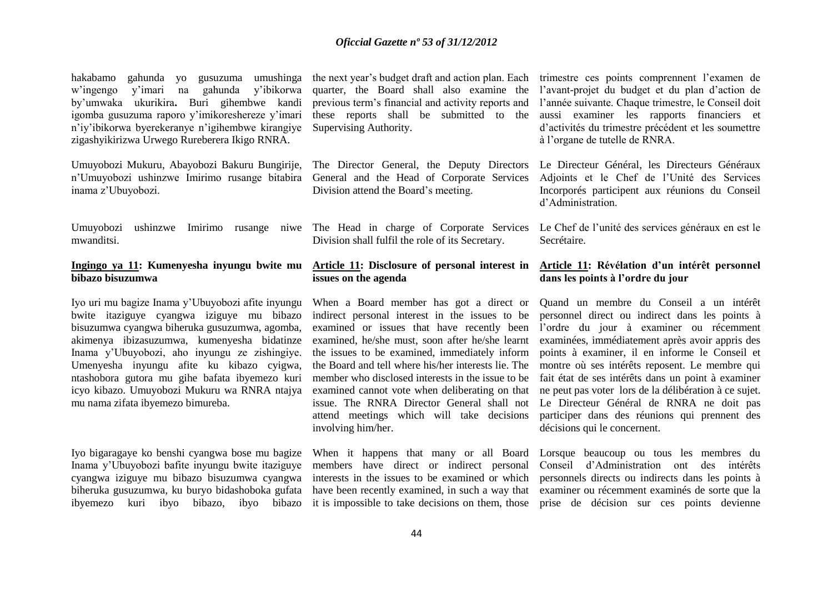hakabamo gahunda yo gusuzuma umushinga w'ingengo y'imari na gahunda y'ibikorwa by'umwaka ukurikira**.** Buri gihembwe kandi igomba gusuzuma raporo y'imikoreshereze y'imari n'iy'ibikorwa byerekeranye n'igihembwe kirangiye zigashyikirizwa Urwego Rureberera Ikigo RNRA.

Umuyobozi Mukuru, Abayobozi Bakuru Bungirije, n'Umuyobozi ushinzwe Imirimo rusange bitabira inama z'Ubuyobozi.

Umuyobozi ushinzwe Imirimo rusange niwe The Head in charge of Corporate Services Le Chef de l'unité des services généraux en est le mwanditsi.

#### **Ingingo ya 11: Kumenyesha inyungu bwite mu bibazo bisuzumwa**

Iyo uri mu bagize Inama y'Ubuyobozi afite inyungu bwite itaziguye cyangwa iziguye mu bibazo bisuzumwa cyangwa biheruka gusuzumwa, agomba, akimenya ibizasuzumwa, kumenyesha bidatinze Inama y'Ubuyobozi, aho inyungu ze zishingiye. Umenyesha inyungu afite ku kibazo cyigwa, ntashobora gutora mu gihe bafata ibyemezo kuri icyo kibazo. Umuyobozi Mukuru wa RNRA ntajya mu nama zifata ibyemezo bimureba.

Iyo bigaragaye ko benshi cyangwa bose mu bagize Inama y'Ubuyobozi bafite inyungu bwite itaziguye cyangwa iziguye mu bibazo bisuzumwa cyangwa biheruka gusuzumwa, ku buryo bidashoboka gufata ibyemezo kuri ibyo bibazo, ibyo bibazo

quarter, the Board shall also examine the previous term's financial and activity reports and these reports shall be submitted to the Supervising Authority.

The Director General, the Deputy Directors General and the Head of Corporate Services Division attend the Board's meeting.

Division shall fulfil the role of its Secretary.

#### **Article 11: Disclosure of personal interest in issues on the agenda**

When a Board member has got a direct or indirect personal interest in the issues to be examined or issues that have recently been examined, he/she must, soon after he/she learnt the issues to be examined, immediately inform the Board and tell where his/her interests lie. The member who disclosed interests in the issue to be examined cannot vote when deliberating on that issue. The RNRA Director General shall not attend meetings which will take decisions involving him/her.

When it happens that many or all Board members have direct or indirect personal

the next year's budget draft and action plan. Each trimestre ces points comprennent l'examen de l'avant-projet du budget et du plan d'action de l'année suivante. Chaque trimestre, le Conseil doit aussi examiner les rapports financiers et d'activités du trimestre précédent et les soumettre à l'organe de tutelle de RNRA.

> Le Directeur Général, les Directeurs Généraux Adjoints et le Chef de l'Unité des Services Incorporés participent aux réunions du Conseil d'Administration.

> Secrétaire.

#### **Article 11: Révélation d'un intérêt personnel dans les points à l'ordre du jour**

Quand un membre du Conseil a un intérêt personnel direct ou indirect dans les points à l'ordre du jour à examiner ou récemment examinées, immédiatement après avoir appris des points à examiner, il en informe le Conseil et montre où ses intérêts reposent. Le membre qui fait état de ses intérêts dans un point à examiner ne peut pas voter lors de la délibération à ce sujet. Le Directeur Général de RNRA ne doit pas participer dans des réunions qui prennent des décisions qui le concernent.

interests in the issues to be examined or which personnels directs ou indirects dans les points à have been recently examined, in such a way that examiner ou récemment examinés de sorte que la it is impossible to take decisions on them, those prise de décision sur ces points devienne Lorsque beaucoup ou tous les membres du Conseil d'Administration ont des intérêts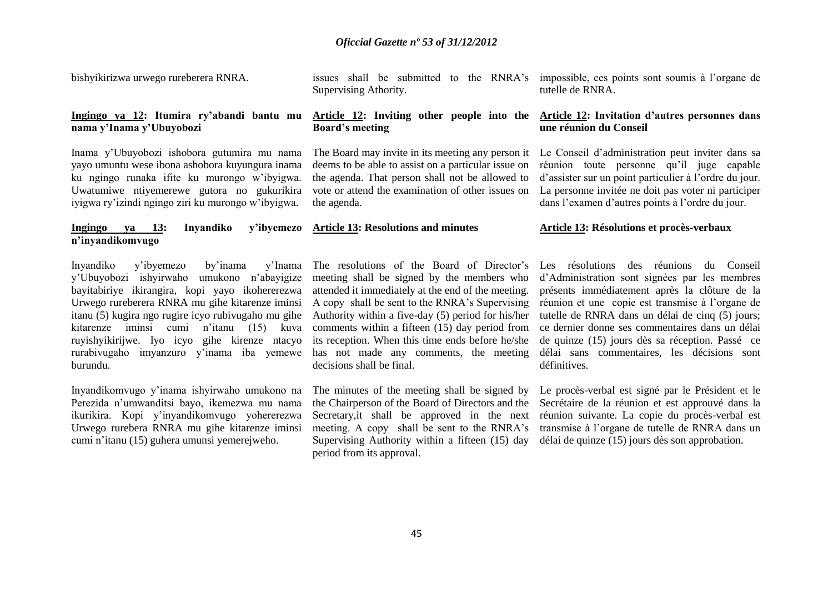bishyikirizwa urwego rureberera RNRA.

**Ingingo ya 12: Itumira ry'abandi bantu mu nama y'Inama y'Ubuyobozi**

Inama y'Ubuyobozi ishobora gutumira mu nama yayo umuntu wese ibona ashobora kuyungura inama ku ngingo runaka ifite ku murongo w'ibyigwa. Uwatumiwe ntiyemerewe gutora no gukurikira iyigwa ry'izindi ngingo ziri ku murongo w'ibyigwa.

#### **Ingingo ya 13: Inyandiko n'inyandikomvugo Article 13: Resolutions and minutes**

Inyandiko y'ibyemezo by'inama y'Inama y'Ubuyobozi ishyirwaho umukono n'abayigize bayitabiriye ikirangira, kopi yayo ikohererezwa Urwego rureberera RNRA mu gihe kitarenze iminsi itanu (5) kugira ngo rugire icyo rubivugaho mu gihe kitarenze iminsi cumi n'itanu (15) kuva ruyishyikirijwe. Iyo icyo gihe kirenze ntacyo rurabivugaho imyanzuro y'inama iba yemewe burundu.

Inyandikomvugo y'inama ishyirwaho umukono na Perezida n'umwanditsi bayo, ikemezwa mu nama ikurikira. Kopi y'inyandikomvugo yohererezwa Urwego rurebera RNRA mu gihe kitarenze iminsi cumi n'itanu (15) guhera umunsi yemerejweho.

issues shall be submitted to the RNRA's Supervising Athority. impossible, ces points sont soumis à l'organe de tutelle de RNRA.

#### **Article 12: Inviting other people into the Board's meeting**

The Board may invite in its meeting any person it deems to be able to assist on a particular issue on the agenda. That person shall not be allowed to vote or attend the examination of other issues on the agenda.

#### **Article 12: Invitation d'autres personnes dans une réunion du Conseil**

Le Conseil d'administration peut inviter dans sa réunion toute personne qu'il juge capable d'assister sur un point particulier à l'ordre du jour. La personne invitée ne doit pas voter ni participer dans l'examen d'autres points à l'ordre du jour.

#### **Article 13: Résolutions et procès-verbaux**

The resolutions of the Board of Director's meeting shall be signed by the members who attended it immediately at the end of the meeting. A copy shall be sent to the RNRA's Supervising Authority within a five-day (5) period for his/her comments within a fifteen (15) day period from its reception. When this time ends before he/she has not made any comments, the meeting decisions shall be final.

The minutes of the meeting shall be signed by the Chairperson of the Board of Directors and the Secretary,it shall be approved in the next meeting. A copy shall be sent to the RNRA's Supervising Authority within a fifteen (15) day period from its approval.

Les résolutions des réunions du Conseil d'Administration sont signées par les membres présents immédiatement après la clôture de la réunion et une copie est transmise à l'organe de tutelle de RNRA dans un délai de cinq (5) jours; ce dernier donne ses commentaires dans un délai de quinze (15) jours dès sa réception. Passé ce délai sans commentaires, les décisions sont définitives.

Le procès-verbal est signé par le Président et le Secrétaire de la réunion et est approuvé dans la réunion suivante. La copie du procès-verbal est transmise à l'organe de tutelle de RNRA dans un délai de quinze (15) jours dès son approbation.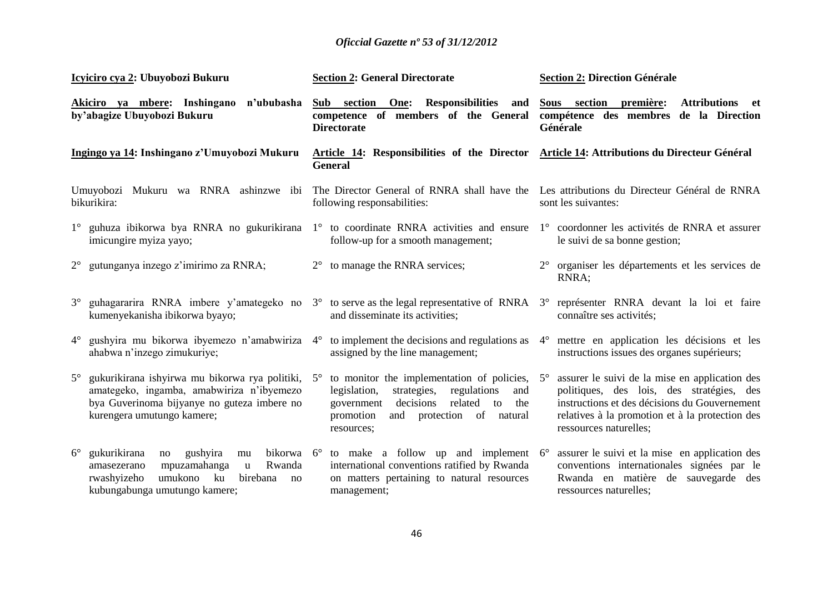|                                                                        | Icyiciro cya 2: Ubuyobozi Bukuru                                                                                                                                                                     |                                                                                                        | <b>Section 2: General Directorate</b>                                                                                                                                                                                   |           | <b>Section 2: Direction Générale</b>                                                                                                                                                                                      |
|------------------------------------------------------------------------|------------------------------------------------------------------------------------------------------------------------------------------------------------------------------------------------------|--------------------------------------------------------------------------------------------------------|-------------------------------------------------------------------------------------------------------------------------------------------------------------------------------------------------------------------------|-----------|---------------------------------------------------------------------------------------------------------------------------------------------------------------------------------------------------------------------------|
| Akiciro ya mbere: Inshingano n'ububasha<br>by'abagize Ubuyobozi Bukuru |                                                                                                                                                                                                      | Sub section One:<br>Responsibilities and<br>competence of members of the General<br><b>Directorate</b> |                                                                                                                                                                                                                         |           | Sous section première:<br>Attributions et<br>compétence des membres de la Direction<br>Générale                                                                                                                           |
| Ingingo ya 14: Inshingano z'Umuyobozi Mukuru                           |                                                                                                                                                                                                      |                                                                                                        | Article 14: Responsibilities of the Director Article 14: Attributions du Directeur Général<br><b>General</b>                                                                                                            |           |                                                                                                                                                                                                                           |
|                                                                        | Umuyobozi Mukuru wa RNRA ashinzwe ibi<br>bikurikira:                                                                                                                                                 |                                                                                                        | The Director General of RNRA shall have the<br>following responsabilities:                                                                                                                                              |           | Les attributions du Directeur Général de RNRA<br>sont les suivantes:                                                                                                                                                      |
|                                                                        | 1° guhuza ibikorwa bya RNRA no gukurikirana 1° to coordinate RNRA activities and ensure<br>imicungire myiza yayo;                                                                                    |                                                                                                        | follow-up for a smooth management;                                                                                                                                                                                      |           | 1° coordonner les activités de RNRA et assurer<br>le suivi de sa bonne gestion;                                                                                                                                           |
| $2^{\circ}$                                                            | gutunganya inzego z'imirimo za RNRA;                                                                                                                                                                 | $2^{\circ}$                                                                                            | to manage the RNRA services;                                                                                                                                                                                            |           | 2° organiser les départements et les services de<br>RNRA:                                                                                                                                                                 |
| $3^\circ$                                                              | guhagararira RNRA imbere y'amategeko no<br>kumenyekanisha ibikorwa byayo;                                                                                                                            |                                                                                                        | 3° to serve as the legal representative of RNRA 3° représenter RNRA devant la loi et faire<br>and disseminate its activities;                                                                                           |           | connaître ses activités;                                                                                                                                                                                                  |
| $4^{\circ}$                                                            | gushyira mu bikorwa ibyemezo n'amabwiriza<br>ahabwa n'inzego zimukuriye;                                                                                                                             | $4^\circ$                                                                                              | to implement the decisions and regulations as<br>assigned by the line management;                                                                                                                                       | $4^\circ$ | mettre en application les décisions et les<br>instructions issues des organes supérieurs;                                                                                                                                 |
| $5^\circ$                                                              | gukurikirana ishyirwa mu bikorwa rya politiki,<br>amategeko, ingamba, amabwiriza n'ibyemezo<br>bya Guverinoma bijyanye no guteza imbere no<br>kurengera umutungo kamere;                             | $5^{\circ}$                                                                                            | to monitor the implementation of policies, $5^\circ$<br>legislation,<br>strategies,<br>regulations<br>and<br>decisions<br>related<br>the<br>to<br>government<br>promotion<br>protection of natural<br>and<br>resources; |           | assurer le suivi de la mise en application des<br>politiques, des lois, des stratégies, des<br>instructions et des décisions du Gouvernement<br>relatives à la promotion et à la protection des<br>ressources naturelles; |
| $6^{\circ}$                                                            | gukurikirana<br>gushyira<br>bikorwa $6^\circ$<br>mu<br>no<br>mpuzamahanga<br>Rwanda<br>amasezerano<br>$\mathbf u$<br>umukono<br>rwashyizeho<br>ku<br>birebana<br>no<br>kubungabunga umutungo kamere; |                                                                                                        | to make a follow up and implement $6^{\circ}$<br>international conventions ratified by Rwanda<br>on matters pertaining to natural resources<br>management;                                                              |           | assurer le suivi et la mise en application des<br>conventions internationales signées par le<br>Rwanda en matière de sauvegarde des<br>ressources naturelles;                                                             |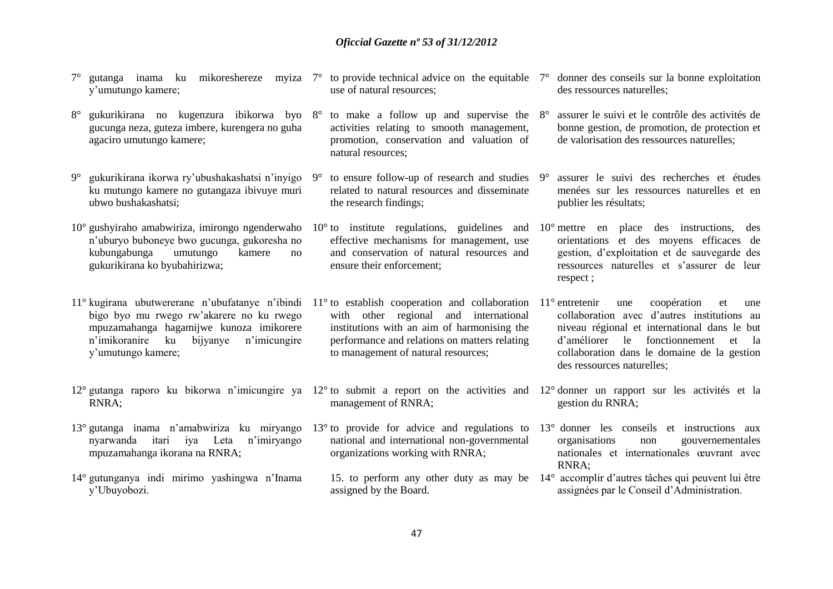- 7° gutanga inama ku mikoreshereze myiza 7° to provide technical advice on the equitable 7° donner des conseils sur la bonne exploitation y'umutungo kamere;
- 8° gukurikirana no kugenzura ibikorwa byo 8° to make a follow up and supervise the gucunga neza, guteza imbere, kurengera no guha agaciro umutungo kamere;
- 9° gukurikirana ikorwa ry'ubushakashatsi n'inyigo ku mutungo kamere no gutangaza ibivuye muri ubwo bushakashatsi;
- 10° gushyiraho amabwiriza, imirongo ngenderwaho 10° to institute regulations, guidelines and 10° mettre en place des instructions, des n'uburyo buboneye bwo gucunga, gukoresha no kubungabunga umutungo kamere no gukurikirana ko byubahirizwa;
- 11° kugirana ubutwererane n'ubufatanye n'ibindi 11° to establish cooperation and collaboration 11° entretenir une coopération et une bigo byo mu rwego rw'akarere no ku rwego mpuzamahanga hagamijwe kunoza imikorere n'imikoranire ku bijyanye n'imicungire y'umutungo kamere;
- 12° gutanga raporo ku bikorwa n'imicungire ya 12° to submit a report on the activities and 12° donner un rapport sur les activités et la RNRA;
- 13° gutanga inama n'amabwiriza ku miryango 13° to provide for advice and regulations to 13° donner les conseils et instructions aux nyarwanda itari iya Leta n'imiryango mpuzamahanga ikorana na RNRA;
- 14° gutunganya indi mirimo yashingwa n'Inama y'Ubuyobozi.
- use of natural resources;
- activities relating to smooth management, promotion, conservation and valuation of natural resources;
- $9^{\circ}$  to ensure follow-up of research and studies  $9^{\circ}$ related to natural resources and disseminate the research findings;
- effective mechanisms for management, use and conservation of natural resources and ensure their enforcement;
- with other regional and international institutions with an aim of harmonising the performance and relations on matters relating to management of natural resources;
	- management of RNRA;
	- national and international non-governmental organizations working with RNRA;
	- assigned by the Board.
- des ressources naturelles;
- 8° assurer le suivi et le contrôle des activités de bonne gestion, de promotion, de protection et de valorisation des ressources naturelles;
- assurer le suivi des recherches et études menées sur les ressources naturelles et en publier les résultats;
- orientations et des moyens efficaces de gestion, d'exploitation et de sauvegarde des ressources naturelles et s'assurer de leur respect ;
- collaboration avec d'autres institutions au niveau régional et international dans le but d'améliorer le fonctionnement et la collaboration dans le domaine de la gestion des ressources naturelles;
- gestion du RNRA;
- organisations non gouvernementales nationales et internationales œuvrant avec  $RNRA$
- 15. to perform any other duty as may be 14° accomplir d'autres tâches qui peuvent lui être assignées par le Conseil d'Administration.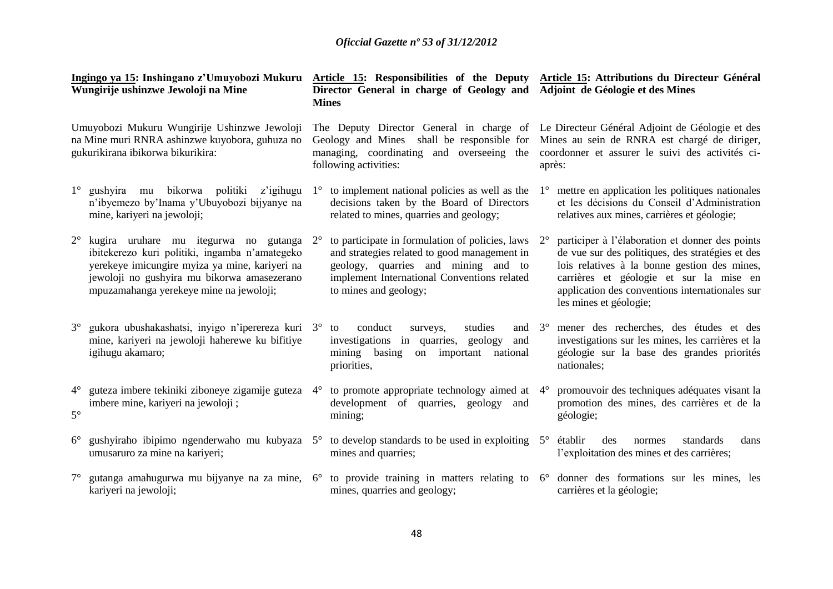|                                                                                                                                     | Ingingo ya 15: Inshingano z'Umuyobozi Mukuru<br>Wungirije ushinzwe Jewoloji na Mine                                                                                                                                                    |             | Article 15: Responsibilities of the Deputy Article 15: Attributions du Directeur Général<br>Director General in charge of Geology and Adjoint de Géologie et des Mines<br><b>Mines</b>                         |             |                                                                                                                                                                                                                                                                             |
|-------------------------------------------------------------------------------------------------------------------------------------|----------------------------------------------------------------------------------------------------------------------------------------------------------------------------------------------------------------------------------------|-------------|----------------------------------------------------------------------------------------------------------------------------------------------------------------------------------------------------------------|-------------|-----------------------------------------------------------------------------------------------------------------------------------------------------------------------------------------------------------------------------------------------------------------------------|
| Umuyobozi Mukuru Wungirije Ushinzwe Jewoloji<br>na Mine muri RNRA ashinzwe kuyobora, guhuza no<br>gukurikirana ibikorwa bikurikira: |                                                                                                                                                                                                                                        |             | The Deputy Director General in charge of Le Directeur Général Adjoint de Géologie et des<br>Geology and Mines shall be responsible for<br>managing, coordinating and overseeing the<br>following activities:   |             | Mines au sein de RNRA est chargé de diriger,<br>coordonner et assurer le suivi des activités ci-<br>après:                                                                                                                                                                  |
| $1^{\circ}$                                                                                                                         | gushyira mu bikorwa politiki<br>z'igihugu<br>n'ibyemezo by'Inama y'Ubuyobozi bijyanye na<br>mine, kariyeri na jewoloji;                                                                                                                | $1^{\circ}$ | to implement national policies as well as the<br>decisions taken by the Board of Directors<br>related to mines, quarries and geology;                                                                          | $1^{\circ}$ | mettre en application les politiques nationales<br>et les décisions du Conseil d'Administration<br>relatives aux mines, carrières et géologie;                                                                                                                              |
| $2^{\circ}$                                                                                                                         | kugira uruhare mu itegurwa no gutanga 2°<br>ibitekerezo kuri politiki, ingamba n'amategeko<br>yerekeye imicungire myiza ya mine, kariyeri na<br>jewoloji no gushyira mu bikorwa amasezerano<br>mpuzamahanga yerekeye mine na jewoloji; |             | to participate in formulation of policies, laws<br>and strategies related to good management in<br>geology, quarries and mining and to<br>implement International Conventions related<br>to mines and geology; | $2^{\circ}$ | participer à l'élaboration et donner des points<br>de vue sur des politiques, des stratégies et des<br>lois relatives à la bonne gestion des mines,<br>carrières et géologie et sur la mise en<br>application des conventions internationales sur<br>les mines et géologie; |
| $3^{\circ}$                                                                                                                         | gukora ubushakashatsi, inyigo n'iperereza kuri 3° to<br>mine, kariyeri na jewoloji haherewe ku bifitiye<br>igihugu akamaro;                                                                                                            |             | conduct<br>studies<br>and $3^\circ$<br>surveys,<br>investigations in quarries,<br>geology<br>and<br>mining<br>basing<br>on important<br>national<br>priorities,                                                |             | mener des recherches, des études et des<br>investigations sur les mines, les carrières et la<br>géologie sur la base des grandes priorités<br>nationales;                                                                                                                   |
| $4^{\circ}$<br>$5^\circ$                                                                                                            | guteza imbere tekiniki ziboneye zigamije guteza 4°<br>imbere mine, kariyeri na jewoloji;                                                                                                                                               |             | to promote appropriate technology aimed at $4^{\circ}$<br>development of quarries, geology and<br>mining;                                                                                                      |             | promouvoir des techniques adéquates visant la<br>promotion des mines, des carrières et de la<br>géologie;                                                                                                                                                                   |
| $6^{\circ}$                                                                                                                         | gushyiraho ibipimo ngenderwaho mu kubyaza 5°<br>umusaruro za mine na kariyeri;                                                                                                                                                         |             | to develop standards to be used in exploiting $5^\circ$<br>mines and quarries;                                                                                                                                 |             | établir<br>standards<br>dans<br>des<br>normes<br>l'exploitation des mines et des carrières;                                                                                                                                                                                 |
| $7^{\circ}$                                                                                                                         | gutanga amahugurwa mu bijyanye na za mine,<br>kariyeri na jewoloji;                                                                                                                                                                    | $6^{\circ}$ | to provide training in matters relating to<br>mines, quarries and geology;                                                                                                                                     | $6^{\circ}$ | donner des formations sur les mines, les<br>carrières et la géologie;                                                                                                                                                                                                       |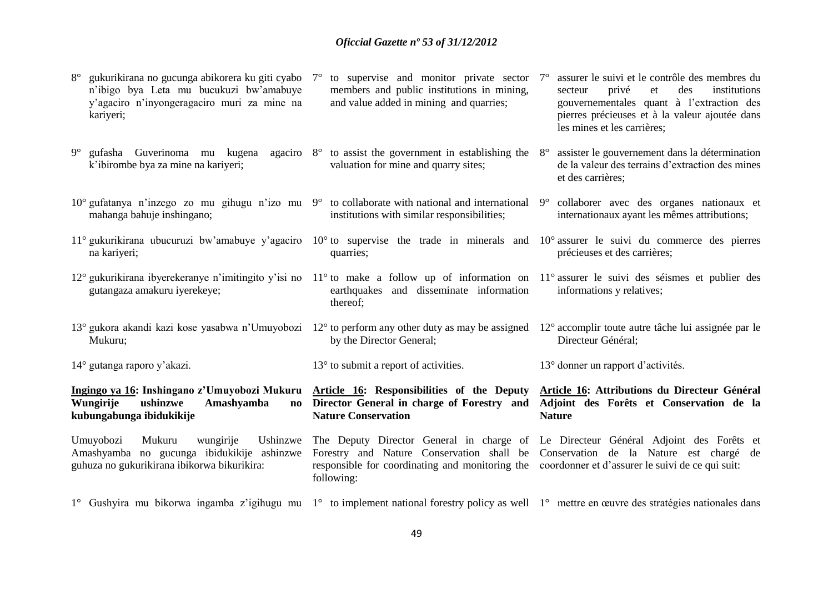| gukurikirana no gucunga abikorera ku giti cyabo 7°<br>$8^{\circ}$<br>n'ibigo bya Leta mu bucukuzi bw'amabuye<br>y'agaciro n'inyongeragaciro muri za mine na<br>kariyeri;       | to supervise and monitor private sector $7^{\circ}$<br>members and public institutions in mining,<br>and value added in mining and quarries; | assurer le suivi et le contrôle des membres du<br>des<br>privé<br>institutions<br>secteur<br>et<br>gouvernementales quant à l'extraction des<br>pierres précieuses et à la valeur ajoutée dans<br>les mines et les carrières; |
|--------------------------------------------------------------------------------------------------------------------------------------------------------------------------------|----------------------------------------------------------------------------------------------------------------------------------------------|-------------------------------------------------------------------------------------------------------------------------------------------------------------------------------------------------------------------------------|
| $9^{\circ}$<br>gufasha Guverinoma mu kugena<br>k'ibirombe bya za mine na kariyeri;                                                                                             | agaciro $8^\circ$ to assist the government in establishing the<br>valuation for mine and quarry sites;                                       | assister le gouvernement dans la détermination<br>$8^{\circ}$<br>de la valeur des terrains d'extraction des mines<br>et des carrières;                                                                                        |
| 10° gufatanya n'inzego zo mu gihugu n'izo mu 9° to collaborate with national and international 9° collaborer avec des organes nationaux et<br>mahanga bahuje inshingano;       | institutions with similar responsibilities;                                                                                                  | internationaux ayant les mêmes attributions;                                                                                                                                                                                  |
| 11° gukurikirana ubucuruzi bw'amabuye y'agaciro $10^{\circ}$ to supervise the trade in minerals and $10^{\circ}$ assurer le suivi du commerce des pierres<br>na kariyeri;      | quarries;                                                                                                                                    | précieuses et des carrières;                                                                                                                                                                                                  |
| 12° gukurikirana ibyerekeranye n'imitingito y'isi no 11° to make a follow up of information on 11° assurer le suivi des séismes et publier des<br>gutangaza amakuru iyerekeye; | earthquakes and disseminate information<br>thereof;                                                                                          | informations y relatives;                                                                                                                                                                                                     |
| 13° gukora akandi kazi kose yasabwa n'Umuyobozi 12° to perform any other duty as may be assigned<br>Mukuru;                                                                    | by the Director General;                                                                                                                     | 12° accomplir toute autre tâche lui assignée par le<br>Directeur Général;                                                                                                                                                     |
| $14^{\circ}$ gutanga raporo y'akazi.                                                                                                                                           | $13^{\circ}$ to submit a report of activities.                                                                                               | 13° donner un rapport d'activités.                                                                                                                                                                                            |
| Ingingo ya 16: Inshingano z'Umuyobozi Mukuru<br>Wungirije<br>Amashyamba<br>ushinzwe<br>$\mathbf{n}\mathbf{o}$                                                                  | Article 16: Responsibilities of the Deputy                                                                                                   | Article 16: Attributions du Directeur Général                                                                                                                                                                                 |
| kubungabunga ibidukikije                                                                                                                                                       | Director General in charge of Forestry and<br><b>Nature Conservation</b>                                                                     | Adjoint des Forêts et Conservation de la<br><b>Nature</b>                                                                                                                                                                     |
| Umuyobozi<br>Mukuru<br>Ushinzwe<br>wungirije<br>Amashyamba no gucunga ibidukikije ashinzwe<br>guhuza no gukurikirana ibikorwa bikurikira:                                      | responsible for coordinating and monitoring the coordonner et d'assurer le suivi de ce qui suit:<br>following:                               | The Deputy Director General in charge of Le Directeur Général Adjoint des Forêts et<br>Forestry and Nature Conservation shall be Conservation de la Nature est chargé de                                                      |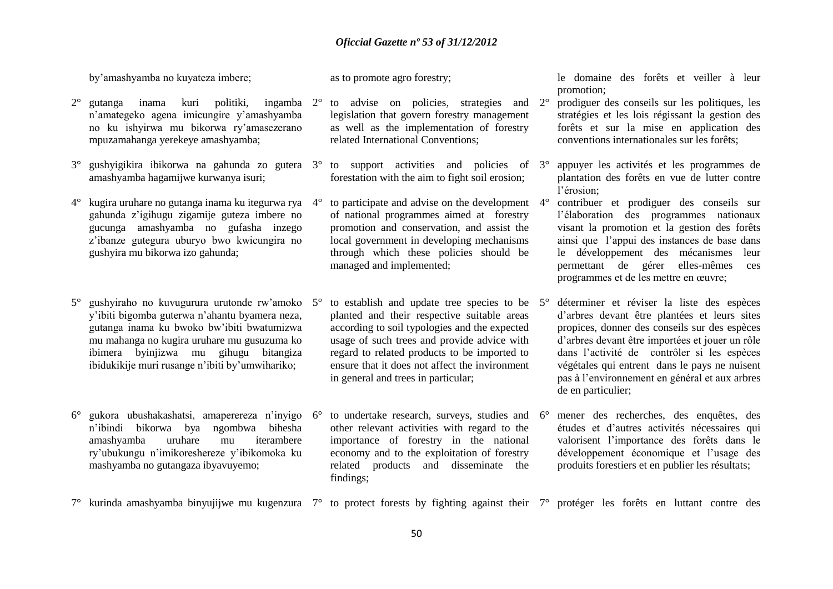by'amashyamba no kuyateza imbere;

as to promote agro forestry;

- 2° gutanga inama kuri politiki, ingamba 2° to advise on policies, strategies and n'amategeko agena imicungire y'amashyamba no ku ishyirwa mu bikorwa ry'amasezerano mpuzamahanga yerekeye amashyamba;
- 3° gushyigikira ibikorwa na gahunda zo gutera 3° to support activities and policies of amashyamba hagamijwe kurwanya isuri;
- 4° kugira uruhare no gutanga inama ku itegurwa rya gahunda z'igihugu zigamije guteza imbere no gucunga amashyamba no gufasha inzego z'ibanze gutegura uburyo bwo kwicungira no gushyira mu bikorwa izo gahunda;
- 5° gushyiraho no kuvugurura urutonde rw'amoko 5° to establish and update tree species to be y'ibiti bigomba guterwa n'ahantu byamera neza, gutanga inama ku bwoko bw'ibiti bwatumizwa mu mahanga no kugira uruhare mu gusuzuma ko ibimera byinjizwa mu gihugu bitangiza ibidukikije muri rusange n'ibiti by'umwihariko;
- 6° gukora ubushakashatsi, amaperereza n'inyigo n'ibindi bikorwa bya ngombwa bihesha amashyamba uruhare mu iterambere ry'ubukungu n'imikoreshereze y'ibikomoka ku mashyamba no gutangaza ibyavuyemo;
- legislation that govern forestry management as well as the implementation of forestry related International Conventions;
- forestation with the aim to fight soil erosion;
- 4° to participate and advise on the development 4° contribuer et prodiguer des conseils sur of national programmes aimed at forestry promotion and conservation, and assist the local government in developing mechanisms through which these policies should be managed and implemented;
- planted and their respective suitable areas according to soil typologies and the expected usage of such trees and provide advice with regard to related products to be imported to ensure that it does not affect the invironment in general and trees in particular;
- to undertake research, surveys, studies and 6° other relevant activities with regard to the importance of forestry in the national economy and to the exploitation of forestry related products and disseminate the findings;

le domaine des forêts et veiller à leur promotion;

- 2° prodiguer des conseils sur les politiques, les stratégies et les lois régissant la gestion des forêts et sur la mise en application des conventions internationales sur les forêts;
- 3° appuyer les activités et les programmes de plantation des forêts en vue de lutter contre l'érosion;
- l'élaboration des programmes nationaux visant la promotion et la gestion des forêts ainsi que l'appui des instances de base dans le développement des mécanismes leur permettant de gérer elles-mêmes ces programmes et de les mettre en œuvre;
- 5° déterminer et réviser la liste des espèces d'arbres devant être plantées et leurs sites propices, donner des conseils sur des espèces d'arbres devant être importées et jouer un rôle dans l'activité de contrôler si les espèces végétales qui entrent dans le pays ne nuisent pas à l'environnement en général et aux arbres de en particulier;
- 6° mener des recherches, des enquêtes, des études et d'autres activités nécessaires qui valorisent l'importance des forêts dans le développement économique et l'usage des produits forestiers et en publier les résultats;
- 7° kurinda amashyamba binyujijwe mu kugenzura 7° to protect forests by fighting against their 7° protéger les forêts en luttant contre des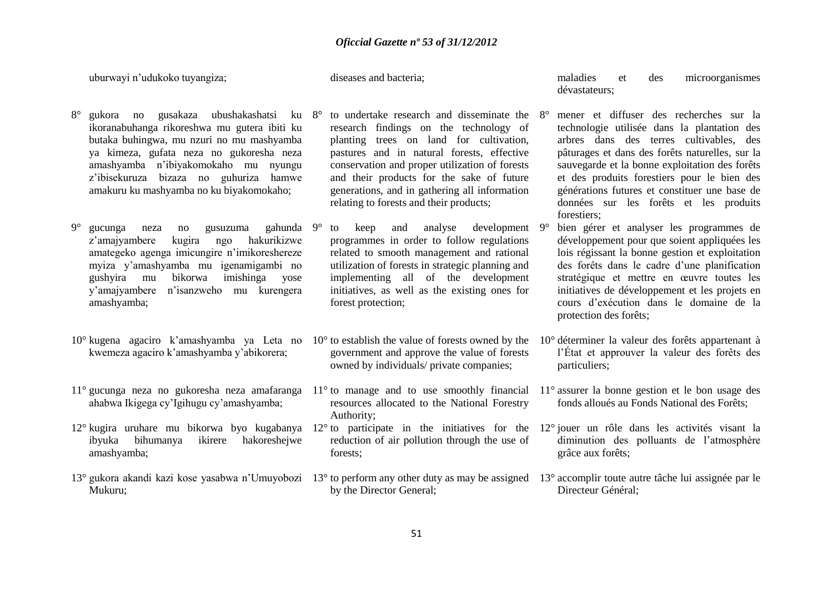uburwayi n'udukoko tuyangiza;

diseases and bacteria;

- 8° gukora no gusakaza ubushakashatsi ku ikoranabuhanga rikoreshwa mu gutera ibiti ku butaka buhingwa, mu nzuri no mu mashyamba ya kimeza, gufata neza no gukoresha neza amashyamba n'ibiyakomokaho mu nyungu z'ibisekuruza bizaza no guhuriza hamwe amakuru ku mashyamba no ku biyakomokaho;
- 9° gucunga neza no gusuzuma gahunda 9°<br>z'amaiyambere kugira ngo hakurikizwe z'amajyambere kugira ngo amategeko agenga imicungire n'imikoreshereze myiza y'amashyamba mu igenamigambi no gushyira mu bikorwa imishinga yose y'amajyambere n'isanzweho mu kurengera amashyamba;
- 10° kugena agaciro k'amashyamba ya Leta no kwemeza agaciro k'amashyamba y'abikorera;
- 11° gucunga neza no gukoresha neza amafaranga 11° to manage and to use smoothly financial 11° assurer la bonne gestion et le bon usage des ahabwa Ikigega cy'Igihugu cy'amashyamba;
- 12° kugira uruhare mu bikorwa byo kugabanya 12° to participate in the initiatives for the 12° jouer un rôle dans les activités visant la ibyuka bihumanya ikirere hakoreshejwe amashyamba;
- 13° gukora akandi kazi kose yasabwa n'Umuyobozi 13° to perform any other duty as may be assigned 13° accomplir toute autre tâche lui assignée par le Mukuru;
- 8° to undertake research and disseminate the research findings on the technology of planting trees on land for cultivation, pastures and in natural forests, effective conservation and proper utilization of forests and their products for the sake of future generations, and in gathering all information relating to forests and their products;
- to keep and analyse development  $9^\circ$ programmes in order to follow regulations related to smooth management and rational utilization of forests in strategic planning and implementing all of the development initiatives, as well as the existing ones for forest protection;
- government and approve the value of forests owned by individuals/ private companies;
- resources allocated to the National Forestry Authority;
- reduction of air pollution through the use of forests;
- by the Director General;

maladies et des microorganismes dévastateurs;

- 8° mener et diffuser des recherches sur la technologie utilisée dans la plantation des arbres dans des terres cultivables, des pâturages et dans des forêts naturelles, sur la sauvegarde et la bonne exploitation des forêts et des produits forestiers pour le bien des générations futures et constituer une base de données sur les forêts et les produits forestiers;
- bien gérer et analyser les programmes de développement pour que soient appliquées les lois régissant la bonne gestion et exploitation des forêts dans le cadre d'une planification stratégique et mettre en œuvre toutes les initiatives de développement et les projets en cours d'exécution dans le domaine de la protection des forêts;
- 10° to establish the value of forests owned by the 10° déterminer la valeur des forêts appartenant à l'État et approuver la valeur des forêts des particuliers;
	- fonds alloués au Fonds National des Forêts;
	- diminution des polluants de l'atmosphère grâce aux forêts;
	- Directeur Général;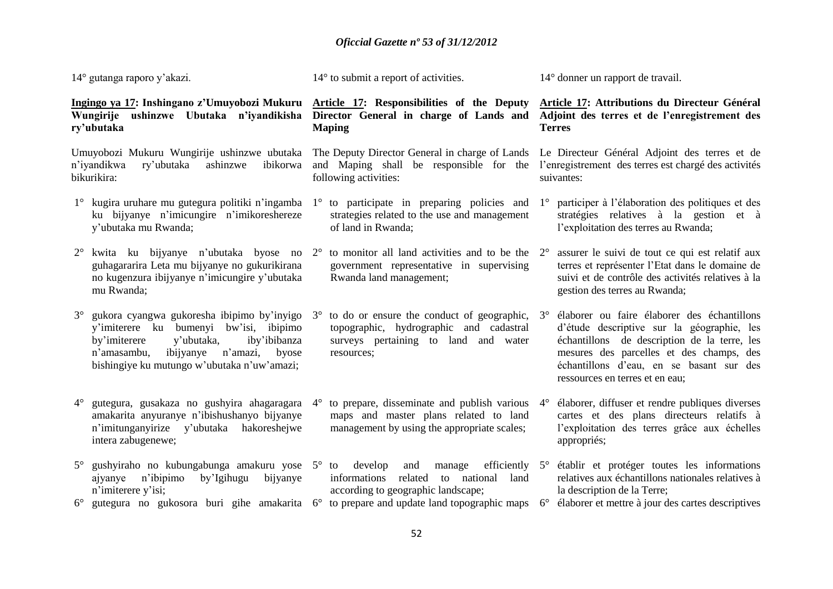14° gutanga raporo y'akazi.

14° to submit a report of activities.

14° donner un rapport de travail.

#### **Ingingo ya 17: Inshingano z'Umuyobozi Mukuru Wungirije ushinzwe Ubutaka n'iyandikisha Director General in charge of Lands and Adjoint des terres et de l'enregistrement des ry'ubutaka Maping**

Umuyobozi Mukuru Wungirije ushinzwe ubutaka n'iyandikwa ry'ubutaka ashinzwe bikurikira:

- 1° kugira uruhare mu gutegura politiki n'ingamba 1° to participate in preparing policies and ku bijyanye n'imicungire n'imikoreshereze y'ubutaka mu Rwanda;
- 2° kwita ku bijyanye n'ubutaka byose no 2° to monitor all land activities and to be the guhagararira Leta mu bijyanye no gukurikirana no kugenzura ibijyanye n'imicungire y'ubutaka mu Rwanda;
- 3° gukora cyangwa gukoresha ibipimo by'inyigo 3° to do or ensure the conduct of geographic, y'imiterere ku bumenyi bw'isi, ibipimo by'imiterere y'ubutaka, iby'ibibanza n'amasambu, ibijyanye n'amazi, byose bishingiye ku mutungo w'ubutaka n'uw'amazi;
- 4° gutegura, gusakaza no gushyira ahagaragara amakarita anyuranye n'ibishushanyo bijyanye n'imitunganyirize y'ubutaka hakoreshejwe intera zabugenewe;
- 5° gushyiraho no kubungabunga amakuru yose 5° to develop and manage efficiently ajyanye n'ibipimo by'Igihugu bijyanye n'imiterere y'isi;
- 6° gutegura no gukosora buri gihe amakarita 6° to prepare and update land topographic maps 6° élaborer et mettre à jour des cartes descriptives

**Article 17: Responsibilities of the Deputy** 

following activities:

- strategies related to the use and management of land in Rwanda;
- government representative in supervising Rwanda land management;
- topographic, hydrographic and cadastral surveys pertaining to land and water resources;
- to prepare, disseminate and publish various  $4^{\circ}$ maps and master plans related to land management by using the appropriate scales;
- informations related to national land according to geographic landscape;
- 

**Article 17: Attributions du Directeur Général Terres**

The Deputy Director General in charge of Lands Le Directeur Général Adjoint des terres et de and Maping shall be responsible for the l'enregistrement des terres est chargé des activités suivantes:

> 1° participer à l'élaboration des politiques et des stratégies relatives à la gestion et à l'exploitation des terres au Rwanda;

> 2° assurer le suivi de tout ce qui est relatif aux terres et représenter l'Etat dans le domaine de suivi et de contrôle des activités relatives à la gestion des terres au Rwanda;

- 3° élaborer ou faire élaborer des échantillons d'étude descriptive sur la géographie, les échantillons de description de la terre, les mesures des parcelles et des champs, des échantillons d'eau, en se basant sur des ressources en terres et en eau;
- 4° élaborer, diffuser et rendre publiques diverses cartes et des plans directeurs relatifs à l'exploitation des terres grâce aux échelles appropriés;
- 5° établir et protéger toutes les informations relatives aux échantillons nationales relatives à la description de la Terre;
	-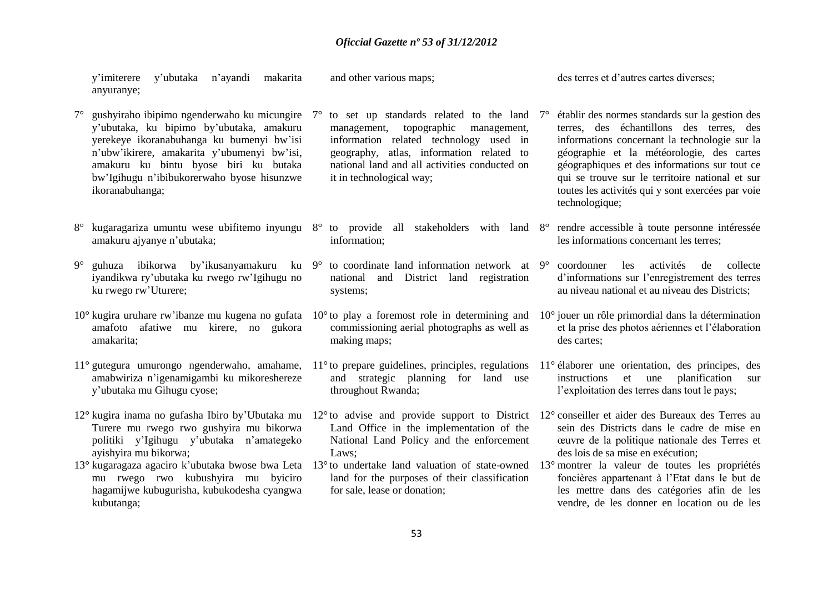| n'ayandi<br>makarita<br>y'imiterere<br>y'ubutaka<br>anyuranye;                                                                                                                                                                                                                                             | and other various maps;                                                                                                                                                                                                                                                     | des terres et d'autres cartes diverses;                                                                                                                                                                                                                                                                                                                                           |  |  |
|------------------------------------------------------------------------------------------------------------------------------------------------------------------------------------------------------------------------------------------------------------------------------------------------------------|-----------------------------------------------------------------------------------------------------------------------------------------------------------------------------------------------------------------------------------------------------------------------------|-----------------------------------------------------------------------------------------------------------------------------------------------------------------------------------------------------------------------------------------------------------------------------------------------------------------------------------------------------------------------------------|--|--|
| gushyiraho ibipimo ngenderwaho ku micungire<br>$7^\circ$<br>y'ubutaka, ku bipimo by'ubutaka, amakuru<br>yerekeye ikoranabuhanga ku bumenyi bw'isi<br>n'ubw'ikirere, amakarita y'ubumenyi bw'isi,<br>amakuru ku bintu byose biri ku butaka<br>bw'Igihugu n'ibibukorerwaho byose hisunzwe<br>ikoranabuhanga; | to set up standards related to the land<br>$\gamma^{\circ}$<br>topographic<br>management,<br>management,<br>information related technology used in<br>geography, atlas, information related to<br>national land and all activities conducted on<br>it in technological way; | établir des normes standards sur la gestion des<br>$7^\circ$<br>terres, des échantillons des terres, des<br>informations concernant la technologie sur la<br>géographie et la météorologie, des cartes<br>géographiques et des informations sur tout ce<br>qui se trouve sur le territoire national et sur<br>toutes les activités qui y sont exercées par voie<br>technologique; |  |  |
| kugaragariza umuntu wese ubifitemo inyungu 8°<br>amakuru ajyanye n'ubutaka;                                                                                                                                                                                                                                | to provide all stakeholders with land 8°<br>information;                                                                                                                                                                                                                    | rendre accessible à toute personne intéressée<br>les informations concernant les terres;                                                                                                                                                                                                                                                                                          |  |  |
| guhuza ibikorwa by'ikusanyamakuru ku 9°<br>$9^{\circ}$<br>iyandikwa ry'ubutaka ku rwego rw'Igihugu no<br>ku rwego rw'Uturere;                                                                                                                                                                              | to coordinate land information network at 9°<br>national<br>and District land registration<br>systems;                                                                                                                                                                      | coordonner<br>les<br>activités<br>de<br>collecte<br>d'informations sur l'enregistrement des terres<br>au niveau national et au niveau des Districts;                                                                                                                                                                                                                              |  |  |
| 10° kugira uruhare rw'ibanze mu kugena no gufata<br>amafoto afatiwe mu kirere, no gukora<br>amakarita;                                                                                                                                                                                                     | $10^{\circ}$ to play a foremost role in determining and<br>commissioning aerial photographs as well as<br>making maps;                                                                                                                                                      | $10^{\circ}$ jouer un rôle primordial dans la détermination<br>et la prise des photos aériennes et l'élaboration<br>des cartes;                                                                                                                                                                                                                                                   |  |  |
| 11° gutegura umurongo ngenderwaho, amahame,<br>amabwiriza n'igenamigambi ku mikoreshereze<br>y'ubutaka mu Gihugu cyose;                                                                                                                                                                                    | $11^{\circ}$ to prepare guidelines, principles, regulations<br>and strategic planning for land use<br>throughout Rwanda;                                                                                                                                                    | 11° élaborer une orientation, des principes, des<br>planification<br>instructions<br>et une<br>sur<br>l'exploitation des terres dans tout le pays;                                                                                                                                                                                                                                |  |  |
| 12° kugira inama no gufasha Ibiro by'Ubutaka mu<br>Turere mu rwego rwo gushyira mu bikorwa<br>politiki y'Igihugu y'ubutaka n'amategeko<br>ayishyira mu bikorwa;                                                                                                                                            | $12^{\circ}$ to advise and provide support to District<br>Land Office in the implementation of the<br>National Land Policy and the enforcement<br>Laws;                                                                                                                     | 12° conseiller et aider des Bureaux des Terres au<br>sein des Districts dans le cadre de mise en<br>œuvre de la politique nationale des Terres et<br>des lois de sa mise en exécution;                                                                                                                                                                                            |  |  |
| 13° kugaragaza agaciro k'ubutaka bwose bwa Leta<br>mu rwego rwo kubushyira mu byiciro<br>hagamijwe kubugurisha, kubukodesha cyangwa<br>kubutanga;                                                                                                                                                          | 13° to undertake land valuation of state-owned<br>land for the purposes of their classification<br>for sale, lease or donation;                                                                                                                                             | 13° montrer la valeur de toutes les propriétés<br>foncières appartenant à l'Etat dans le but de<br>les mettre dans des catégories afin de les<br>vendre, de les donner en location ou de les                                                                                                                                                                                      |  |  |
| 52                                                                                                                                                                                                                                                                                                         |                                                                                                                                                                                                                                                                             |                                                                                                                                                                                                                                                                                                                                                                                   |  |  |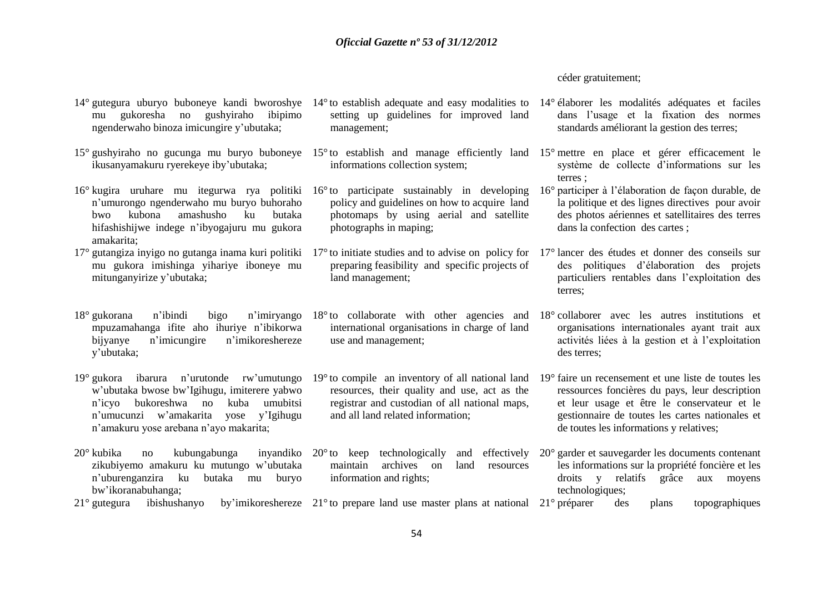#### céder gratuitement;

- mu gukoresha no gushyiraho ibipimo ngenderwaho binoza imicungire y'ubutaka;
- 15° gushyiraho no gucunga mu buryo buboneye 15° to establish and manage efficiently land 15° mettre en place et gérer efficacement le ikusanyamakuru ryerekeye iby'ubutaka;
- 16° kugira uruhare mu itegurwa rya politiki 16° to participate sustainably in developing n'umurongo ngenderwaho mu buryo buhoraho bwo kubona amashusho ku butaka hifashishijwe indege n'ibyogajuru mu gukora amakarita;
- 17° gutangiza inyigo no gutanga inama kuri politiki 17° to initiate studies and to advise on policy for 17° lancer des études et donner des conseils sur mu gukora imishinga yihariye iboneye mu mitunganyirize y'ubutaka;
- $18^\circ$  gukorana n'ibindi bigo mpuzamahanga ifite aho ihuriye n'ibikorwa bijyanye n'imicungire n'imikoreshereze y'ubutaka;
- 19° gukora ibarura n'urutonde rw'umutungo 19° to compile an inventory of all national land 19° faire un recensement et une liste de toutes les w'ubutaka bwose bw'Igihugu, imiterere yabwo n'icyo bukoreshwa no kuba umubitsi n'umucunzi w'amakarita yose y'Igihugu n'amakuru yose arebana n'ayo makarita;
- $20^{\circ}$  kubika ing kubungabunga zikubiyemo amakuru ku mutungo w'ubutaka n'uburenganzira ku butaka mu buryo bw'ikoranabuhanga;
- 14° gutegura uburyo buboneye kandi bworoshye 14° to establish adequate and easy modalities to 14° élaborer les modalités adéquates et faciles setting up guidelines for improved land management;
	- informations collection system;
	- policy and guidelines on how to acquire land photomaps by using aerial and satellite photographs in maping;
	- preparing feasibility and specific projects of land management;
	- international organisations in charge of land use and management;
	- resources, their quality and use, act as the registrar and custodian of all national maps, and all land related information;
	- inyandiko  $20^{\circ}$  to keep technologically maintain archives on land resources information and rights;
- dans l'usage et la fixation des normes standards améliorant la gestion des terres;
- système de collecte d'informations sur les terres ;
- 16° participer à l'élaboration de façon durable, de la politique et des lignes directives pour avoir des photos aériennes et satellitaires des terres dans la confection des cartes ;
- des politiques d'élaboration des projets particuliers rentables dans l'exploitation des terres;
- 18° to collaborate with other agencies and 18° collaborer avec les autres institutions et organisations internationales ayant trait aux activités liées à la gestion et à l'exploitation des terres;
	- ressources foncières du pays, leur description et leur usage et être le conservateur et le gestionnaire de toutes les cartes nationales et de toutes les informations y relatives;
	- 20° garder et sauvegarder les documents contenant les informations sur la propriété foncière et les droits y relatifs grâce aux moyens technologiques;
- 21° gutegura ibishushanyo by'imikoreshereze 21° to prepare land use master plans at national des plans topographiques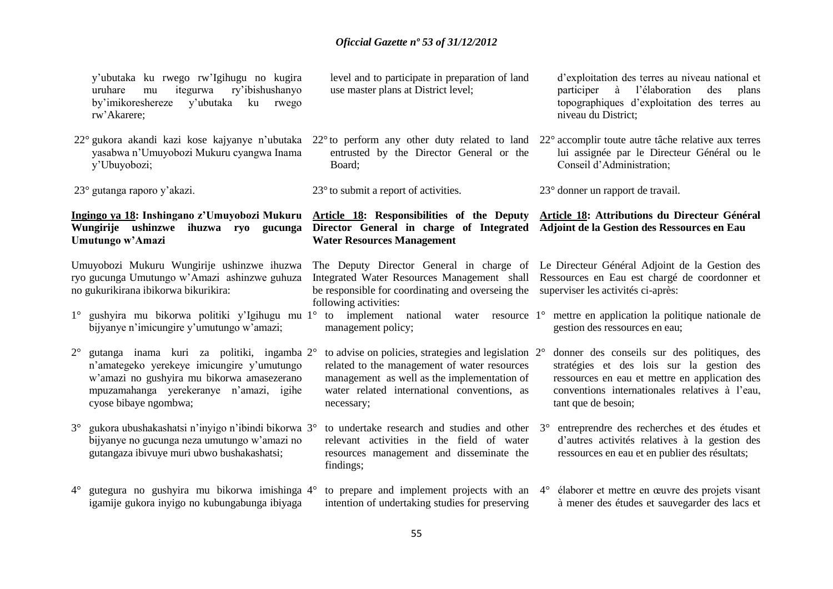|             | y'ubutaka ku rwego rw'Igihugu no kugira<br>uruhare<br>itegurwa<br>ry'ibishushanyo<br>mu<br>by'imikoreshereze<br>y'ubutaka<br>ku rwego<br>rw'Akarere;                                                                                                                          | level and to participate in preparation of land<br>use master plans at District level;                                                                                                                                                                                                                |             | d'exploitation des terres au niveau national et<br>l'élaboration<br>participer à<br>des<br>plans<br>topographiques d'exploitation des terres au<br>niveau du District;                                              |
|-------------|-------------------------------------------------------------------------------------------------------------------------------------------------------------------------------------------------------------------------------------------------------------------------------|-------------------------------------------------------------------------------------------------------------------------------------------------------------------------------------------------------------------------------------------------------------------------------------------------------|-------------|---------------------------------------------------------------------------------------------------------------------------------------------------------------------------------------------------------------------|
|             | 22° gukora akandi kazi kose kajyanye n'ubutaka 22° to perform any other duty related to land<br>yasabwa n'Umuyobozi Mukuru cyangwa Inama<br>y'Ubuyobozi;                                                                                                                      | entrusted by the Director General or the<br>Board;                                                                                                                                                                                                                                                    |             | 22° accomplir toute autre tâche relative aux terres<br>lui assignée par le Directeur Général ou le<br>Conseil d'Administration;                                                                                     |
|             | 23° gutanga raporo y'akazi.                                                                                                                                                                                                                                                   | $23^{\circ}$ to submit a report of activities.                                                                                                                                                                                                                                                        |             | 23° donner un rapport de travail.                                                                                                                                                                                   |
|             | Ingingo ya 18: Inshingano z'Umuyobozi Mukuru<br>Wungirije ushinzwe ihuzwa ryo gucunga<br>Umutungo w'Amazi                                                                                                                                                                     | Article 18: Responsibilities of the Deputy<br>Director General in charge of Integrated<br><b>Water Resources Management</b>                                                                                                                                                                           |             | Article 18: Attributions du Directeur Général<br>Adjoint de la Gestion des Ressources en Eau                                                                                                                        |
|             | Umuyobozi Mukuru Wungirije ushinzwe ihuzwa<br>ryo gucunga Umutungo w'Amazi ashinzwe guhuza<br>no gukurikirana ibikorwa bikurikira:<br>1° gushyira mu bikorwa politiki y'Igihugu mu 1° to implement national water resource 1° mettre en application la politique nationale de | The Deputy Director General in charge of Le Directeur Général Adjoint de la Gestion des<br>Integrated Water Resources Management shall Ressources en Eau est chargé de coordonner et<br>be responsible for coordinating and overseing the superviser les activités ci-après:<br>following activities: |             |                                                                                                                                                                                                                     |
|             | bijyanye n'imicungire y'umutungo w'amazi;                                                                                                                                                                                                                                     | management policy;                                                                                                                                                                                                                                                                                    |             | gestion des ressources en eau;                                                                                                                                                                                      |
| $2^{\circ}$ | gutanga inama kuri za politiki, ingamba 2°<br>n'amategeko yerekeye imicungire y'umutungo<br>w'amazi no gushyira mu bikorwa amasezerano<br>mpuzamahanga yerekeranye n'amazi, igihe<br>cyose bibaye ngombwa;                                                                    | to advise on policies, strategies and legislation 2°<br>related to the management of water resources<br>management as well as the implementation of<br>water related international conventions, as<br>necessary;                                                                                      |             | donner des conseils sur des politiques, des<br>stratégies et des lois sur la gestion des<br>ressources en eau et mettre en application des<br>conventions internationales relatives à l'eau,<br>tant que de besoin; |
| $3^\circ$   | gukora ubushakashatsi n'inyigo n'ibindi bikorwa 3°<br>bijyanye no gucunga neza umutungo w'amazi no<br>gutangaza ibivuye muri ubwo bushakashatsi;                                                                                                                              | to undertake research and studies and other<br>relevant activities in the field of water<br>resources management and disseminate the<br>findings;                                                                                                                                                     | $3^\circ$   | entreprendre des recherches et des études et<br>d'autres activités relatives à la gestion des<br>ressources en eau et en publier des résultats;                                                                     |
| $4^{\circ}$ | gutegura no gushyira mu bikorwa imishinga 4°<br>igamije gukora inyigo no kubungabunga ibiyaga                                                                                                                                                                                 | to prepare and implement projects with an<br>intention of undertaking studies for preserving                                                                                                                                                                                                          | $4^{\circ}$ | élaborer et mettre en œuvre des projets visant<br>à mener des études et sauvegarder des lacs et                                                                                                                     |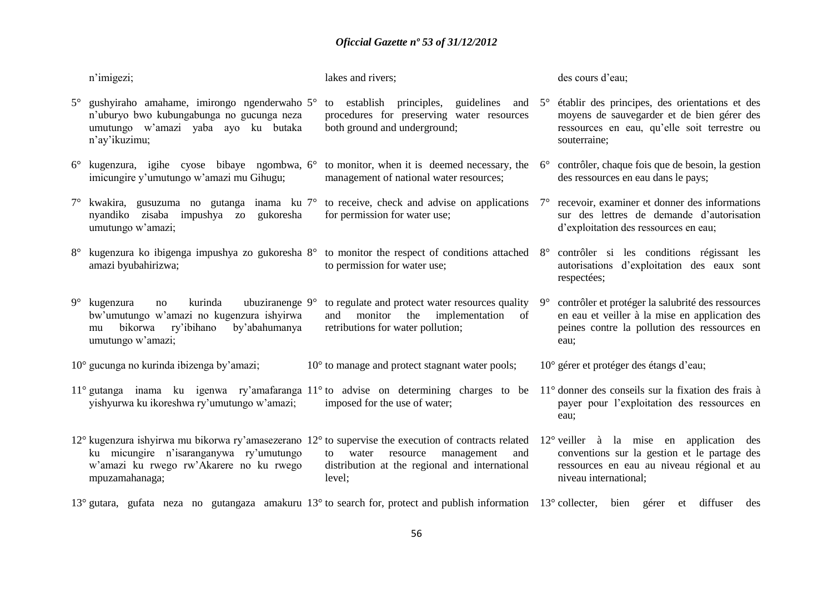| n'imigezi;                                                                                                                                                                                                                            | lakes and rivers;                                                                                                              |             | des cours d'eau;                                                                                                                                             |
|---------------------------------------------------------------------------------------------------------------------------------------------------------------------------------------------------------------------------------------|--------------------------------------------------------------------------------------------------------------------------------|-------------|--------------------------------------------------------------------------------------------------------------------------------------------------------------|
| 5° gushyiraho amahame, imirongo ngenderwaho 5°<br>n'uburyo bwo kubungabunga no gucunga neza<br>umutungo w'amazi yaba ayo ku butaka<br>n'ay'ikuzimu;                                                                                   | to establish principles, guidelines and $5^\circ$<br>procedures for preserving water resources<br>both ground and underground; |             | établir des principes, des orientations et des<br>moyens de sauvegarder et de bien gérer des<br>ressources en eau, qu'elle soit terrestre ou<br>souterraine; |
| $6^{\circ}$ kugenzura, igihe cyose bibaye ngombwa, $6^{\circ}$ to monitor, when it is deemed necessary, the<br>imicungire y'umutungo w'amazi mu Gihugu;                                                                               | management of national water resources;                                                                                        | $6^{\circ}$ | contrôler, chaque fois que de besoin, la gestion<br>des ressources en eau dans le pays;                                                                      |
| $7^{\circ}$ kwakira, gusuzuma no gutanga inama ku $7^{\circ}$ to receive, check and advise on applications $7^{\circ}$ recevoir, examiner et donner des informations<br>nyandiko zisaba impushya zo<br>gukoresha<br>umutungo w'amazi; | for permission for water use;                                                                                                  |             | sur des lettres de demande d'autorisation<br>d'exploitation des ressources en eau;                                                                           |
| kugenzura ko ibigenga impushya zo gukoresha 8° to monitor the respect of conditions attached 8° contrôler si les conditions régissant les<br>amazi byubahirizwa;                                                                      | to permission for water use;                                                                                                   |             | autorisations d'exploitation des eaux sont<br>respectées;                                                                                                    |
| ubuziranenge $9^\circ$<br>$9^{\circ}$ kugenzura<br>kurinda<br>no<br>bw'umutungo w'amazi no kugenzura ishyirwa<br>ry'ibihano<br>by'abahumanya<br>bikorwa<br>mu<br>umutungo w'amazi;                                                    | to regulate and protect water resources quality<br>monitor the implementation of<br>and<br>retributions for water pollution;   | $9^\circ$   | contrôler et protéger la salubrité des ressources<br>en eau et veiller à la mise en application des<br>peines contre la pollution des ressources en<br>eau:  |
| 10° gucunga no kurinda ibizenga by'amazi;                                                                                                                                                                                             | $10^{\circ}$ to manage and protect stagnant water pools;                                                                       |             | 10° gérer et protéger des étangs d'eau;                                                                                                                      |
| 11° gutanga inama ku igenwa ry'amafaranga 11° to advise on determining charges to be 11° donner des conseils sur la fixation des frais à<br>yishyurwa ku ikoreshwa ry'umutungo w'amazi;                                               | imposed for the use of water;                                                                                                  |             | payer pour l'exploitation des ressources en<br>eau:                                                                                                          |

12° kugenzura ishyirwa mu bikorwa ry'amasezerano 12° to supervise the execution of contracts related 12° veiller à la mise en application des ku micungire n'isaranganywa ry'umutungo w'amazi ku rwego rw'Akarere no ku rwego mpuzamahanaga; to water resource management and distribution at the regional and international level; conventions sur la gestion et le partage des ressources en eau au niveau régional et au niveau international;

13° gutara, gufata neza no gutangaza amakuru 13° to search for, protect and publish information 13° collecter, bien gérer et diffuser des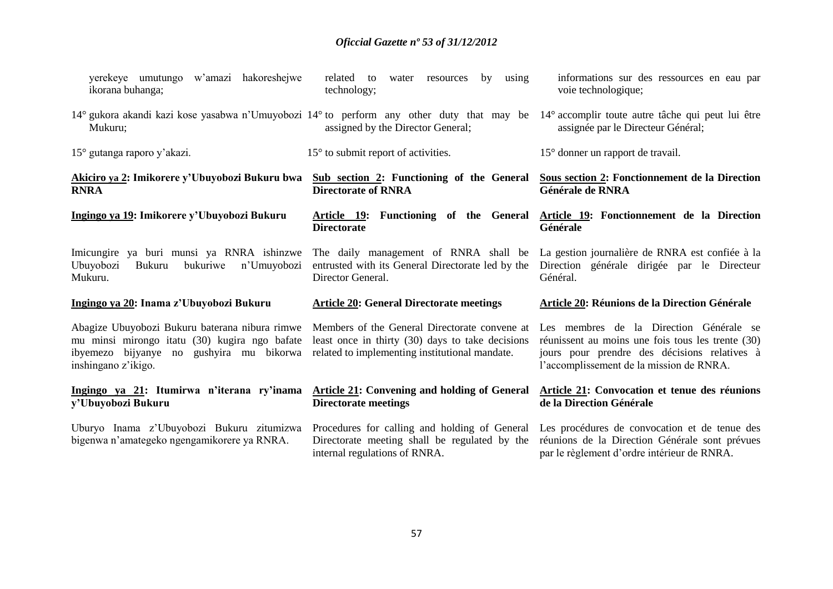| yerekeye umutungo w'amazi hakoreshejwe<br>ikorana buhanga;                                                                                                         | related to<br>using<br>by<br>water<br>resources<br>technology;                                                                                      | informations sur des ressources en eau par<br>voie technologique;                                                                                                                        |
|--------------------------------------------------------------------------------------------------------------------------------------------------------------------|-----------------------------------------------------------------------------------------------------------------------------------------------------|------------------------------------------------------------------------------------------------------------------------------------------------------------------------------------------|
| 14° gukora akandi kazi kose yasabwa n'Umuyobozi 14° to perform any other duty that may be<br>Mukuru;                                                               | assigned by the Director General;                                                                                                                   | 14° accomplir toute autre tâche qui peut lui être<br>assignée par le Directeur Général;                                                                                                  |
| 15° gutanga raporo y'akazi.                                                                                                                                        | $15^{\circ}$ to submit report of activities.                                                                                                        | 15° donner un rapport de travail.                                                                                                                                                        |
| Akiciro ya 2: Imikorere y'Ubuyobozi Bukuru bwa<br><b>RNRA</b>                                                                                                      | Sub section 2: Functioning of the General<br><b>Directorate of RNRA</b>                                                                             | Sous section 2: Fonctionnement de la Direction<br>Générale de RNRA                                                                                                                       |
| Ingingo ya 19: Imikorere y'Ubuyobozi Bukuru                                                                                                                        | Article 19: Functioning of the General<br><b>Directorate</b>                                                                                        | Article 19: Fonctionnement de la Direction<br>Générale                                                                                                                                   |
| Imicungire ya buri munsi ya RNRA ishinzwe<br>Ubuyobozi<br>bukuriwe<br>n'Umuyobozi<br>Bukuru<br>Mukuru.                                                             | The daily management of RNRA shall be<br>entrusted with its General Directorate led by the<br>Director General.                                     | La gestion journalière de RNRA est confiée à la<br>Direction générale dirigée par le Directeur<br>Général.                                                                               |
| Ingingo ya 20: Inama z'Ubuyobozi Bukuru                                                                                                                            | <b>Article 20: General Directorate meetings</b>                                                                                                     | Article 20: Réunions de la Direction Générale                                                                                                                                            |
| Abagize Ubuyobozi Bukuru baterana nibura rimwe<br>mu minsi mirongo itatu (30) kugira ngo bafate<br>ibyemezo bijyanye no gushyira mu bikorwa<br>inshingano z'ikigo. | Members of the General Directorate convene at<br>least once in thirty (30) days to take decisions<br>related to implementing institutional mandate. | Les membres de la Direction Générale se<br>réunissent au moins une fois tous les trente (30)<br>jours pour prendre des décisions relatives à<br>l'accomplissement de la mission de RNRA. |
| Ingingo ya 21: Itumirwa n'iterana ry'inama<br>y'Ubuyobozi Bukuru                                                                                                   | <b>Article 21: Convening and holding of General</b><br><b>Directorate meetings</b>                                                                  | Article 21: Convocation et tenue des réunions<br>de la Direction Générale                                                                                                                |
| Uburyo Inama z'Ubuyobozi Bukuru zitumizwa<br>bigenwa n'amategeko ngengamikorere ya RNRA.                                                                           | Procedures for calling and holding of General<br>Directorate meeting shall be regulated by the<br>internal regulations of RNRA.                     | Les procédures de convocation et de tenue des<br>réunions de la Direction Générale sont prévues<br>par le règlement d'ordre intérieur de RNRA.                                           |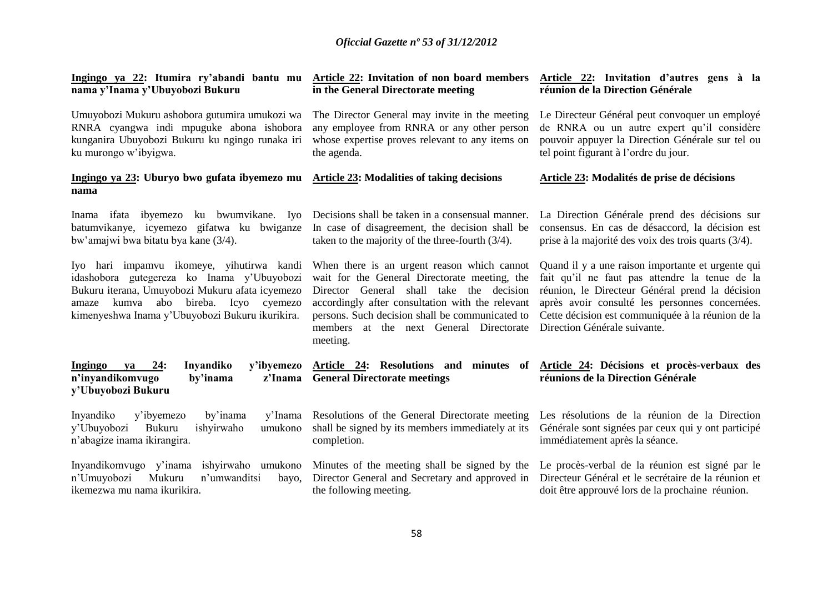| Ingingo ya 22: Itumira ry'abandi bantu mu<br>nama y'Inama y'Ubuyobozi Bukuru                                                                                                                                                                         | <b>Article 22: Invitation of non board members</b><br>in the General Directorate meeting                                                                                                                                                                                                               | Article 22: Invitation d'autres gens à la<br>réunion de la Direction Générale                                                                                                                                                                                                                 |  |
|------------------------------------------------------------------------------------------------------------------------------------------------------------------------------------------------------------------------------------------------------|--------------------------------------------------------------------------------------------------------------------------------------------------------------------------------------------------------------------------------------------------------------------------------------------------------|-----------------------------------------------------------------------------------------------------------------------------------------------------------------------------------------------------------------------------------------------------------------------------------------------|--|
| Umuyobozi Mukuru ashobora gutumira umukozi wa<br>RNRA cyangwa indi mpuguke abona ishobora<br>kunganira Ubuyobozi Bukuru ku ngingo runaka iri<br>ku murongo w'ibyigwa.                                                                                | The Director General may invite in the meeting<br>any employee from RNRA or any other person<br>whose expertise proves relevant to any items on<br>the agenda.                                                                                                                                         | Le Directeur Général peut convoquer un employé<br>de RNRA ou un autre expert qu'il considère<br>pouvoir appuyer la Direction Générale sur tel ou<br>tel point figurant à l'ordre du jour.                                                                                                     |  |
| Ingingo ya 23: Uburyo bwo gufata ibyemezo mu<br>nama                                                                                                                                                                                                 | <b>Article 23: Modalities of taking decisions</b>                                                                                                                                                                                                                                                      | Article 23: Modalités de prise de décisions                                                                                                                                                                                                                                                   |  |
| Inama ifata ibyemezo ku bwumvikane. Iyo<br>batumvikanye, icyemezo gifatwa ku bwiganze<br>bw'amajwi bwa bitatu bya kane (3/4).                                                                                                                        | Decisions shall be taken in a consensual manner.<br>In case of disagreement, the decision shall be<br>taken to the majority of the three-fourth $(3/4)$ .                                                                                                                                              | La Direction Générale prend des décisions sur<br>consensus. En cas de désaccord, la décision est<br>prise à la majorité des voix des trois quarts $(3/4)$ .                                                                                                                                   |  |
| Iyo hari impamvu ikomeye, yihutirwa kandi<br>idashobora gutegereza ko Inama y'Ubuyobozi<br>Bukuru iterana, Umuyobozi Mukuru afata icyemezo<br>kumva<br>abo<br>bireba.<br>Icyo<br>cyemezo<br>amaze<br>kimenyeshwa Inama y'Ubuyobozi Bukuru ikurikira. | When there is an urgent reason which cannot<br>wait for the General Directorate meeting, the<br>Director General shall take the decision<br>accordingly after consultation with the relevant<br>persons. Such decision shall be communicated to<br>members at the next General Directorate<br>meeting. | Quand il y a une raison importante et urgente qui<br>fait qu'il ne faut pas attendre la tenue de la<br>réunion, le Directeur Général prend la décision<br>après avoir consulté les personnes concernées.<br>Cette décision est communiquée à la réunion de la<br>Direction Générale suivante. |  |
| Inyandiko<br>y'ibyemezo<br>Ingingo<br>24:<br>ya<br>n'inyandikomvugo<br>by'inama<br>z'Inama<br>y'Ubuyobozi Bukuru                                                                                                                                     | Article 24: Resolutions and minutes<br>of<br><b>General Directorate meetings</b>                                                                                                                                                                                                                       | Article 24: Décisions et procès-verbaux des<br>réunions de la Direction Générale                                                                                                                                                                                                              |  |
| by'inama<br>Inyandiko<br>y'ibyemezo<br>y'Inama<br>ishyirwaho<br>y'Ubuyobozi<br>Bukuru<br>umukono<br>n'abagize inama ikirangira.                                                                                                                      | Resolutions of the General Directorate meeting<br>shall be signed by its members immediately at its<br>completion.                                                                                                                                                                                     | Les résolutions de la réunion de la Direction<br>Générale sont signées par ceux qui y ont participé<br>immédiatement après la séance.                                                                                                                                                         |  |
| Inyandikomvugo y'inama ishyirwaho umukono<br>n'Umuyobozi<br>Mukuru<br>n'umwanditsi<br>bayo,<br>ikemezwa mu nama ikurikira.                                                                                                                           | Minutes of the meeting shall be signed by the<br>Director General and Secretary and approved in<br>the following meeting.                                                                                                                                                                              | Le procès-verbal de la réunion est signé par le<br>Directeur Général et le secrétaire de la réunion et<br>doit être approuvé lors de la prochaine réunion.                                                                                                                                    |  |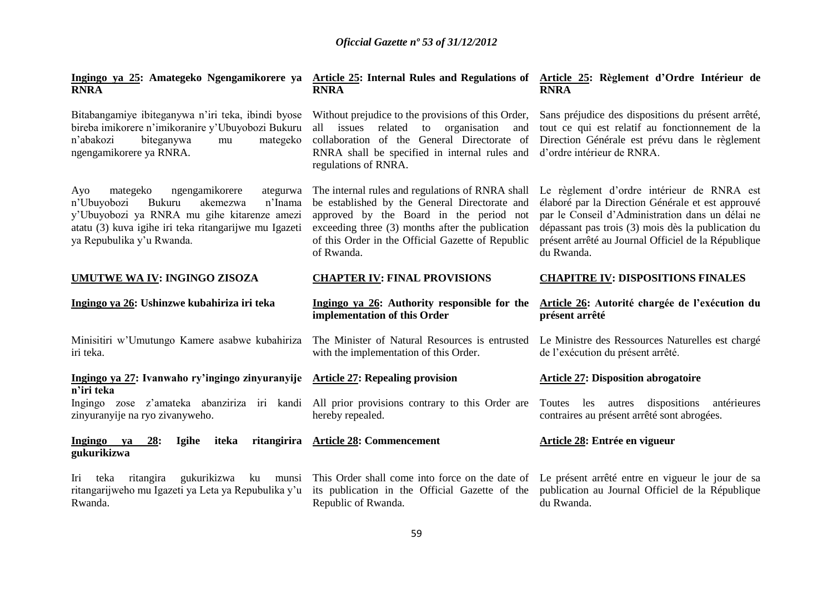| Ingingo ya 25: Amategeko Ngengamikorere ya Article 25: Internal Rules and Regulations of Article 25: Règlement d'Ordre Intérieur de<br><b>RNRA</b>                                                                                 | <b>RNRA</b>                                                                                                                                                                                                                                                         | <b>RNRA</b>                                                                                                                                                                                                                                                                    |
|------------------------------------------------------------------------------------------------------------------------------------------------------------------------------------------------------------------------------------|---------------------------------------------------------------------------------------------------------------------------------------------------------------------------------------------------------------------------------------------------------------------|--------------------------------------------------------------------------------------------------------------------------------------------------------------------------------------------------------------------------------------------------------------------------------|
| Bitabangamiye ibiteganywa n'iri teka, ibindi byose<br>bireba imikorere n'imikoranire y'Ubuyobozi Bukuru<br>biteganywa<br>n'abakozi<br>mategeko<br>mu<br>ngengamikorere ya RNRA.                                                    | Without prejudice to the provisions of this Order,<br>all issues related to organisation<br>and<br>collaboration of the General Directorate of<br>RNRA shall be specified in internal rules and<br>regulations of RNRA.                                             | Sans préjudice des dispositions du présent arrêté,<br>tout ce qui est relatif au fonctionnement de la<br>Direction Générale est prévu dans le règlement<br>d'ordre intérieur de RNRA.                                                                                          |
| mategeko<br>ngengamikorere<br>ategurwa<br>Ayo<br>Bukuru<br>n'Inama<br>n'Ubuyobozi<br>akemezwa<br>y'Ubuyobozi ya RNRA mu gihe kitarenze amezi<br>atatu (3) kuva igihe iri teka ritangarijwe mu Igazeti<br>ya Repubulika y'u Rwanda. | The internal rules and regulations of RNRA shall<br>be established by the General Directorate and<br>approved by the Board in the period not<br>exceeding three (3) months after the publication<br>of this Order in the Official Gazette of Republic<br>of Rwanda. | Le règlement d'ordre intérieur de RNRA est<br>élaboré par la Direction Générale et est approuvé<br>par le Conseil d'Administration dans un délai ne<br>dépassant pas trois (3) mois dès la publication du<br>présent arrêté au Journal Officiel de la République<br>du Rwanda. |
| UMUTWE WA IV: INGINGO ZISOZA                                                                                                                                                                                                       | <b>CHAPTER IV: FINAL PROVISIONS</b>                                                                                                                                                                                                                                 | <b>CHAPITRE IV: DISPOSITIONS FINALES</b>                                                                                                                                                                                                                                       |
|                                                                                                                                                                                                                                    |                                                                                                                                                                                                                                                                     |                                                                                                                                                                                                                                                                                |
| Ingingo ya 26: Ushinzwe kubahiriza iri teka                                                                                                                                                                                        | Ingingo ya 26: Authority responsible for the<br>implementation of this Order                                                                                                                                                                                        | Article 26: Autorité chargée de l'exécution du<br>présent arrêté                                                                                                                                                                                                               |
| Minisitiri w'Umutungo Kamere asabwe kubahiriza<br>iri teka.                                                                                                                                                                        | The Minister of Natural Resources is entrusted<br>with the implementation of this Order.                                                                                                                                                                            | Le Ministre des Ressources Naturelles est chargé<br>de l'exécution du présent arrêté.                                                                                                                                                                                          |
| Ingingo ya 27: Ivanwaho ry'ingingo zinyuranyije Article 27: Repealing provision                                                                                                                                                    |                                                                                                                                                                                                                                                                     | <b>Article 27: Disposition abrogatoire</b>                                                                                                                                                                                                                                     |
| n'iri teka<br>Ingingo zose z'amateka abanziriza iri kandi All prior provisions contrary to this Order are<br>zinyuranyije na ryo zivanyweho.                                                                                       | hereby repealed.                                                                                                                                                                                                                                                    | dispositions<br>Toutes<br>les autres<br>antérieures<br>contraires au présent arrêté sont abrogées.                                                                                                                                                                             |
| 28:<br>Ingingo ya<br><b>Igihe</b><br>iteka<br>gukurikizwa                                                                                                                                                                          | ritangirira Article 28: Commencement                                                                                                                                                                                                                                | Article 28: Entrée en vigueur                                                                                                                                                                                                                                                  |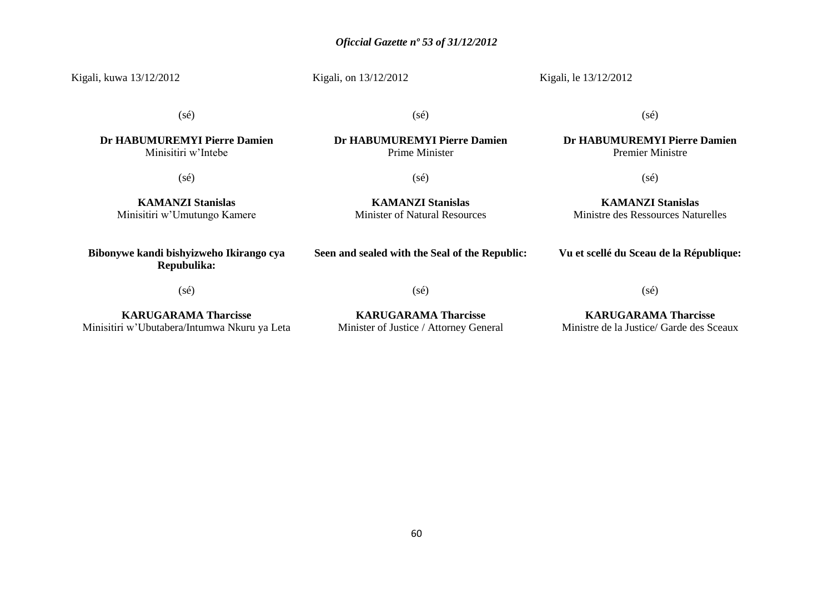Kigali, kuwa 13/12/2012

#### Kigali, on 13/12/2012

Kigali, le 13/12/2012

(sé)

(sé)

**Dr HABUMUREMYI Pierre Damien** Prime Minister

(sé)

**Dr HABUMUREMYI Pierre Damien** Premier Ministre

(sé)

**KAMANZI Stanislas** Ministre des Ressources Naturelles

**Dr HABUMUREMYI Pierre Damien** Minisitiri w'Intebe

(sé)

(sé)

**KAMANZI Stanislas** Minister of Natural Resources

**KAMANZI Stanislas** Minisitiri w'Umutungo Kamere

**Bibonywe kandi bishyizweho Ikirango cya Repubulika:**

**Seen and sealed with the Seal of the Republic:**

**Vu et scellé du Sceau de la République:**

(sé)

(sé)

(sé)

**KARUGARAMA Tharcisse** Minisitiri w'Ubutabera/Intumwa Nkuru ya Leta

**KARUGARAMA Tharcisse** Minister of Justice / Attorney General

**KARUGARAMA Tharcisse** Ministre de la Justice/ Garde des Sceaux

60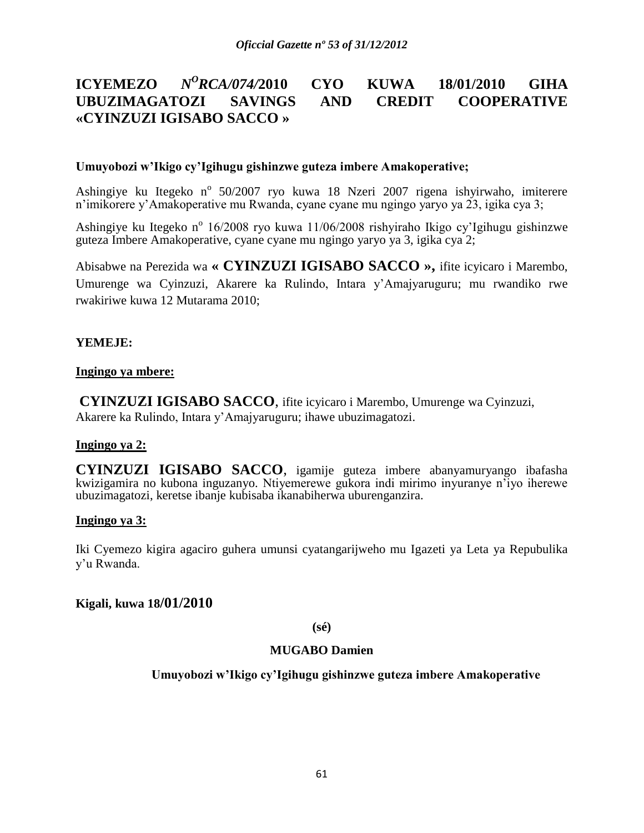#### **ICYEMEZO** *<sup>O</sup>RCA/074/***2010 CYO KUWA 18/01/2010 GIHA UBUZIMAGATOZI SAVINGS AND CREDIT COOPERATIVE «CYINZUZI IGISABO SACCO »**

#### **Umuyobozi w'Ikigo cy'Igihugu gishinzwe guteza imbere Amakoperative;**

Ashingiye ku Itegeko n<sup>o</sup> 50/2007 ryo kuwa 18 Nzeri 2007 rigena ishyirwaho, imiterere n'imikorere y'Amakoperative mu Rwanda, cyane cyane mu ngingo yaryo ya 23, igika cya 3;

Ashingiye ku Itegeko n<sup>o</sup> 16/2008 ryo kuwa 11/06/2008 rishyiraho Ikigo cy'Igihugu gishinzwe guteza Imbere Amakoperative, cyane cyane mu ngingo yaryo ya 3, igika cya 2;

Abisabwe na Perezida wa **« CYINZUZI IGISABO SACCO »,** ifite icyicaro i Marembo, Umurenge wa Cyinzuzi, Akarere ka Rulindo, Intara y'Amajyaruguru; mu rwandiko rwe rwakiriwe kuwa 12 Mutarama 2010;

### **YEMEJE:**

#### **Ingingo ya mbere:**

**CYINZUZI IGISABO SACCO**, ifite icyicaro i Marembo, Umurenge wa Cyinzuzi, Akarere ka Rulindo, Intara y'Amajyaruguru; ihawe ubuzimagatozi.

### **Ingingo ya 2:**

**CYINZUZI IGISABO SACCO**, igamije guteza imbere abanyamuryango ibafasha kwizigamira no kubona inguzanyo. Ntiyemerewe gukora indi mirimo inyuranye n'iyo iherewe ubuzimagatozi, keretse ibanje kubisaba ikanabiherwa uburenganzira.

# **Ingingo ya 3:**

Iki Cyemezo kigira agaciro guhera umunsi cyatangarijweho mu Igazeti ya Leta ya Repubulika y'u Rwanda.

### **Kigali, kuwa 18/01/2010**

**(sé)**

#### **MUGABO Damien**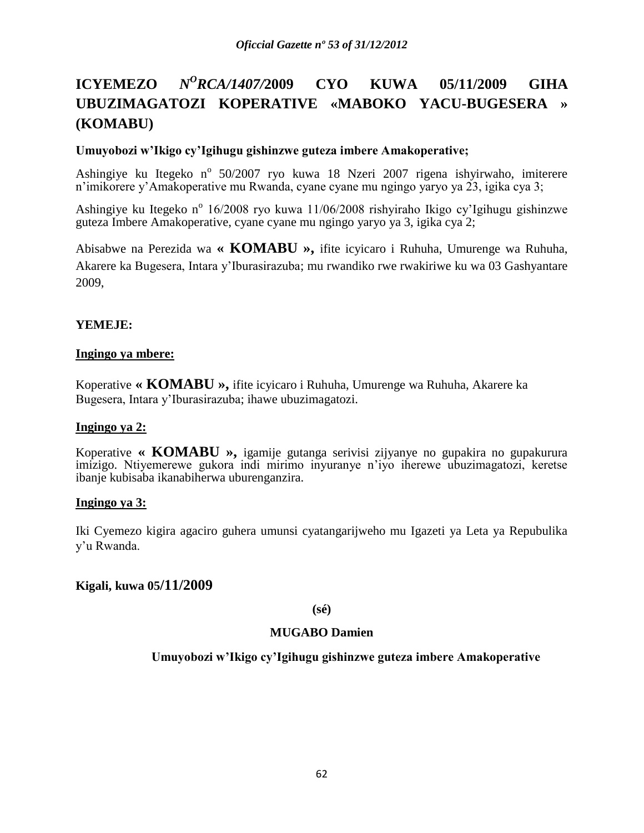# **ICYEMEZO** *<sup>O</sup>RCA/1407/***2009 CYO KUWA 05/11/2009 GIHA UBUZIMAGATOZI KOPERATIVE «MABOKO YACU-BUGESERA » (KOMABU)**

# **Umuyobozi w'Ikigo cy'Igihugu gishinzwe guteza imbere Amakoperative;**

Ashingiye ku Itegeko n<sup>o</sup> 50/2007 ryo kuwa 18 Nzeri 2007 rigena ishyirwaho, imiterere n'imikorere y'Amakoperative mu Rwanda, cyane cyane mu ngingo yaryo ya 23, igika cya 3;

Ashingiye ku Itegeko n<sup>o</sup> 16/2008 ryo kuwa 11/06/2008 rishyiraho Ikigo cy'Igihugu gishinzwe guteza Imbere Amakoperative, cyane cyane mu ngingo yaryo ya 3, igika cya 2;

Abisabwe na Perezida wa **« KOMABU »,** ifite icyicaro i Ruhuha, Umurenge wa Ruhuha, Akarere ka Bugesera, Intara y'Iburasirazuba; mu rwandiko rwe rwakiriwe ku wa 03 Gashyantare 2009,

# **YEMEJE:**

### **Ingingo ya mbere:**

Koperative **« KOMABU »,** ifite icyicaro i Ruhuha, Umurenge wa Ruhuha, Akarere ka Bugesera, Intara y'Iburasirazuba; ihawe ubuzimagatozi.

### **Ingingo ya 2:**

Koperative **« KOMABU »,** igamije gutanga serivisi zijyanye no gupakira no gupakurura imizigo. Ntiyemerewe gukora indi mirimo inyuranye n'iyo iherewe ubuzimagatozi, keretse ibanje kubisaba ikanabiherwa uburenganzira.

### **Ingingo ya 3:**

Iki Cyemezo kigira agaciro guhera umunsi cyatangarijweho mu Igazeti ya Leta ya Repubulika y'u Rwanda.

### **Kigali, kuwa 05/11/2009**

### **(sé)**

### **MUGABO Damien**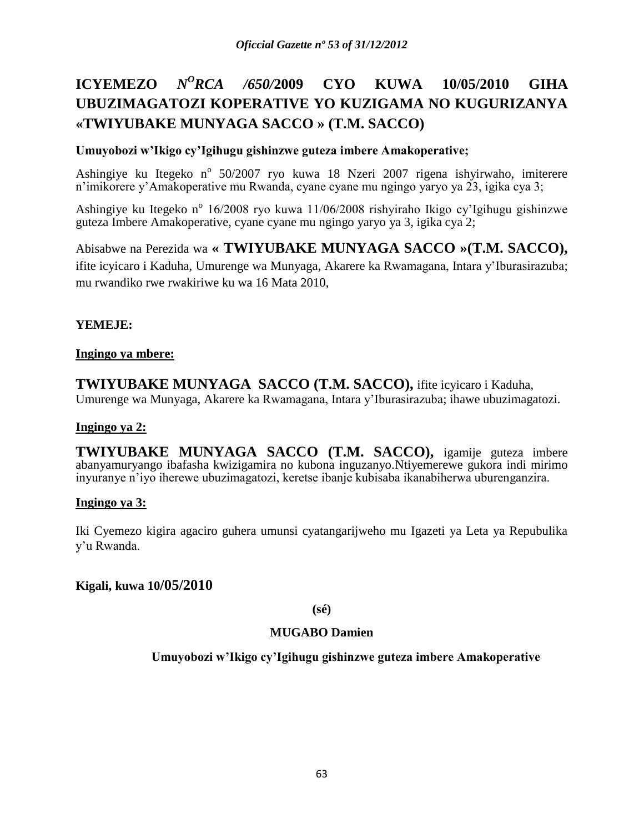# **ICYEMEZO** *N <sup>O</sup>RCA /650/***2009 CYO KUWA 10/05/2010 GIHA UBUZIMAGATOZI KOPERATIVE YO KUZIGAMA NO KUGURIZANYA «TWIYUBAKE MUNYAGA SACCO » (T.M. SACCO)**

# **Umuyobozi w'Ikigo cy'Igihugu gishinzwe guteza imbere Amakoperative;**

Ashingiye ku Itegeko n<sup>o</sup> 50/2007 ryo kuwa 18 Nzeri 2007 rigena ishyirwaho, imiterere n'imikorere y'Amakoperative mu Rwanda, cyane cyane mu ngingo yaryo ya 23, igika cya 3;

Ashingiye ku Itegeko n<sup>o</sup> 16/2008 ryo kuwa 11/06/2008 rishyiraho Ikigo cy'Igihugu gishinzwe guteza Imbere Amakoperative, cyane cyane mu ngingo yaryo ya 3, igika cya 2;

Abisabwe na Perezida wa **« TWIYUBAKE MUNYAGA SACCO »(T.M. SACCO),** ifite icyicaro i Kaduha, Umurenge wa Munyaga, Akarere ka Rwamagana, Intara y'Iburasirazuba; mu rwandiko rwe rwakiriwe ku wa 16 Mata 2010,

# **YEMEJE:**

### **Ingingo ya mbere:**

**TWIYUBAKE MUNYAGA SACCO (T.M. SACCO),** ifite icyicaro i Kaduha, Umurenge wa Munyaga, Akarere ka Rwamagana, Intara y'Iburasirazuba; ihawe ubuzimagatozi.

### **Ingingo ya 2:**

**TWIYUBAKE MUNYAGA SACCO (T.M. SACCO),** igamije guteza imbere abanyamuryango ibafasha kwizigamira no kubona inguzanyo.Ntiyemerewe gukora indi mirimo inyuranye n'iyo iherewe ubuzimagatozi, keretse ibanje kubisaba ikanabiherwa uburenganzira.

### **Ingingo ya 3:**

Iki Cyemezo kigira agaciro guhera umunsi cyatangarijweho mu Igazeti ya Leta ya Repubulika y'u Rwanda.

### **Kigali, kuwa 10/05/2010**

### **(sé)**

### **MUGABO Damien**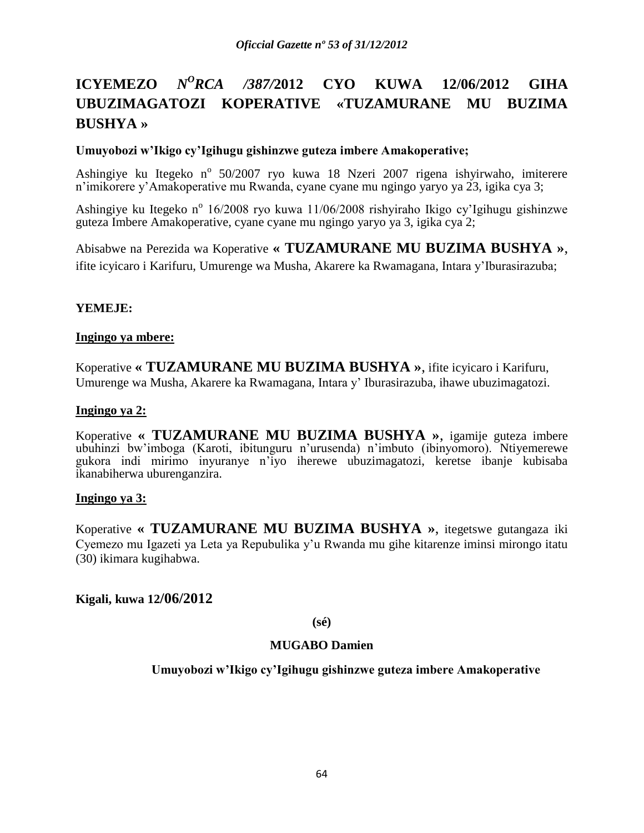# **ICYEMEZO** *N <sup>O</sup>RCA /387/***2012 CYO KUWA 12/06/2012 GIHA UBUZIMAGATOZI KOPERATIVE «TUZAMURANE MU BUZIMA BUSHYA »**

# **Umuyobozi w'Ikigo cy'Igihugu gishinzwe guteza imbere Amakoperative;**

Ashingiye ku Itegeko n<sup>o</sup> 50/2007 ryo kuwa 18 Nzeri 2007 rigena ishyirwaho, imiterere n'imikorere y'Amakoperative mu Rwanda, cyane cyane mu ngingo yaryo ya 23, igika cya 3;

Ashingiye ku Itegeko n<sup>o</sup> 16/2008 ryo kuwa 11/06/2008 rishyiraho Ikigo cy'Igihugu gishinzwe guteza Imbere Amakoperative, cyane cyane mu ngingo yaryo ya 3, igika cya 2;

Abisabwe na Perezida wa Koperative **« TUZAMURANE MU BUZIMA BUSHYA »**, ifite icyicaro i Karifuru, Umurenge wa Musha, Akarere ka Rwamagana, Intara y'Iburasirazuba;

# **YEMEJE:**

### **Ingingo ya mbere:**

Koperative **« TUZAMURANE MU BUZIMA BUSHYA »**, ifite icyicaro i Karifuru, Umurenge wa Musha, Akarere ka Rwamagana, Intara y' Iburasirazuba, ihawe ubuzimagatozi.

#### **Ingingo ya 2:**

Koperative **« TUZAMURANE MU BUZIMA BUSHYA »**, igamije guteza imbere ubuhinzi bw'imboga (Karoti, ibitunguru n'urusenda) n'imbuto (ibinyomoro). Ntiyemerewe gukora indi mirimo inyuranye n'iyo iherewe ubuzimagatozi, keretse ibanje kubisaba ikanabiherwa uburenganzira.

#### **Ingingo ya 3:**

Koperative **« TUZAMURANE MU BUZIMA BUSHYA »**, itegetswe gutangaza iki Cyemezo mu Igazeti ya Leta ya Repubulika y'u Rwanda mu gihe kitarenze iminsi mirongo itatu (30) ikimara kugihabwa.

### **Kigali, kuwa 12/06/2012**

**(sé)**

### **MUGABO Damien**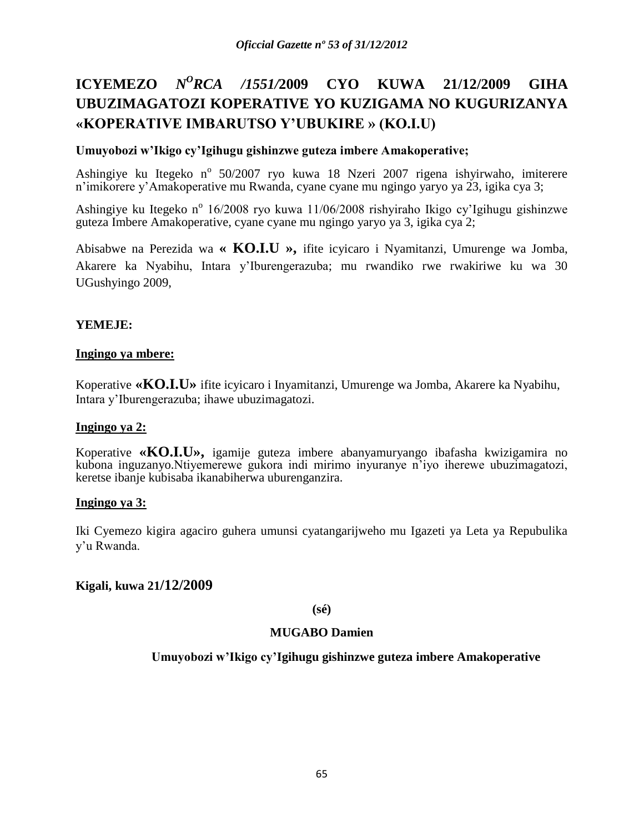# **ICYEMEZO** *N <sup>O</sup>RCA /1551/***2009 CYO KUWA 21/12/2009 GIHA UBUZIMAGATOZI KOPERATIVE YO KUZIGAMA NO KUGURIZANYA «KOPERATIVE IMBARUTSO Y'UBUKIRE » (KO.I.U)**

# **Umuyobozi w'Ikigo cy'Igihugu gishinzwe guteza imbere Amakoperative;**

Ashingiye ku Itegeko n<sup>o</sup> 50/2007 ryo kuwa 18 Nzeri 2007 rigena ishyirwaho, imiterere n'imikorere y'Amakoperative mu Rwanda, cyane cyane mu ngingo yaryo ya 23, igika cya 3;

Ashingiye ku Itegeko n<sup>o</sup> 16/2008 ryo kuwa 11/06/2008 rishyiraho Ikigo cy'Igihugu gishinzwe guteza Imbere Amakoperative, cyane cyane mu ngingo yaryo ya 3, igika cya 2;

Abisabwe na Perezida wa **« KO.I.U »,** ifite icyicaro i Nyamitanzi, Umurenge wa Jomba, Akarere ka Nyabihu, Intara y'Iburengerazuba; mu rwandiko rwe rwakiriwe ku wa 30 UGushyingo 2009,

# **YEMEJE:**

### **Ingingo ya mbere:**

Koperative **«KO.I.U»** ifite icyicaro i Inyamitanzi, Umurenge wa Jomba, Akarere ka Nyabihu, Intara y'Iburengerazuba; ihawe ubuzimagatozi.

### **Ingingo ya 2:**

Koperative **«KO.I.U»,** igamije guteza imbere abanyamuryango ibafasha kwizigamira no kubona inguzanyo.Ntiyemerewe gukora indi mirimo inyuranye n'iyo iherewe ubuzimagatozi, keretse ibanje kubisaba ikanabiherwa uburenganzira.

### **Ingingo ya 3:**

Iki Cyemezo kigira agaciro guhera umunsi cyatangarijweho mu Igazeti ya Leta ya Repubulika y'u Rwanda.

### **Kigali, kuwa 21/12/2009**

### **(sé)**

### **MUGABO Damien**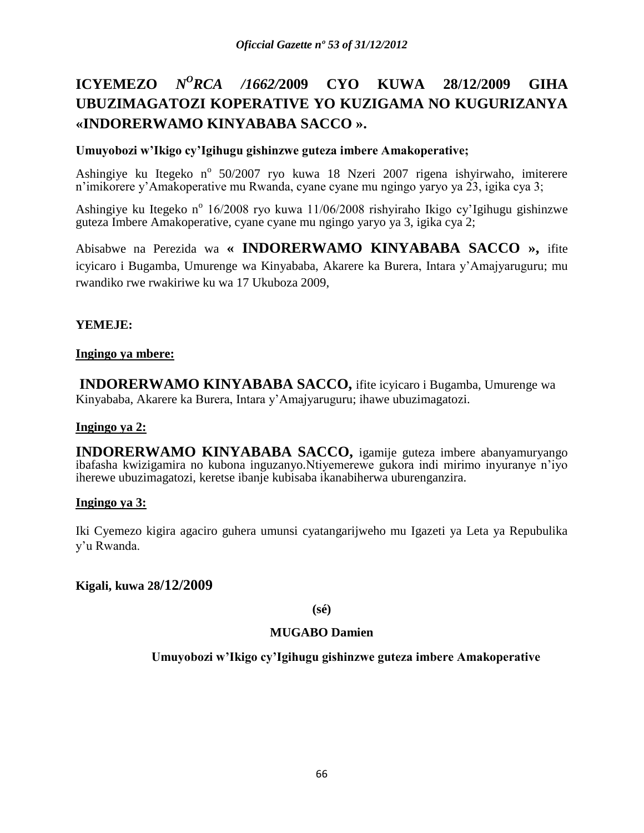# **ICYEMEZO** *N <sup>O</sup>RCA /1662/***2009 CYO KUWA 28/12/2009 GIHA UBUZIMAGATOZI KOPERATIVE YO KUZIGAMA NO KUGURIZANYA «INDORERWAMO KINYABABA SACCO ».**

# **Umuyobozi w'Ikigo cy'Igihugu gishinzwe guteza imbere Amakoperative;**

Ashingiye ku Itegeko n<sup>o</sup> 50/2007 ryo kuwa 18 Nzeri 2007 rigena ishyirwaho, imiterere n'imikorere y'Amakoperative mu Rwanda, cyane cyane mu ngingo yaryo ya 23, igika cya 3;

Ashingiye ku Itegeko n<sup>o</sup> 16/2008 ryo kuwa 11/06/2008 rishyiraho Ikigo cy'Igihugu gishinzwe guteza Imbere Amakoperative, cyane cyane mu ngingo yaryo ya 3, igika cya 2;

Abisabwe na Perezida wa **« INDORERWAMO KINYABABA SACCO »,** ifite icyicaro i Bugamba, Umurenge wa Kinyababa, Akarere ka Burera, Intara y'Amajyaruguru; mu rwandiko rwe rwakiriwe ku wa 17 Ukuboza 2009,

# **YEMEJE:**

### **Ingingo ya mbere:**

**INDORERWAMO KINYABABA SACCO,** ifite icyicaro i Bugamba, Umurenge wa Kinyababa, Akarere ka Burera, Intara y'Amajyaruguru; ihawe ubuzimagatozi.

### **Ingingo ya 2:**

**INDORERWAMO KINYABABA SACCO,** igamije guteza imbere abanyamuryango ibafasha kwizigamira no kubona inguzanyo.Ntiyemerewe gukora indi mirimo inyuranye n'iyo iherewe ubuzimagatozi, keretse ibanje kubisaba ikanabiherwa uburenganzira.

### **Ingingo ya 3:**

Iki Cyemezo kigira agaciro guhera umunsi cyatangarijweho mu Igazeti ya Leta ya Repubulika y'u Rwanda.

### **Kigali, kuwa 28/12/2009**

### **(sé)**

### **MUGABO Damien**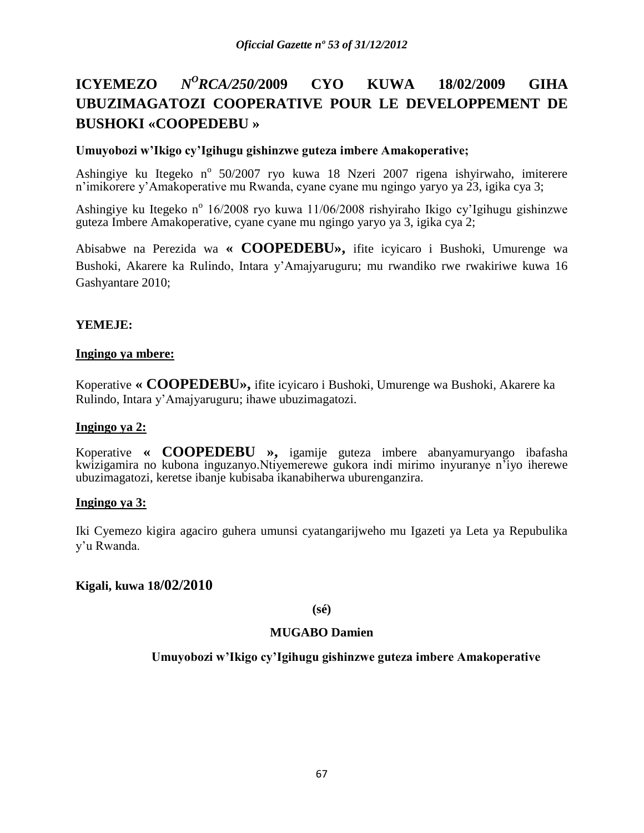# **ICYEMEZO** *<sup>O</sup>RCA/250/***2009 CYO KUWA 18/02/2009 GIHA UBUZIMAGATOZI COOPERATIVE POUR LE DEVELOPPEMENT DE BUSHOKI «COOPEDEBU »**

# **Umuyobozi w'Ikigo cy'Igihugu gishinzwe guteza imbere Amakoperative;**

Ashingiye ku Itegeko n<sup>o</sup> 50/2007 ryo kuwa 18 Nzeri 2007 rigena ishyirwaho, imiterere n'imikorere y'Amakoperative mu Rwanda, cyane cyane mu ngingo yaryo ya 23, igika cya 3;

Ashingiye ku Itegeko n<sup>o</sup> 16/2008 ryo kuwa 11/06/2008 rishyiraho Ikigo cy'Igihugu gishinzwe guteza Imbere Amakoperative, cyane cyane mu ngingo yaryo ya 3, igika cya 2;

Abisabwe na Perezida wa **« COOPEDEBU»,** ifite icyicaro i Bushoki, Umurenge wa Bushoki, Akarere ka Rulindo, Intara y'Amajyaruguru; mu rwandiko rwe rwakiriwe kuwa 16 Gashyantare 2010;

# **YEMEJE:**

### **Ingingo ya mbere:**

Koperative **« COOPEDEBU»,** ifite icyicaro i Bushoki, Umurenge wa Bushoki, Akarere ka Rulindo, Intara y'Amajyaruguru; ihawe ubuzimagatozi.

### **Ingingo ya 2:**

Koperative **« COOPEDEBU »,** igamije guteza imbere abanyamuryango ibafasha kwizigamira no kubona inguzanyo.Ntiyemerewe gukora indi mirimo inyuranye n'iyo iherewe ubuzimagatozi, keretse ibanje kubisaba ikanabiherwa uburenganzira.

### **Ingingo ya 3:**

Iki Cyemezo kigira agaciro guhera umunsi cyatangarijweho mu Igazeti ya Leta ya Repubulika y'u Rwanda.

### **Kigali, kuwa 18/02/2010**

### **(sé)**

### **MUGABO Damien**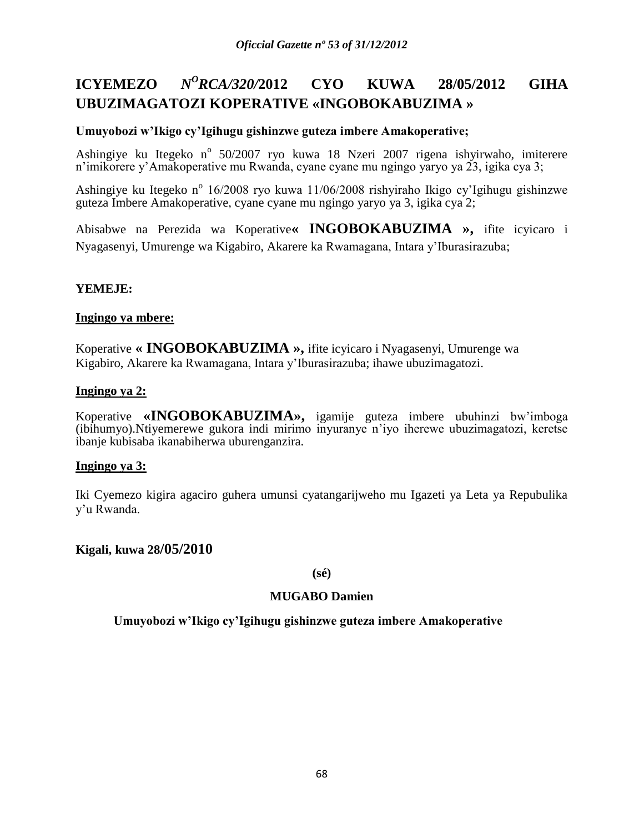#### **ICYEMEZO** *<sup>O</sup>RCA/320/***2012 CYO KUWA 28/05/2012 GIHA UBUZIMAGATOZI KOPERATIVE «INGOBOKABUZIMA »**

# **Umuyobozi w'Ikigo cy'Igihugu gishinzwe guteza imbere Amakoperative;**

Ashingiye ku Itegeko n<sup>o</sup> 50/2007 ryo kuwa 18 Nzeri 2007 rigena ishyirwaho, imiterere n'imikorere y'Amakoperative mu Rwanda, cyane cyane mu ngingo yaryo ya 23, igika cya 3;

Ashingiye ku Itegeko n<sup>o</sup> 16/2008 ryo kuwa 11/06/2008 rishyiraho Ikigo cy'Igihugu gishinzwe guteza Imbere Amakoperative, cyane cyane mu ngingo yaryo ya 3, igika cya 2;

Abisabwe na Perezida wa Koperative**« INGOBOKABUZIMA »,** ifite icyicaro i Nyagasenyi, Umurenge wa Kigabiro, Akarere ka Rwamagana, Intara y'Iburasirazuba;

# **YEMEJE:**

### **Ingingo ya mbere:**

Koperative **« INGOBOKABUZIMA »,** ifite icyicaro i Nyagasenyi, Umurenge wa Kigabiro, Akarere ka Rwamagana, Intara y'Iburasirazuba; ihawe ubuzimagatozi.

### **Ingingo ya 2:**

Koperative **«INGOBOKABUZIMA»,** igamije guteza imbere ubuhinzi bw'imboga (ibihumyo).Ntiyemerewe gukora indi mirimo inyuranye n'iyo iherewe ubuzimagatozi, keretse ibanje kubisaba ikanabiherwa uburenganzira.

### **Ingingo ya 3:**

Iki Cyemezo kigira agaciro guhera umunsi cyatangarijweho mu Igazeti ya Leta ya Repubulika y'u Rwanda.

### **Kigali, kuwa 28/05/2010**

### **(sé)**

### **MUGABO Damien**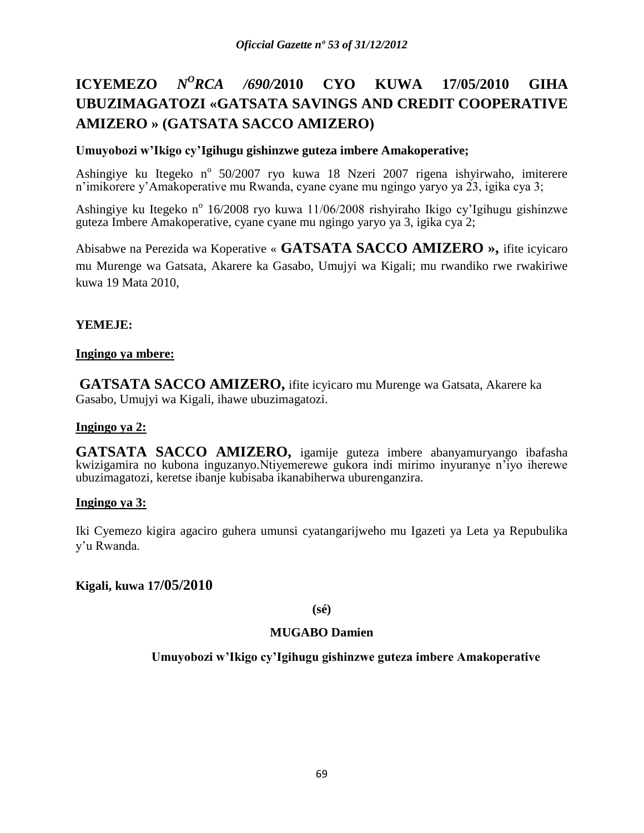# **ICYEMEZO** *N <sup>O</sup>RCA /690/***2010 CYO KUWA 17/05/2010 GIHA UBUZIMAGATOZI «GATSATA SAVINGS AND CREDIT COOPERATIVE AMIZERO » (GATSATA SACCO AMIZERO)**

# **Umuyobozi w'Ikigo cy'Igihugu gishinzwe guteza imbere Amakoperative;**

Ashingiye ku Itegeko n<sup>o</sup> 50/2007 ryo kuwa 18 Nzeri 2007 rigena ishyirwaho, imiterere n'imikorere y'Amakoperative mu Rwanda, cyane cyane mu ngingo yaryo ya 23, igika cya 3;

Ashingiye ku Itegeko n<sup>o</sup> 16/2008 ryo kuwa 11/06/2008 rishyiraho Ikigo cy'Igihugu gishinzwe guteza Imbere Amakoperative, cyane cyane mu ngingo yaryo ya 3, igika cya 2;

Abisabwe na Perezida wa Koperative « **GATSATA SACCO AMIZERO »,** ifite icyicaro mu Murenge wa Gatsata, Akarere ka Gasabo, Umujyi wa Kigali; mu rwandiko rwe rwakiriwe kuwa 19 Mata 2010,

# **YEMEJE:**

### **Ingingo ya mbere:**

**GATSATA SACCO AMIZERO,** ifite icyicaro mu Murenge wa Gatsata, Akarere ka Gasabo, Umujyi wa Kigali, ihawe ubuzimagatozi.

### **Ingingo ya 2:**

**GATSATA SACCO AMIZERO,** igamije guteza imbere abanyamuryango ibafasha kwizigamira no kubona inguzanyo.Ntiyemerewe gukora indi mirimo inyuranye n'iyo iherewe ubuzimagatozi, keretse ibanje kubisaba ikanabiherwa uburenganzira.

### **Ingingo ya 3:**

Iki Cyemezo kigira agaciro guhera umunsi cyatangarijweho mu Igazeti ya Leta ya Repubulika y'u Rwanda.

### **Kigali, kuwa 17/05/2010**

### **(sé)**

### **MUGABO Damien**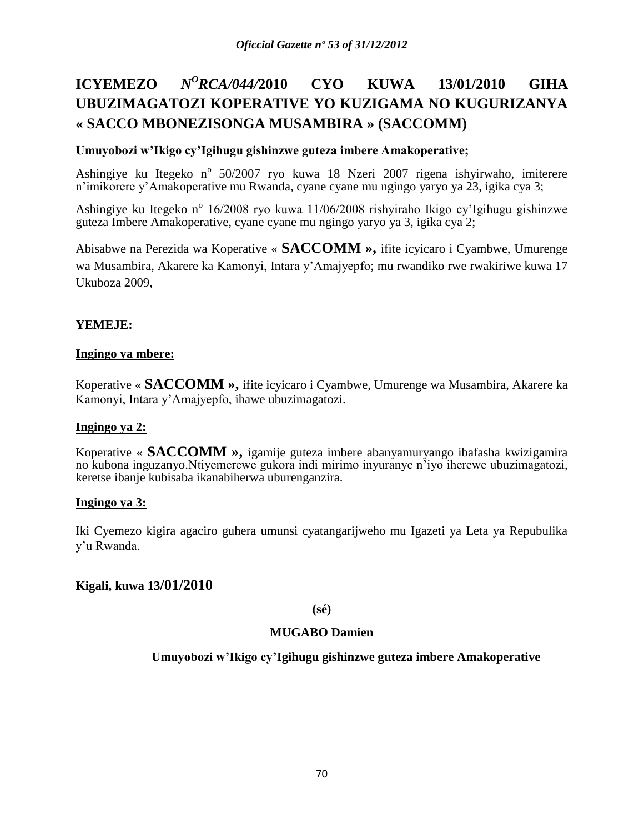# **ICYEMEZO** *<sup>O</sup>RCA/044/***2010 CYO KUWA 13/01/2010 GIHA UBUZIMAGATOZI KOPERATIVE YO KUZIGAMA NO KUGURIZANYA « SACCO MBONEZISONGA MUSAMBIRA » (SACCOMM)**

# **Umuyobozi w'Ikigo cy'Igihugu gishinzwe guteza imbere Amakoperative;**

Ashingiye ku Itegeko n<sup>o</sup> 50/2007 ryo kuwa 18 Nzeri 2007 rigena ishyirwaho, imiterere n'imikorere y'Amakoperative mu Rwanda, cyane cyane mu ngingo yaryo ya 23, igika cya 3;

Ashingiye ku Itegeko n<sup>o</sup> 16/2008 ryo kuwa 11/06/2008 rishyiraho Ikigo cy'Igihugu gishinzwe guteza Imbere Amakoperative, cyane cyane mu ngingo yaryo ya 3, igika cya 2;

Abisabwe na Perezida wa Koperative « **SACCOMM »,** ifite icyicaro i Cyambwe, Umurenge wa Musambira, Akarere ka Kamonyi, Intara y'Amajyepfo; mu rwandiko rwe rwakiriwe kuwa 17 Ukuboza 2009,

# **YEMEJE:**

### **Ingingo ya mbere:**

Koperative « **SACCOMM »,** ifite icyicaro i Cyambwe, Umurenge wa Musambira, Akarere ka Kamonyi, Intara y'Amajyepfo, ihawe ubuzimagatozi.

### **Ingingo ya 2:**

Koperative « **SACCOMM »,** igamije guteza imbere abanyamuryango ibafasha kwizigamira no kubona inguzanyo.Ntiyemerewe gukora indi mirimo inyuranye n'iyo iherewe ubuzimagatozi, keretse ibanje kubisaba ikanabiherwa uburenganzira.

### **Ingingo ya 3:**

Iki Cyemezo kigira agaciro guhera umunsi cyatangarijweho mu Igazeti ya Leta ya Repubulika y'u Rwanda.

### **Kigali, kuwa 13/01/2010**

### **(sé)**

### **MUGABO Damien**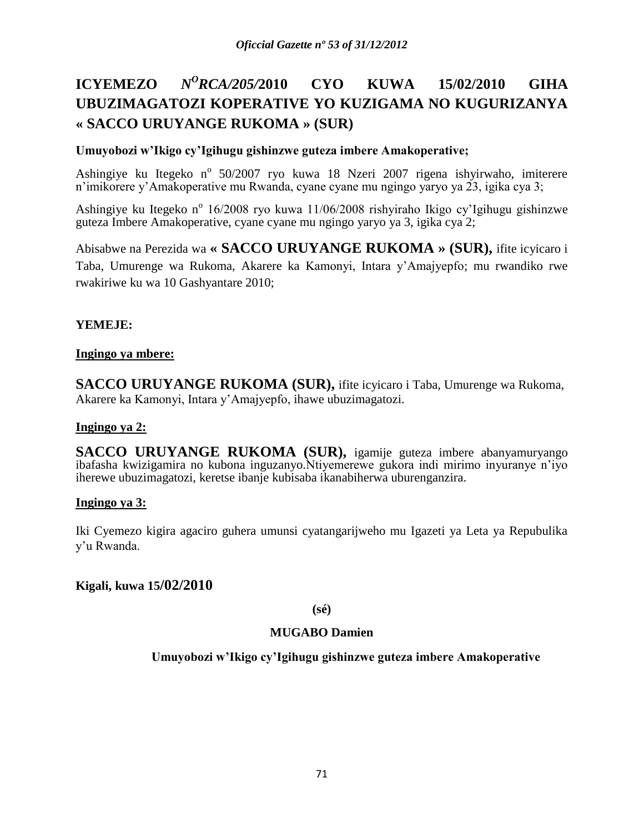# **ICYEMEZO** *<sup>O</sup>RCA/205/***2010 CYO KUWA 15/02/2010 GIHA UBUZIMAGATOZI KOPERATIVE YO KUZIGAMA NO KUGURIZANYA « SACCO URUYANGE RUKOMA » (SUR)**

# **Umuyobozi w'Ikigo cy'Igihugu gishinzwe guteza imbere Amakoperative;**

Ashingiye ku Itegeko n<sup>o</sup> 50/2007 ryo kuwa 18 Nzeri 2007 rigena ishyirwaho, imiterere n'imikorere y'Amakoperative mu Rwanda, cyane cyane mu ngingo yaryo ya 23, igika cya 3;

Ashingiye ku Itegeko n<sup>o</sup> 16/2008 ryo kuwa 11/06/2008 rishyiraho Ikigo cy'Igihugu gishinzwe guteza Imbere Amakoperative, cyane cyane mu ngingo yaryo ya 3, igika cya 2;

Abisabwe na Perezida wa **« SACCO URUYANGE RUKOMA » (SUR),** ifite icyicaro i Taba, Umurenge wa Rukoma, Akarere ka Kamonyi, Intara y'Amajyepfo; mu rwandiko rwe rwakiriwe ku wa 10 Gashyantare 2010;

# **YEMEJE:**

### **Ingingo ya mbere:**

**SACCO URUYANGE RUKOMA (SUR),** ifite icyicaro i Taba, Umurenge wa Rukoma, Akarere ka Kamonyi, Intara y'Amajyepfo, ihawe ubuzimagatozi.

### **Ingingo ya 2:**

**SACCO URUYANGE RUKOMA (SUR),** igamije guteza imbere abanyamuryango ibafasha kwizigamira no kubona inguzanyo.Ntiyemerewe gukora indi mirimo inyuranye n'iyo iherewe ubuzimagatozi, keretse ibanje kubisaba ikanabiherwa uburenganzira.

### **Ingingo ya 3:**

Iki Cyemezo kigira agaciro guhera umunsi cyatangarijweho mu Igazeti ya Leta ya Repubulika y'u Rwanda.

### **Kigali, kuwa 15/02/2010**

### **(sé)**

### **MUGABO Damien**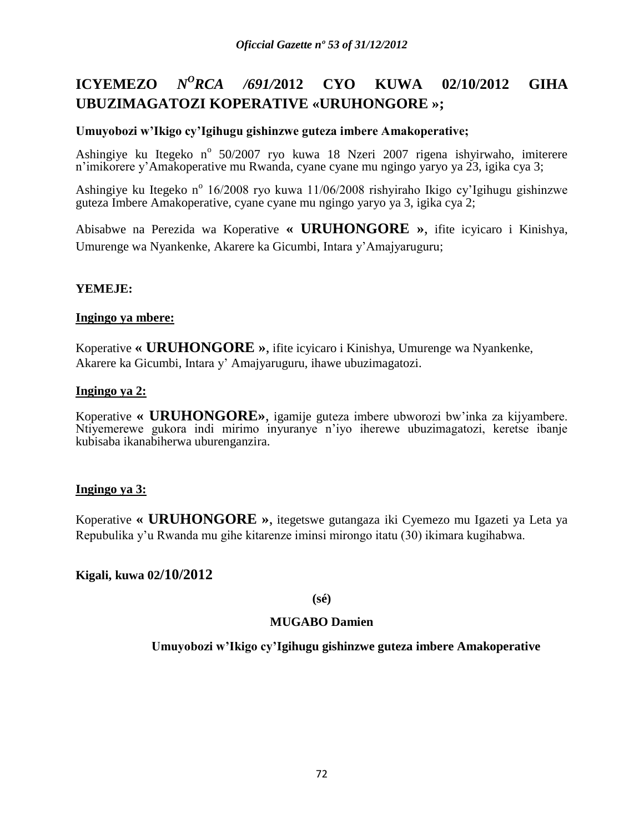#### **ICYEMEZO** *N <sup>O</sup>RCA /691/***2012 CYO KUWA 02/10/2012 GIHA UBUZIMAGATOZI KOPERATIVE «URUHONGORE »;**

#### **Umuyobozi w'Ikigo cy'Igihugu gishinzwe guteza imbere Amakoperative;**

Ashingiye ku Itegeko n<sup>o</sup> 50/2007 ryo kuwa 18 Nzeri 2007 rigena ishyirwaho, imiterere n'imikorere y'Amakoperative mu Rwanda, cyane cyane mu ngingo yaryo ya 23, igika cya 3;

Ashingiye ku Itegeko n<sup>o</sup> 16/2008 ryo kuwa 11/06/2008 rishyiraho Ikigo cy'Igihugu gishinzwe guteza Imbere Amakoperative, cyane cyane mu ngingo yaryo ya 3, igika cya 2;

Abisabwe na Perezida wa Koperative **« URUHONGORE »**, ifite icyicaro i Kinishya, Umurenge wa Nyankenke, Akarere ka Gicumbi, Intara y'Amajyaruguru;

### **YEMEJE:**

#### **Ingingo ya mbere:**

Koperative **« URUHONGORE »**, ifite icyicaro i Kinishya, Umurenge wa Nyankenke, Akarere ka Gicumbi, Intara y' Amajyaruguru, ihawe ubuzimagatozi.

#### **Ingingo ya 2:**

Koperative **« URUHONGORE»**, igamije guteza imbere ubworozi bw'inka za kijyambere. Ntiyemerewe gukora indi mirimo inyuranye n'iyo iherewe ubuzimagatozi, keretse ibanje kubisaba ikanabiherwa uburenganzira.

### **Ingingo ya 3:**

Koperative **« URUHONGORE »**, itegetswe gutangaza iki Cyemezo mu Igazeti ya Leta ya Repubulika y'u Rwanda mu gihe kitarenze iminsi mirongo itatu (30) ikimara kugihabwa.

### **Kigali, kuwa 02/10/2012**

**(sé)**

### **MUGABO Damien**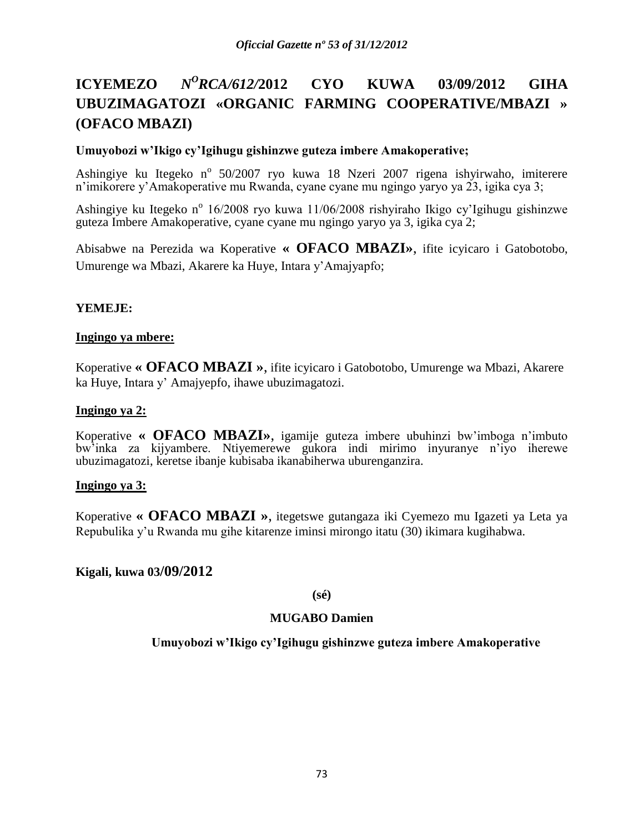## **ICYEMEZO** *<sup>O</sup>RCA/612/***2012 CYO KUWA 03/09/2012 GIHA UBUZIMAGATOZI «ORGANIC FARMING COOPERATIVE/MBAZI » (OFACO MBAZI)**

### **Umuyobozi w'Ikigo cy'Igihugu gishinzwe guteza imbere Amakoperative;**

Ashingiye ku Itegeko n<sup>o</sup> 50/2007 ryo kuwa 18 Nzeri 2007 rigena ishyirwaho, imiterere n'imikorere y'Amakoperative mu Rwanda, cyane cyane mu ngingo yaryo ya 23, igika cya 3;

Ashingiye ku Itegeko n<sup>o</sup> 16/2008 ryo kuwa 11/06/2008 rishyiraho Ikigo cy'Igihugu gishinzwe guteza Imbere Amakoperative, cyane cyane mu ngingo yaryo ya 3, igika cya 2;

Abisabwe na Perezida wa Koperative **« OFACO MBAZI»**, ifite icyicaro i Gatobotobo, Umurenge wa Mbazi, Akarere ka Huye, Intara y'Amajyapfo;

### **YEMEJE:**

### **Ingingo ya mbere:**

Koperative **« OFACO MBAZI »**, ifite icyicaro i Gatobotobo, Umurenge wa Mbazi, Akarere ka Huye, Intara y' Amajyepfo, ihawe ubuzimagatozi.

#### **Ingingo ya 2:**

Koperative **« OFACO MBAZI»**, igamije guteza imbere ubuhinzi bw'imboga n'imbuto bw'inka za kijyambere. Ntiyemerewe gukora indi mirimo inyuranye n'iyo iherewe ubuzimagatozi, keretse ibanje kubisaba ikanabiherwa uburenganzira.

### **Ingingo ya 3:**

Koperative **« OFACO MBAZI »**, itegetswe gutangaza iki Cyemezo mu Igazeti ya Leta ya Repubulika y'u Rwanda mu gihe kitarenze iminsi mirongo itatu (30) ikimara kugihabwa.

### **Kigali, kuwa 03/09/2012**

**(sé)**

### **MUGABO Damien**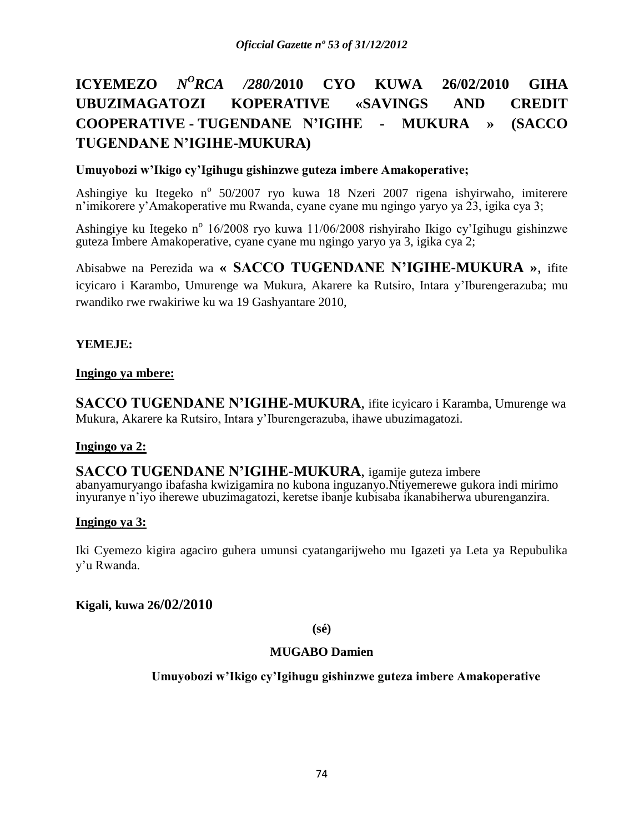# **ICYEMEZO** *N <sup>O</sup>RCA /280/***2010 CYO KUWA 26/02/2010 GIHA UBUZIMAGATOZI KOPERATIVE «SAVINGS AND CREDIT COOPERATIVE - TUGENDANE N'IGIHE - MUKURA » (SACCO TUGENDANE N'IGIHE-MUKURA)**

# **Umuyobozi w'Ikigo cy'Igihugu gishinzwe guteza imbere Amakoperative;**

Ashingiye ku Itegeko n<sup>o</sup> 50/2007 ryo kuwa 18 Nzeri 2007 rigena ishyirwaho, imiterere n'imikorere y'Amakoperative mu Rwanda, cyane cyane mu ngingo yaryo ya 23, igika cya 3;

Ashingiye ku Itegeko n<sup>o</sup> 16/2008 ryo kuwa 11/06/2008 rishyiraho Ikigo cy'Igihugu gishinzwe guteza Imbere Amakoperative, cyane cyane mu ngingo yaryo ya 3, igika cya 2;

Abisabwe na Perezida wa **« SACCO TUGENDANE N'IGIHE-MUKURA »**, ifite icyicaro i Karambo, Umurenge wa Mukura, Akarere ka Rutsiro, Intara y'Iburengerazuba; mu rwandiko rwe rwakiriwe ku wa 19 Gashyantare 2010,

### **YEMEJE:**

### **Ingingo ya mbere:**

**SACCO TUGENDANE N'IGIHE-MUKURA**, ifite icyicaro i Karamba, Umurenge wa Mukura, Akarere ka Rutsiro, Intara y'Iburengerazuba, ihawe ubuzimagatozi.

### **Ingingo ya 2:**

**SACCO TUGENDANE N'IGIHE-MUKURA**, igamije guteza imbere abanyamuryango ibafasha kwizigamira no kubona inguzanyo.Ntiyemerewe gukora indi mirimo inyuranye n'iyo iherewe ubuzimagatozi, keretse ibanje kubisaba ikanabiherwa uburenganzira.

### **Ingingo ya 3:**

Iki Cyemezo kigira agaciro guhera umunsi cyatangarijweho mu Igazeti ya Leta ya Repubulika y'u Rwanda.

### **Kigali, kuwa 26/02/2010**

**(sé)**

### **MUGABO Damien**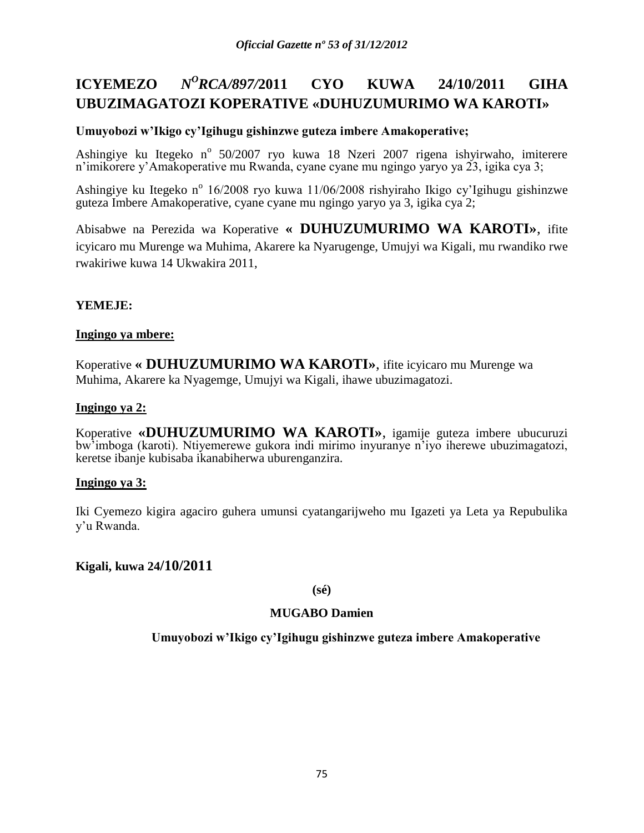#### **ICYEMEZO** *<sup>O</sup>RCA/897/***2011 CYO KUWA 24/10/2011 GIHA UBUZIMAGATOZI KOPERATIVE «DUHUZUMURIMO WA KAROTI»**

# **Umuyobozi w'Ikigo cy'Igihugu gishinzwe guteza imbere Amakoperative;**

Ashingiye ku Itegeko n<sup>o</sup> 50/2007 ryo kuwa 18 Nzeri 2007 rigena ishyirwaho, imiterere n'imikorere y'Amakoperative mu Rwanda, cyane cyane mu ngingo yaryo ya 23, igika cya 3;

Ashingiye ku Itegeko n<sup>o</sup> 16/2008 ryo kuwa 11/06/2008 rishyiraho Ikigo cy'Igihugu gishinzwe guteza Imbere Amakoperative, cyane cyane mu ngingo yaryo ya 3, igika cya 2;

Abisabwe na Perezida wa Koperative **« DUHUZUMURIMO WA KAROTI»**, ifite icyicaro mu Murenge wa Muhima, Akarere ka Nyarugenge, Umujyi wa Kigali, mu rwandiko rwe rwakiriwe kuwa 14 Ukwakira 2011,

### **YEMEJE:**

### **Ingingo ya mbere:**

Koperative **« DUHUZUMURIMO WA KAROTI»**, ifite icyicaro mu Murenge wa Muhima, Akarere ka Nyagemge, Umujyi wa Kigali, ihawe ubuzimagatozi.

### **Ingingo ya 2:**

Koperative **«DUHUZUMURIMO WA KAROTI»**, igamije guteza imbere ubucuruzi bw'imboga (karoti). Ntiyemerewe gukora indi mirimo inyuranye n'iyo iherewe ubuzimagatozi, keretse ibanje kubisaba ikanabiherwa uburenganzira.

### **Ingingo ya 3:**

Iki Cyemezo kigira agaciro guhera umunsi cyatangarijweho mu Igazeti ya Leta ya Repubulika y'u Rwanda.

### **Kigali, kuwa 24/10/2011**

### **(sé)**

### **MUGABO Damien**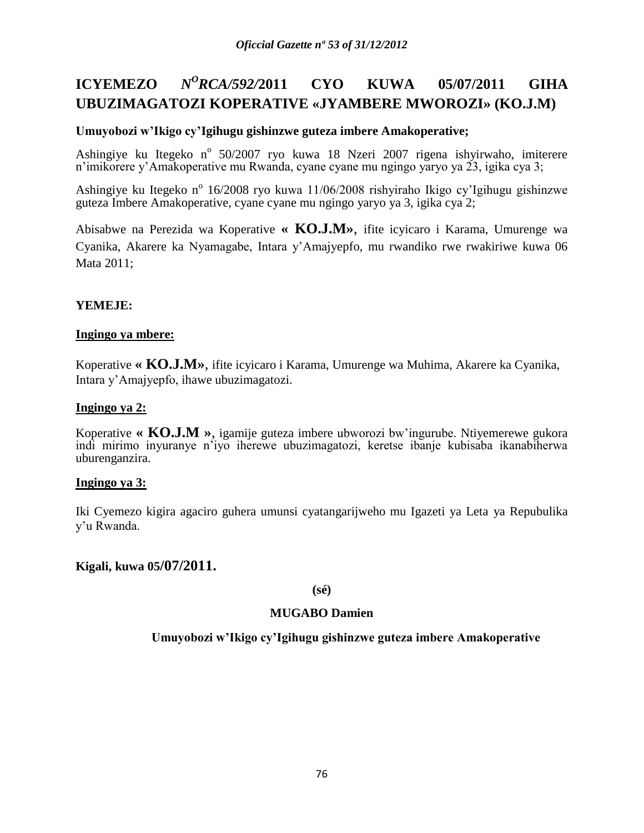#### **ICYEMEZO** *<sup>O</sup>RCA/592/***2011 CYO KUWA 05/07/2011 GIHA UBUZIMAGATOZI KOPERATIVE «JYAMBERE MWOROZI» (KO.J.M)**

# **Umuyobozi w'Ikigo cy'Igihugu gishinzwe guteza imbere Amakoperative;**

Ashingiye ku Itegeko n<sup>o</sup> 50/2007 ryo kuwa 18 Nzeri 2007 rigena ishyirwaho, imiterere n'imikorere y'Amakoperative mu Rwanda, cyane cyane mu ngingo yaryo ya 23, igika cya 3;

Ashingiye ku Itegeko n<sup>o</sup> 16/2008 ryo kuwa 11/06/2008 rishyiraho Ikigo cy'Igihugu gishinzwe guteza Imbere Amakoperative, cyane cyane mu ngingo yaryo ya 3, igika cya 2;

Abisabwe na Perezida wa Koperative **« KO.J.M»**, ifite icyicaro i Karama, Umurenge wa Cyanika, Akarere ka Nyamagabe, Intara y'Amajyepfo, mu rwandiko rwe rwakiriwe kuwa 06 Mata 2011;

# **YEMEJE:**

### **Ingingo ya mbere:**

Koperative **« KO.J.M»**, ifite icyicaro i Karama, Umurenge wa Muhima, Akarere ka Cyanika, Intara y'Amajyepfo, ihawe ubuzimagatozi.

### **Ingingo ya 2:**

Koperative **« KO.J.M »**, igamije guteza imbere ubworozi bw'ingurube. Ntiyemerewe gukora indi mirimo inyuranye n'iyo iherewe ubuzimagatozi, keretse ibanje kubisaba ikanabiherwa uburenganzira.

#### **Ingingo ya 3:**

Iki Cyemezo kigira agaciro guhera umunsi cyatangarijweho mu Igazeti ya Leta ya Repubulika y'u Rwanda.

### **Kigali, kuwa 05/07/2011.**

#### **(sé)**

### **MUGABO Damien**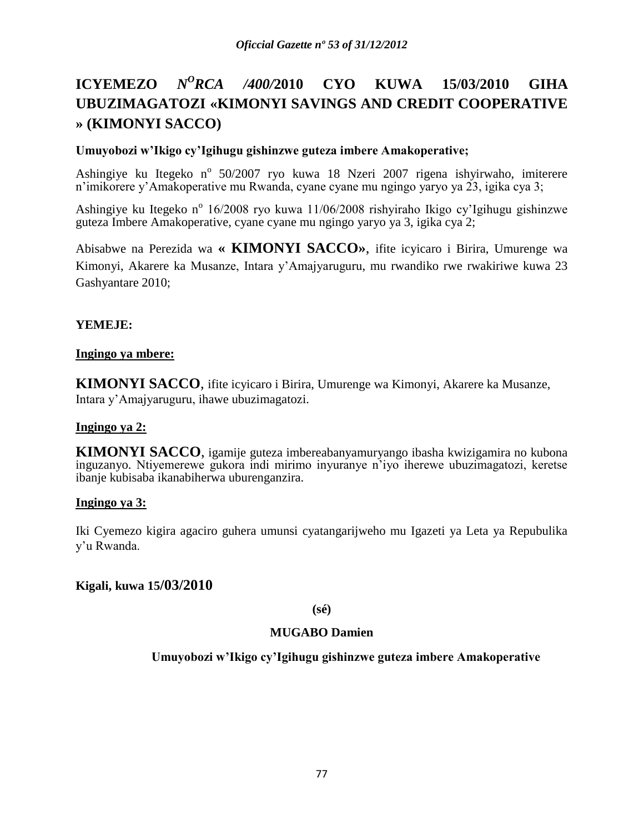### **ICYEMEZO** *N <sup>O</sup>RCA /400/***2010 CYO KUWA 15/03/2010 GIHA UBUZIMAGATOZI «KIMONYI SAVINGS AND CREDIT COOPERATIVE » (KIMONYI SACCO)**

### **Umuyobozi w'Ikigo cy'Igihugu gishinzwe guteza imbere Amakoperative;**

Ashingiye ku Itegeko n<sup>o</sup> 50/2007 ryo kuwa 18 Nzeri 2007 rigena ishyirwaho, imiterere n'imikorere y'Amakoperative mu Rwanda, cyane cyane mu ngingo yaryo ya 23, igika cya 3;

Ashingiye ku Itegeko n<sup>o</sup> 16/2008 ryo kuwa 11/06/2008 rishyiraho Ikigo cy'Igihugu gishinzwe guteza Imbere Amakoperative, cyane cyane mu ngingo yaryo ya 3, igika cya 2;

Abisabwe na Perezida wa **« KIMONYI SACCO»**, ifite icyicaro i Birira, Umurenge wa Kimonyi, Akarere ka Musanze, Intara y'Amajyaruguru, mu rwandiko rwe rwakiriwe kuwa 23 Gashyantare 2010;

# **YEMEJE:**

### **Ingingo ya mbere:**

**KIMONYI SACCO**, ifite icyicaro i Birira, Umurenge wa Kimonyi, Akarere ka Musanze, Intara y'Amajyaruguru, ihawe ubuzimagatozi.

### **Ingingo ya 2:**

**KIMONYI SACCO**, igamije guteza imbereabanyamuryango ibasha kwizigamira no kubona inguzanyo. Ntiyemerewe gukora indi mirimo inyuranye n'iyo iherewe ubuzimagatozi, keretse ibanje kubisaba ikanabiherwa uburenganzira.

### **Ingingo ya 3:**

Iki Cyemezo kigira agaciro guhera umunsi cyatangarijweho mu Igazeti ya Leta ya Repubulika y'u Rwanda.

### **Kigali, kuwa 15/03/2010**

**(sé)**

### **MUGABO Damien**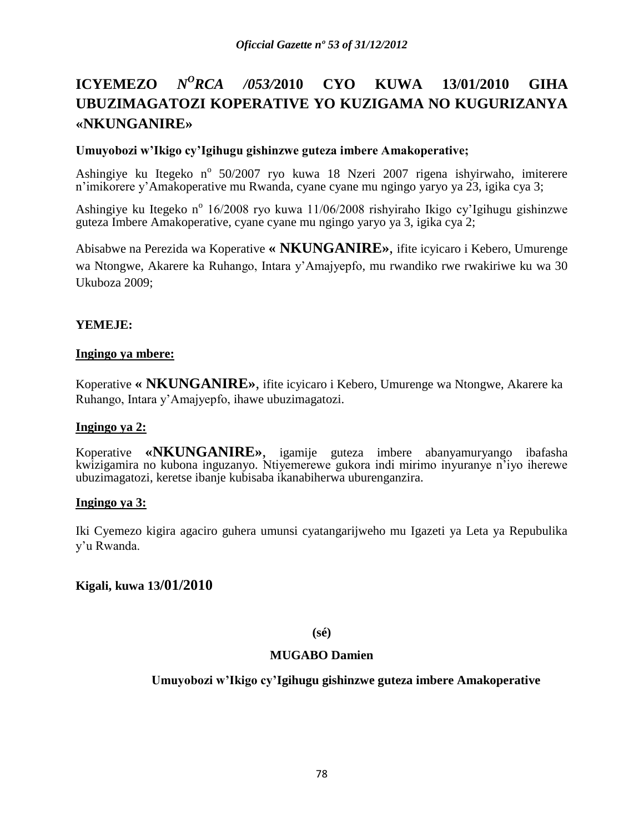### **ICYEMEZO** *N <sup>O</sup>RCA /053/***2010 CYO KUWA 13/01/2010 GIHA UBUZIMAGATOZI KOPERATIVE YO KUZIGAMA NO KUGURIZANYA «NKUNGANIRE»**

### **Umuyobozi w'Ikigo cy'Igihugu gishinzwe guteza imbere Amakoperative;**

Ashingiye ku Itegeko n<sup>o</sup> 50/2007 ryo kuwa 18 Nzeri 2007 rigena ishyirwaho, imiterere n'imikorere y'Amakoperative mu Rwanda, cyane cyane mu ngingo yaryo ya 23, igika cya 3;

Ashingiye ku Itegeko n<sup>o</sup> 16/2008 ryo kuwa 11/06/2008 rishyiraho Ikigo cy'Igihugu gishinzwe guteza Imbere Amakoperative, cyane cyane mu ngingo yaryo ya 3, igika cya 2;

Abisabwe na Perezida wa Koperative **« NKUNGANIRE»**, ifite icyicaro i Kebero, Umurenge wa Ntongwe, Akarere ka Ruhango, Intara y'Amajyepfo, mu rwandiko rwe rwakiriwe ku wa 30 Ukuboza 2009;

# **YEMEJE:**

### **Ingingo ya mbere:**

Koperative **« NKUNGANIRE»**, ifite icyicaro i Kebero, Umurenge wa Ntongwe, Akarere ka Ruhango, Intara y'Amajyepfo, ihawe ubuzimagatozi.

### **Ingingo ya 2:**

Koperative **«NKUNGANIRE»**, igamije guteza imbere abanyamuryango ibafasha kwizigamira no kubona inguzanyo. Ntiyemerewe gukora indi mirimo inyuranye n'iyo iherewe ubuzimagatozi, keretse ibanje kubisaba ikanabiherwa uburenganzira.

### **Ingingo ya 3:**

Iki Cyemezo kigira agaciro guhera umunsi cyatangarijweho mu Igazeti ya Leta ya Repubulika y'u Rwanda.

### **Kigali, kuwa 13/01/2010**

### **(sé)**

### **MUGABO Damien**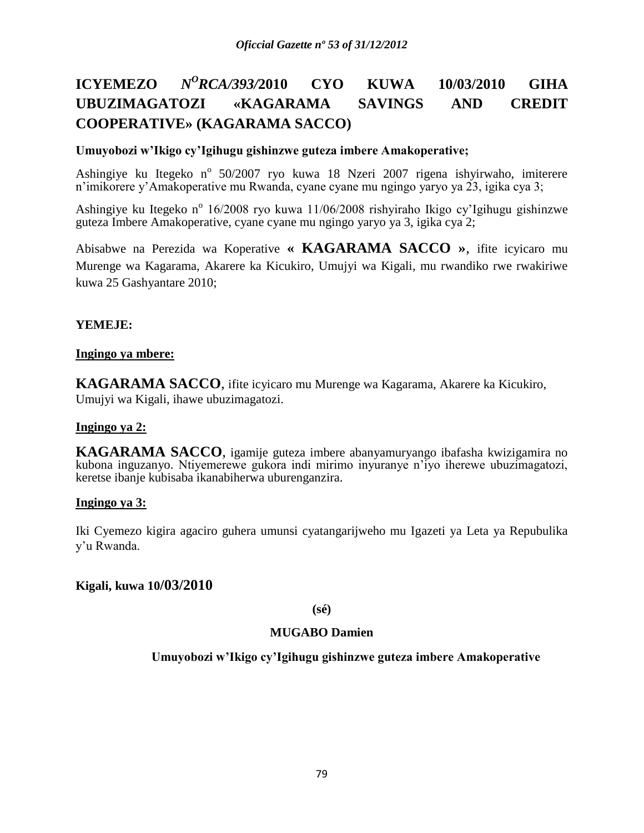### **ICYEMEZO** *<sup>O</sup>RCA/393/***2010 CYO KUWA 10/03/2010 GIHA UBUZIMAGATOZI «KAGARAMA SAVINGS AND CREDIT COOPERATIVE» (KAGARAMA SACCO)**

### **Umuyobozi w'Ikigo cy'Igihugu gishinzwe guteza imbere Amakoperative;**

Ashingiye ku Itegeko n<sup>o</sup> 50/2007 ryo kuwa 18 Nzeri 2007 rigena ishyirwaho, imiterere n'imikorere y'Amakoperative mu Rwanda, cyane cyane mu ngingo yaryo ya 23, igika cya 3;

Ashingiye ku Itegeko n<sup>o</sup> 16/2008 ryo kuwa 11/06/2008 rishyiraho Ikigo cy'Igihugu gishinzwe guteza Imbere Amakoperative, cyane cyane mu ngingo yaryo ya 3, igika cya 2;

Abisabwe na Perezida wa Koperative **« KAGARAMA SACCO »**, ifite icyicaro mu Murenge wa Kagarama, Akarere ka Kicukiro, Umujyi wa Kigali, mu rwandiko rwe rwakiriwe kuwa 25 Gashyantare 2010;

### **YEMEJE:**

### **Ingingo ya mbere:**

**KAGARAMA SACCO**, ifite icyicaro mu Murenge wa Kagarama, Akarere ka Kicukiro, Umujyi wa Kigali, ihawe ubuzimagatozi.

### **Ingingo ya 2:**

**KAGARAMA SACCO**, igamije guteza imbere abanyamuryango ibafasha kwizigamira no kubona inguzanyo. Ntiyemerewe gukora indi mirimo inyuranye n'iyo iherewe ubuzimagatozi, keretse ibanje kubisaba ikanabiherwa uburenganzira.

### **Ingingo ya 3:**

Iki Cyemezo kigira agaciro guhera umunsi cyatangarijweho mu Igazeti ya Leta ya Repubulika y'u Rwanda.

### **Kigali, kuwa 10/03/2010**

**(sé)**

### **MUGABO Damien**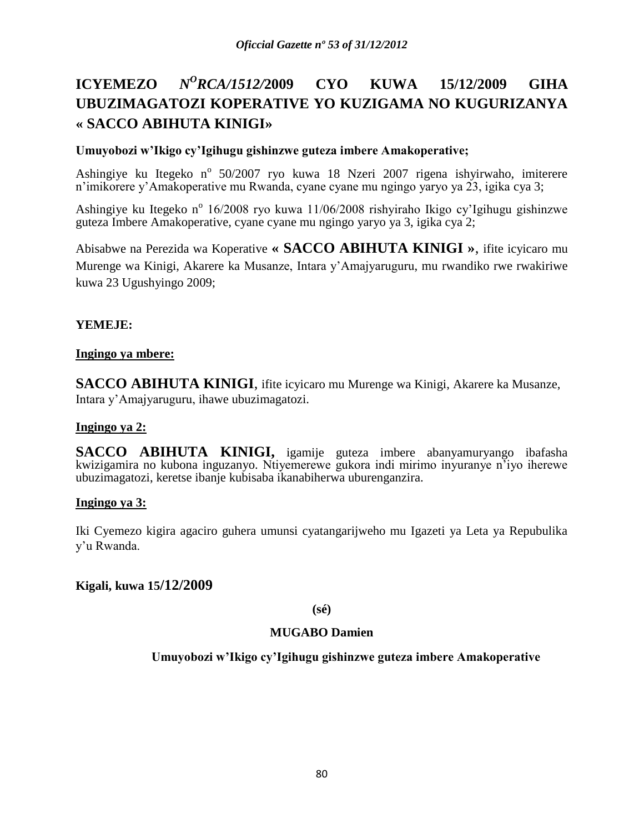### **ICYEMEZO** *<sup>O</sup>RCA/1512/***2009 CYO KUWA 15/12/2009 GIHA UBUZIMAGATOZI KOPERATIVE YO KUZIGAMA NO KUGURIZANYA « SACCO ABIHUTA KINIGI»**

### **Umuyobozi w'Ikigo cy'Igihugu gishinzwe guteza imbere Amakoperative;**

Ashingiye ku Itegeko n<sup>o</sup> 50/2007 ryo kuwa 18 Nzeri 2007 rigena ishyirwaho, imiterere n'imikorere y'Amakoperative mu Rwanda, cyane cyane mu ngingo yaryo ya 23, igika cya 3;

Ashingiye ku Itegeko n<sup>o</sup> 16/2008 ryo kuwa 11/06/2008 rishyiraho Ikigo cy'Igihugu gishinzwe guteza Imbere Amakoperative, cyane cyane mu ngingo yaryo ya 3, igika cya 2;

Abisabwe na Perezida wa Koperative **« SACCO ABIHUTA KINIGI »**, ifite icyicaro mu Murenge wa Kinigi, Akarere ka Musanze, Intara y'Amajyaruguru, mu rwandiko rwe rwakiriwe kuwa 23 Ugushyingo 2009;

# **YEMEJE:**

### **Ingingo ya mbere:**

**SACCO ABIHUTA KINIGI**, ifite icyicaro mu Murenge wa Kinigi, Akarere ka Musanze, Intara y'Amajyaruguru, ihawe ubuzimagatozi.

### **Ingingo ya 2:**

**SACCO ABIHUTA KINIGI,** igamije guteza imbere abanyamuryango ibafasha kwizigamira no kubona inguzanyo. Ntiyemerewe gukora indi mirimo inyuranye n'iyo iherewe ubuzimagatozi, keretse ibanje kubisaba ikanabiherwa uburenganzira.

### **Ingingo ya 3:**

Iki Cyemezo kigira agaciro guhera umunsi cyatangarijweho mu Igazeti ya Leta ya Repubulika y'u Rwanda.

# **Kigali, kuwa 15/12/2009**

### **(sé)**

### **MUGABO Damien**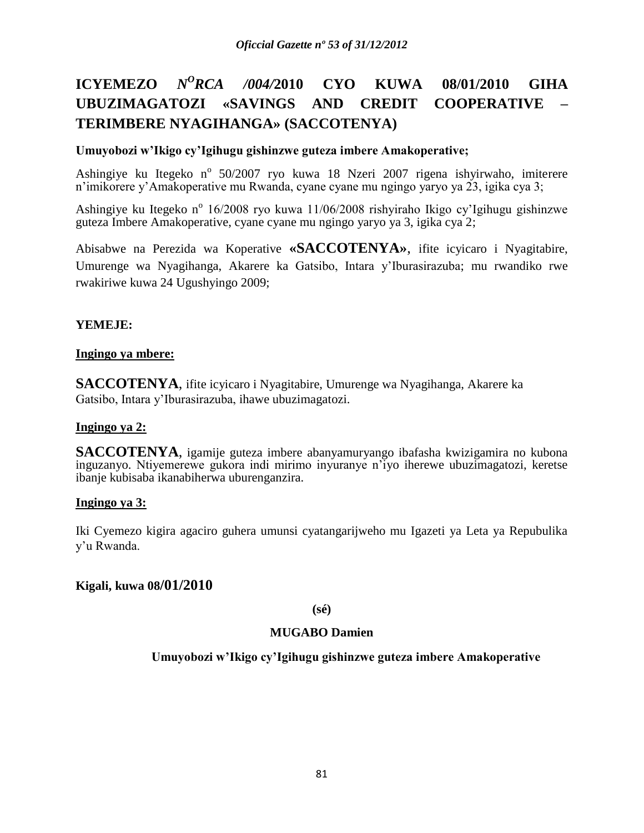### **ICYEMEZO** *N <sup>O</sup>RCA /004/***2010 CYO KUWA 08/01/2010 GIHA UBUZIMAGATOZI «SAVINGS AND CREDIT COOPERATIVE – TERIMBERE NYAGIHANGA» (SACCOTENYA)**

### **Umuyobozi w'Ikigo cy'Igihugu gishinzwe guteza imbere Amakoperative;**

Ashingiye ku Itegeko n<sup>o</sup> 50/2007 ryo kuwa 18 Nzeri 2007 rigena ishyirwaho, imiterere n'imikorere y'Amakoperative mu Rwanda, cyane cyane mu ngingo yaryo ya 23, igika cya 3;

Ashingiye ku Itegeko n<sup>o</sup> 16/2008 ryo kuwa 11/06/2008 rishyiraho Ikigo cy'Igihugu gishinzwe guteza Imbere Amakoperative, cyane cyane mu ngingo yaryo ya 3, igika cya 2;

Abisabwe na Perezida wa Koperative **«SACCOTENYA»**, ifite icyicaro i Nyagitabire, Umurenge wa Nyagihanga, Akarere ka Gatsibo, Intara y'Iburasirazuba; mu rwandiko rwe rwakiriwe kuwa 24 Ugushyingo 2009;

### **YEMEJE:**

### **Ingingo ya mbere:**

**SACCOTENYA**, ifite icyicaro i Nyagitabire, Umurenge wa Nyagihanga, Akarere ka Gatsibo, Intara y'Iburasirazuba, ihawe ubuzimagatozi.

### **Ingingo ya 2:**

**SACCOTENYA**, igamije guteza imbere abanyamuryango ibafasha kwizigamira no kubona inguzanyo. Ntiyemerewe gukora indi mirimo inyuranye n'iyo iherewe ubuzimagatozi, keretse ibanje kubisaba ikanabiherwa uburenganzira.

### **Ingingo ya 3:**

Iki Cyemezo kigira agaciro guhera umunsi cyatangarijweho mu Igazeti ya Leta ya Repubulika y'u Rwanda.

### **Kigali, kuwa 08/01/2010**

#### **(sé)**

### **MUGABO Damien**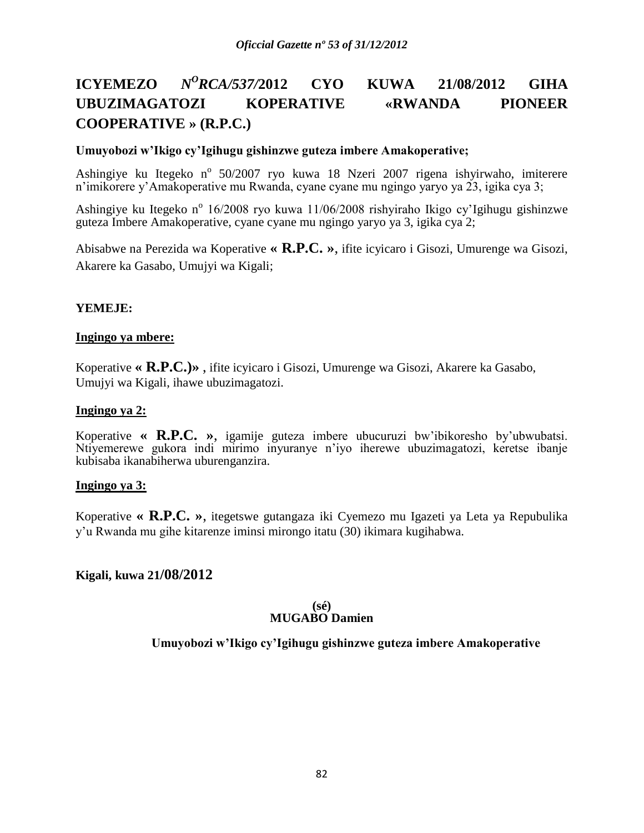### **ICYEMEZO** *<sup>O</sup>RCA/537/***2012 CYO KUWA 21/08/2012 GIHA UBUZIMAGATOZI KOPERATIVE «RWANDA PIONEER COOPERATIVE » (R.P.C.)**

### **Umuyobozi w'Ikigo cy'Igihugu gishinzwe guteza imbere Amakoperative;**

Ashingiye ku Itegeko n<sup>o</sup> 50/2007 ryo kuwa 18 Nzeri 2007 rigena ishyirwaho, imiterere n'imikorere y'Amakoperative mu Rwanda, cyane cyane mu ngingo yaryo ya 23, igika cya 3;

Ashingiye ku Itegeko n<sup>o</sup> 16/2008 ryo kuwa 11/06/2008 rishyiraho Ikigo cy'Igihugu gishinzwe guteza Imbere Amakoperative, cyane cyane mu ngingo yaryo ya 3, igika cya 2;

Abisabwe na Perezida wa Koperative **« R.P.C. »**, ifite icyicaro i Gisozi, Umurenge wa Gisozi, Akarere ka Gasabo, Umujyi wa Kigali;

### **YEMEJE:**

### **Ingingo ya mbere:**

Koperative **« R.P.C.)»** , ifite icyicaro i Gisozi, Umurenge wa Gisozi, Akarere ka Gasabo, Umujyi wa Kigali, ihawe ubuzimagatozi.

#### **Ingingo ya 2:**

Koperative **« R.P.C. »**, igamije guteza imbere ubucuruzi bw'ibikoresho by'ubwubatsi. Ntiyemerewe gukora indi mirimo inyuranye n'iyo iherewe ubuzimagatozi, keretse ibanje kubisaba ikanabiherwa uburenganzira.

### **Ingingo ya 3:**

Koperative **« R.P.C. »**, itegetswe gutangaza iki Cyemezo mu Igazeti ya Leta ya Repubulika y'u Rwanda mu gihe kitarenze iminsi mirongo itatu (30) ikimara kugihabwa.

### **Kigali, kuwa 21/08/2012**

#### **(sé) MUGABO Damien**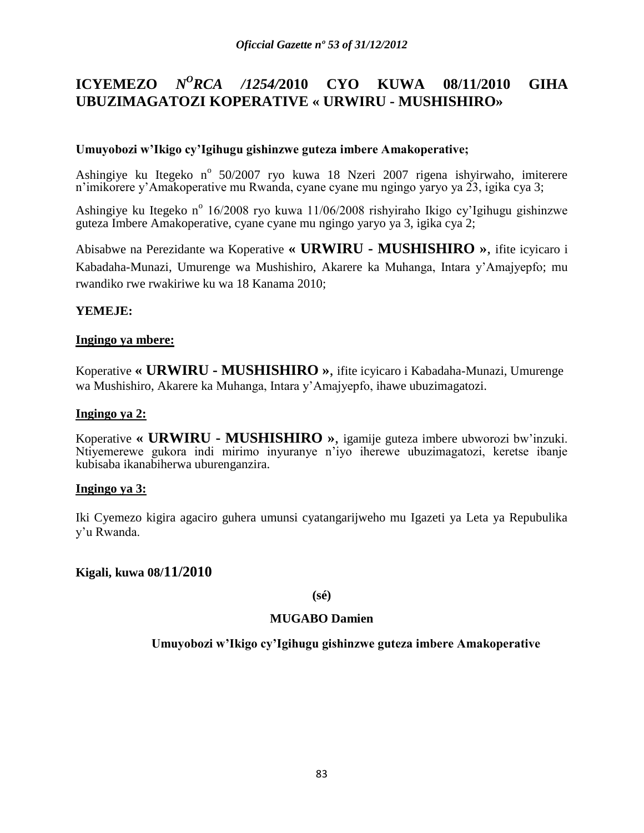#### **ICYEMEZO** *N <sup>O</sup>RCA /1254/***2010 CYO KUWA 08/11/2010 GIHA UBUZIMAGATOZI KOPERATIVE « URWIRU - MUSHISHIRO»**

### **Umuyobozi w'Ikigo cy'Igihugu gishinzwe guteza imbere Amakoperative;**

Ashingiye ku Itegeko n<sup>o</sup> 50/2007 ryo kuwa 18 Nzeri 2007 rigena ishyirwaho, imiterere n'imikorere y'Amakoperative mu Rwanda, cyane cyane mu ngingo yaryo ya 23, igika cya 3;

Ashingiye ku Itegeko n<sup>o</sup> 16/2008 ryo kuwa 11/06/2008 rishyiraho Ikigo cy'Igihugu gishinzwe guteza Imbere Amakoperative, cyane cyane mu ngingo yaryo ya 3, igika cya 2;

Abisabwe na Perezidante wa Koperative **« URWIRU - MUSHISHIRO »**, ifite icyicaro i Kabadaha-Munazi, Umurenge wa Mushishiro, Akarere ka Muhanga, Intara y'Amajyepfo; mu rwandiko rwe rwakiriwe ku wa 18 Kanama 2010;

### **YEMEJE:**

### **Ingingo ya mbere:**

Koperative **« URWIRU - MUSHISHIRO »**, ifite icyicaro i Kabadaha-Munazi, Umurenge wa Mushishiro, Akarere ka Muhanga, Intara y'Amajyepfo, ihawe ubuzimagatozi.

#### **Ingingo ya 2:**

Koperative **« URWIRU - MUSHISHIRO »**, igamije guteza imbere ubworozi bw'inzuki. Ntiyemerewe gukora indi mirimo inyuranye n'iyo iherewe ubuzimagatozi, keretse ibanje kubisaba ikanabiherwa uburenganzira.

### **Ingingo ya 3:**

Iki Cyemezo kigira agaciro guhera umunsi cyatangarijweho mu Igazeti ya Leta ya Repubulika y'u Rwanda.

### **Kigali, kuwa 08/11/2010**

**(sé)**

### **MUGABO Damien**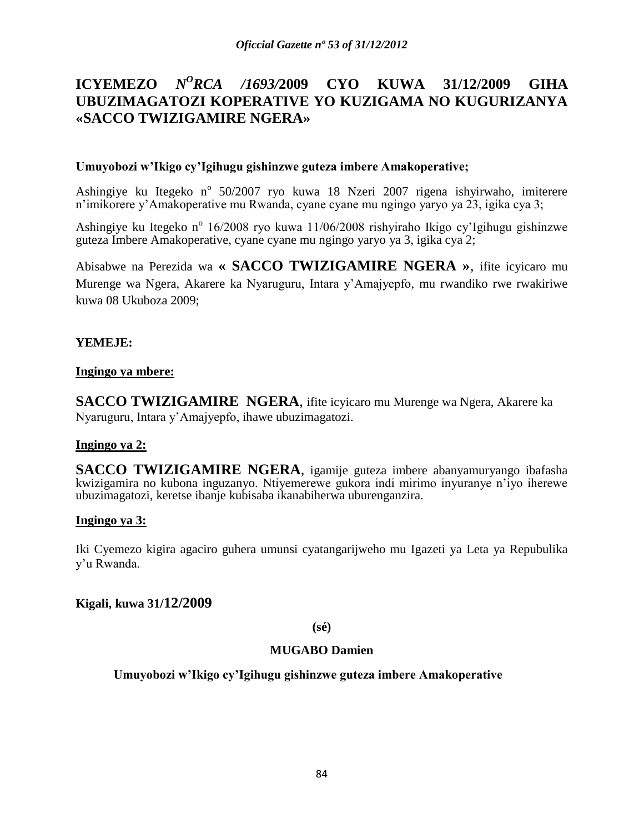# **ICYEMEZO** *N<sup>O</sup>RCA /1693/2009* **CYO KUWA 31/12/2009 GIHA UBUZIMAGATOZI KOPERATIVE YO KUZIGAMA NO KUGURIZANYA «SACCO TWIZIGAMIRE NGERA»**

### **Umuyobozi w'Ikigo cy'Igihugu gishinzwe guteza imbere Amakoperative;**

Ashingiye ku Itegeko n<sup>o</sup> 50/2007 ryo kuwa 18 Nzeri 2007 rigena ishyirwaho, imiterere n'imikorere y'Amakoperative mu Rwanda, cyane cyane mu ngingo yaryo ya 23, igika cya 3;

Ashingiye ku Itegeko n<sup>o</sup> 16/2008 ryo kuwa 11/06/2008 rishyiraho Ikigo cy'Igihugu gishinzwe guteza Imbere Amakoperative, cyane cyane mu ngingo yaryo ya 3, igika cya 2;

Abisabwe na Perezida wa **« SACCO TWIZIGAMIRE NGERA »**, ifite icyicaro mu Murenge wa Ngera, Akarere ka Nyaruguru, Intara y'Amajyepfo, mu rwandiko rwe rwakiriwe kuwa 08 Ukuboza 2009;

### **YEMEJE:**

### **Ingingo ya mbere:**

**SACCO TWIZIGAMIRE NGERA**, ifite icyicaro mu Murenge wa Ngera, Akarere ka Nyaruguru, Intara y'Amajyepfo, ihawe ubuzimagatozi.

### **Ingingo ya 2:**

**SACCO TWIZIGAMIRE NGERA**, igamije guteza imbere abanyamuryango ibafasha kwizigamira no kubona inguzanyo. Ntiyemerewe gukora indi mirimo inyuranye n'iyo iherewe ubuzimagatozi, keretse ibanje kubisaba ikanabiherwa uburenganzira.

### **Ingingo ya 3:**

Iki Cyemezo kigira agaciro guhera umunsi cyatangarijweho mu Igazeti ya Leta ya Repubulika y'u Rwanda.

# **Kigali, kuwa 31/12/2009**

**(sé)**

# **MUGABO Damien**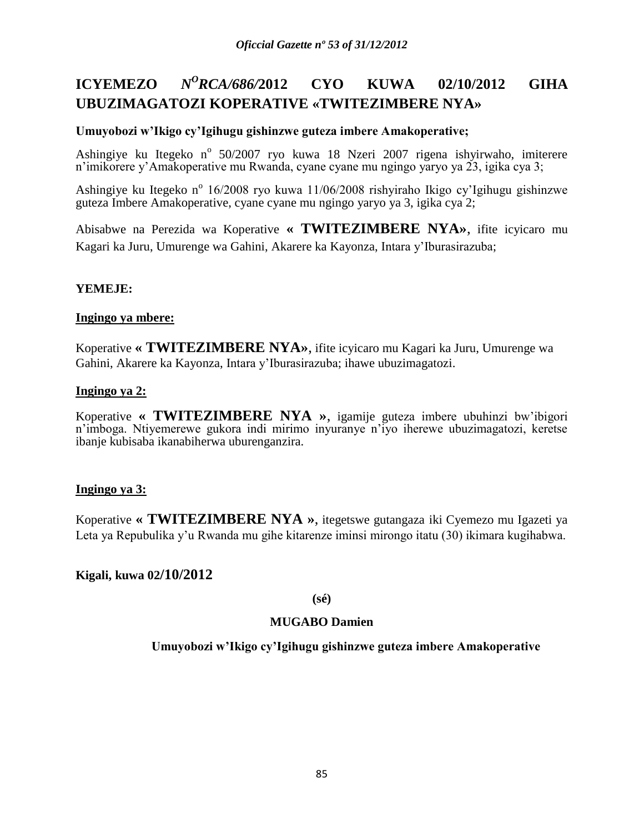#### **ICYEMEZO** *<sup>O</sup>RCA/686/***2012 CYO KUWA 02/10/2012 GIHA UBUZIMAGATOZI KOPERATIVE «TWITEZIMBERE NYA»**

### **Umuyobozi w'Ikigo cy'Igihugu gishinzwe guteza imbere Amakoperative;**

Ashingiye ku Itegeko n<sup>o</sup> 50/2007 ryo kuwa 18 Nzeri 2007 rigena ishyirwaho, imiterere n'imikorere y'Amakoperative mu Rwanda, cyane cyane mu ngingo yaryo ya 23, igika cya 3;

Ashingiye ku Itegeko n<sup>o</sup> 16/2008 ryo kuwa 11/06/2008 rishyiraho Ikigo cy'Igihugu gishinzwe guteza Imbere Amakoperative, cyane cyane mu ngingo yaryo ya 3, igika cya 2;

Abisabwe na Perezida wa Koperative **« TWITEZIMBERE NYA»**, ifite icyicaro mu Kagari ka Juru, Umurenge wa Gahini, Akarere ka Kayonza, Intara y'Iburasirazuba;

### **YEMEJE:**

#### **Ingingo ya mbere:**

Koperative **« TWITEZIMBERE NYA»**, ifite icyicaro mu Kagari ka Juru, Umurenge wa Gahini, Akarere ka Kayonza, Intara y'Iburasirazuba; ihawe ubuzimagatozi.

#### **Ingingo ya 2:**

Koperative **« TWITEZIMBERE NYA »**, igamije guteza imbere ubuhinzi bw'ibigori n'imboga. Ntiyemerewe gukora indi mirimo inyuranye n'iyo iherewe ubuzimagatozi, keretse ibanje kubisaba ikanabiherwa uburenganzira.

### **Ingingo ya 3:**

Koperative **« TWITEZIMBERE NYA »**, itegetswe gutangaza iki Cyemezo mu Igazeti ya Leta ya Repubulika y'u Rwanda mu gihe kitarenze iminsi mirongo itatu (30) ikimara kugihabwa.

### **Kigali, kuwa 02/10/2012**

**(sé)**

### **MUGABO Damien**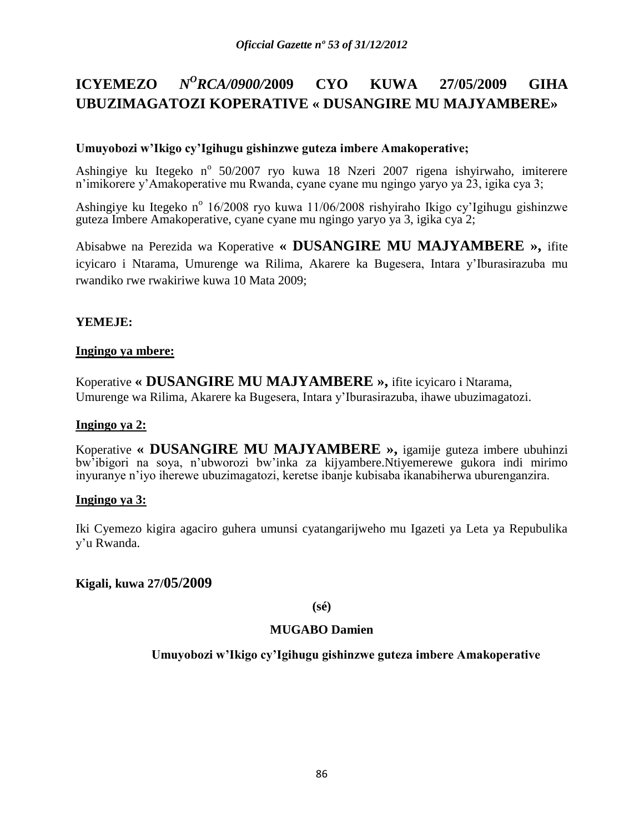#### **ICYEMEZO** *<sup>O</sup>RCA/0900/***2009 CYO KUWA 27/05/2009 GIHA UBUZIMAGATOZI KOPERATIVE « DUSANGIRE MU MAJYAMBERE»**

### **Umuyobozi w'Ikigo cy'Igihugu gishinzwe guteza imbere Amakoperative;**

Ashingiye ku Itegeko n<sup>o</sup> 50/2007 ryo kuwa 18 Nzeri 2007 rigena ishyirwaho, imiterere n'imikorere y'Amakoperative mu Rwanda, cyane cyane mu ngingo yaryo ya 23, igika cya 3;

Ashingiye ku Itegeko n<sup>o</sup> 16/2008 ryo kuwa 11/06/2008 rishyiraho Ikigo cy'Igihugu gishinzwe guteza Imbere Amakoperative, cyane cyane mu ngingo yaryo ya 3, igika cya 2;

Abisabwe na Perezida wa Koperative **« DUSANGIRE MU MAJYAMBERE »,** ifite icyicaro i Ntarama, Umurenge wa Rilima, Akarere ka Bugesera, Intara y'Iburasirazuba mu rwandiko rwe rwakiriwe kuwa 10 Mata 2009;

### **YEMEJE:**

### **Ingingo ya mbere:**

Koperative **« DUSANGIRE MU MAJYAMBERE »,** ifite icyicaro i Ntarama, Umurenge wa Rilima, Akarere ka Bugesera, Intara y'Iburasirazuba, ihawe ubuzimagatozi.

### **Ingingo ya 2:**

Koperative **« DUSANGIRE MU MAJYAMBERE »,** igamije guteza imbere ubuhinzi bw'ibigori na soya, n'ubworozi bw'inka za kijyambere.Ntiyemerewe gukora indi mirimo inyuranye n'iyo iherewe ubuzimagatozi, keretse ibanje kubisaba ikanabiherwa uburenganzira.

### **Ingingo ya 3:**

Iki Cyemezo kigira agaciro guhera umunsi cyatangarijweho mu Igazeti ya Leta ya Repubulika y'u Rwanda.

### **Kigali, kuwa 27/05/2009**

**(sé)**

# **MUGABO Damien**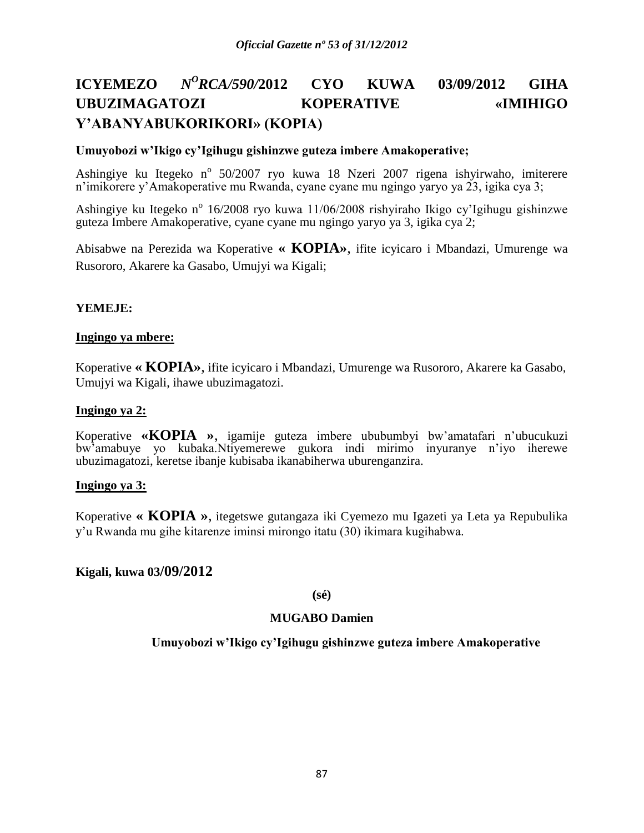### **ICYEMEZO** *<sup>O</sup>RCA/590/***2012 CYO KUWA 03/09/2012 GIHA UBUZIMAGATOZI KOPERATIVE «IMIHIGO Y'ABANYABUKORIKORI» (KOPIA)**

#### **Umuyobozi w'Ikigo cy'Igihugu gishinzwe guteza imbere Amakoperative;**

Ashingiye ku Itegeko n<sup>o</sup> 50/2007 ryo kuwa 18 Nzeri 2007 rigena ishyirwaho, imiterere n'imikorere y'Amakoperative mu Rwanda, cyane cyane mu ngingo yaryo ya 23, igika cya 3;

Ashingiye ku Itegeko n<sup>o</sup> 16/2008 ryo kuwa 11/06/2008 rishyiraho Ikigo cy'Igihugu gishinzwe guteza Imbere Amakoperative, cyane cyane mu ngingo yaryo ya 3, igika cya 2;

Abisabwe na Perezida wa Koperative **« KOPIA»**, ifite icyicaro i Mbandazi, Umurenge wa Rusororo, Akarere ka Gasabo, Umujyi wa Kigali;

#### **YEMEJE:**

#### **Ingingo ya mbere:**

Koperative **« KOPIA»**, ifite icyicaro i Mbandazi, Umurenge wa Rusororo, Akarere ka Gasabo, Umujyi wa Kigali, ihawe ubuzimagatozi.

#### **Ingingo ya 2:**

Koperative **«KOPIA »**, igamije guteza imbere ububumbyi bw'amatafari n'ubucukuzi bw'amabuye yo kubaka.Ntiyemerewe gukora indi mirimo inyuranye n'iyo iherewe ubuzimagatozi, keretse ibanje kubisaba ikanabiherwa uburenganzira.

#### **Ingingo ya 3:**

Koperative **« KOPIA »**, itegetswe gutangaza iki Cyemezo mu Igazeti ya Leta ya Repubulika y'u Rwanda mu gihe kitarenze iminsi mirongo itatu (30) ikimara kugihabwa.

### **Kigali, kuwa 03/09/2012**

**(sé)**

#### **MUGABO Damien**